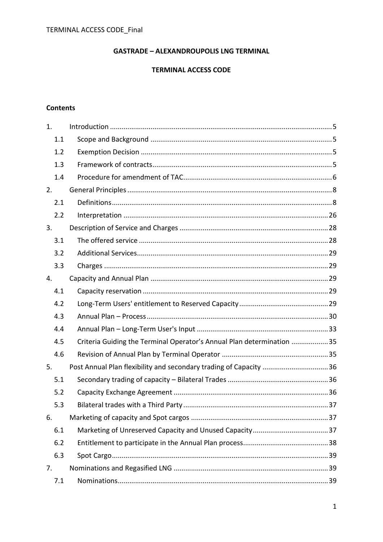# **GASTRADE - ALEXANDROUPOLIS LNG TERMINAL**

### **TERMINAL ACCESS CODE**

## **Contents**

| 1.  |                                                                       |  |
|-----|-----------------------------------------------------------------------|--|
| 1.1 |                                                                       |  |
| 1.2 |                                                                       |  |
| 1.3 |                                                                       |  |
| 1.4 |                                                                       |  |
| 2.  |                                                                       |  |
| 2.1 |                                                                       |  |
| 2.2 |                                                                       |  |
| 3.  |                                                                       |  |
| 3.1 |                                                                       |  |
| 3.2 |                                                                       |  |
| 3.3 |                                                                       |  |
| 4.  |                                                                       |  |
| 4.1 |                                                                       |  |
| 4.2 |                                                                       |  |
| 4.3 |                                                                       |  |
| 4.4 |                                                                       |  |
| 4.5 | Criteria Guiding the Terminal Operator's Annual Plan determination 35 |  |
| 4.6 |                                                                       |  |
| 5.  | Post Annual Plan flexibility and secondary trading of Capacity 36     |  |
| 5.1 |                                                                       |  |
| 5.2 |                                                                       |  |
| 5.3 |                                                                       |  |
| 6.  |                                                                       |  |
| 6.1 |                                                                       |  |
| 6.2 |                                                                       |  |
| 6.3 |                                                                       |  |
| 7.  |                                                                       |  |
| 7.1 |                                                                       |  |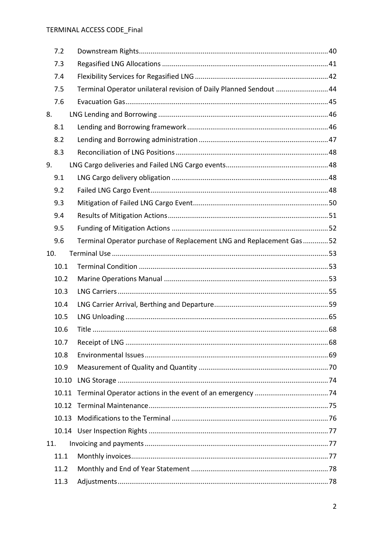|     | 7.2   |                                                                     |  |
|-----|-------|---------------------------------------------------------------------|--|
|     | 7.3   |                                                                     |  |
|     | 7.4   |                                                                     |  |
|     | 7.5   | Terminal Operator unilateral revision of Daily Planned Sendout  44  |  |
|     | 7.6   |                                                                     |  |
| 8.  |       |                                                                     |  |
|     | 8.1   |                                                                     |  |
|     | 8.2   |                                                                     |  |
|     | 8.3   |                                                                     |  |
| 9.  |       |                                                                     |  |
|     | 9.1   |                                                                     |  |
|     | 9.2   |                                                                     |  |
|     | 9.3   |                                                                     |  |
|     | 9.4   |                                                                     |  |
|     | 9.5   |                                                                     |  |
|     | 9.6   | Terminal Operator purchase of Replacement LNG and Replacement Gas52 |  |
| 10. |       |                                                                     |  |
|     | 10.1  |                                                                     |  |
|     | 10.2  |                                                                     |  |
|     | 10.3  |                                                                     |  |
|     | 10.4  |                                                                     |  |
|     | 10.5  |                                                                     |  |
|     | 10.6  |                                                                     |  |
|     | 10.7  |                                                                     |  |
|     | 10.8  |                                                                     |  |
|     | 10.9  |                                                                     |  |
|     | 10.10 |                                                                     |  |
|     | 10.11 |                                                                     |  |
|     | 10.12 |                                                                     |  |
|     | 10.13 |                                                                     |  |
|     |       |                                                                     |  |
| 11. |       |                                                                     |  |
|     | 11.1  |                                                                     |  |
|     | 11.2  |                                                                     |  |
|     | 11.3  |                                                                     |  |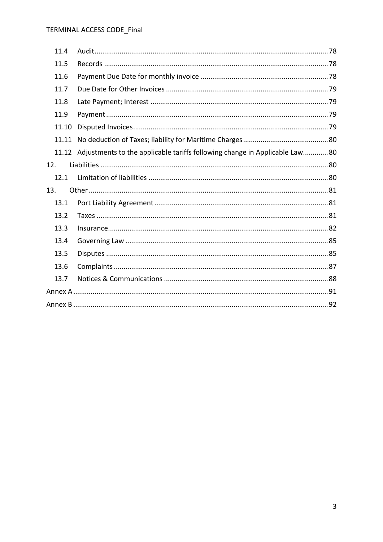| 11.4  |                                                                                  |  |  |
|-------|----------------------------------------------------------------------------------|--|--|
| 11.5  |                                                                                  |  |  |
| 11.6  |                                                                                  |  |  |
| 11.7  |                                                                                  |  |  |
| 11.8  |                                                                                  |  |  |
| 11.9  |                                                                                  |  |  |
| 11.10 |                                                                                  |  |  |
| 11.11 |                                                                                  |  |  |
|       | 11.12 Adjustments to the applicable tariffs following change in Applicable Law80 |  |  |
| 12.   |                                                                                  |  |  |
| 12.1  |                                                                                  |  |  |
| 13.   |                                                                                  |  |  |
| 13.1  |                                                                                  |  |  |
| 13.2  |                                                                                  |  |  |
| 13.3  |                                                                                  |  |  |
| 13.4  |                                                                                  |  |  |
| 13.5  |                                                                                  |  |  |
| 13.6  |                                                                                  |  |  |
| 13.7  |                                                                                  |  |  |
|       |                                                                                  |  |  |
|       |                                                                                  |  |  |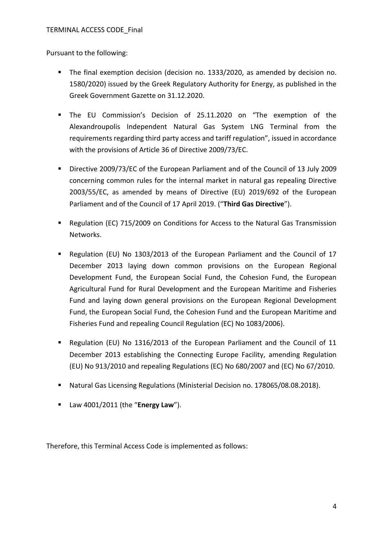Pursuant to the following:

- The final exemption decision (decision no. 1333/2020, as amended by decision no. 1580/2020) issued by the Greek Regulatory Authority for Energy, as published in the Greek Government Gazette on 31.12.2020.
- The EU Commission's Decision of 25.11.2020 on "The exemption of the Alexandroupolis Independent Natural Gas System LNG Terminal from the requirements regarding third party access and tariff regulation", issued in accordance with the provisions of Article 36 of Directive 2009/73/EC.
- Directive 2009/73/EC of the European Parliament and of the Council of 13 July 2009 concerning common rules for the internal market in natural gas repealing Directive 2003/55/EC, as amended by means of Directive (EU) 2019/692 of the European Parliament and of the Council of 17 April 2019. ("**Third Gas Directive**").
- Regulation (EC) 715/2009 on Conditions for Access to the Natural Gas Transmission Networks.
- Regulation (EU) No 1303/2013 of the European Parliament and the Council of 17 December 2013 laying down common provisions on the European Regional Development Fund, the European Social Fund, the Cohesion Fund, the European Agricultural Fund for Rural Development and the European Maritime and Fisheries Fund and laying down general provisions on the European Regional Development Fund, the European Social Fund, the Cohesion Fund and the European Maritime and Fisheries Fund and repealing Council Regulation (EC) No 1083/2006).
- Regulation (EU) No 1316/2013 of the European Parliament and the Council of 11 December 2013 establishing the Connecting Europe Facility, amending Regulation (EU) No 913/2010 and repealing Regulations (EC) No 680/2007 and (EC) No 67/2010.
- Natural Gas Licensing Regulations (Ministerial Decision no. 178065/08.08.2018).
- Law 4001/2011 (the "**Energy Law**").

Therefore, this Terminal Access Code is implemented as follows: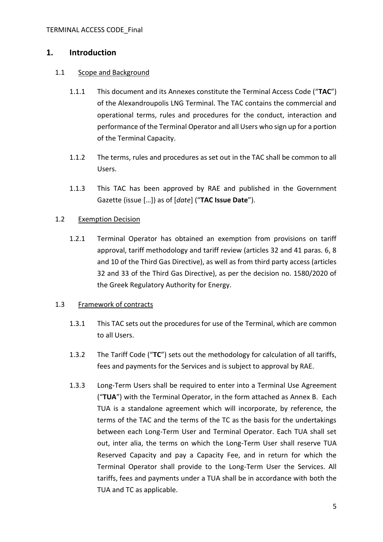## **1. Introduction**

### <span id="page-4-1"></span>1.1 Scope and Background

- 1.1.1 This document and its Annexes constitute the Terminal Access Code ("**TAC**") of the Alexandroupolis LNG Terminal. The TAC contains the commercial and operational terms, rules and procedures for the conduct, interaction and performance of the Terminal Operator and all Users who sign up for a portion of the Terminal Capacity.
- 1.1.2 The terms, rules and procedures as set out in the TAC shall be common to all Users.
- <span id="page-4-0"></span>1.1.3 This TAC has been approved by RAE and published in the Government Gazette (issue […]) as of [*date*] ("**TAC Issue Date**").

#### 1.2 Exemption Decision

1.2.1 Terminal Operator has obtained an exemption from provisions on tariff approval, tariff methodology and tariff review (articles 32 and 41 paras. 6, 8 and 10 of the Third Gas Directive), as well as from third party access (articles 32 and 33 of the Third Gas Directive), as per the decision no. 1580/2020 of the Greek Regulatory Authority for Energy.

#### 1.3 Framework of contracts

- 1.3.1 This TAC sets out the procedures for use of the Terminal, which are common to all Users.
- 1.3.2 The Tariff Code ("**TC**") sets out the methodology for calculation of all tariffs, fees and payments for the Services and is subject to approval by RAE.
- 1.3.3 Long-Term Users shall be required to enter into a Terminal Use Agreement ("**TUA**") with the Terminal Operator, in the form attached as [Annex B.](#page-91-0) Each TUA is a standalone agreement which will incorporate, by reference, the terms of the TAC and the terms of the TC as the basis for the undertakings between each Long-Term User and Terminal Operator. Each TUA shall set out, inter alia, the terms on which the Long-Term User shall reserve TUA Reserved Capacity and pay a Capacity Fee, and in return for which the Terminal Operator shall provide to the Long-Term User the Services. All tariffs, fees and payments under a TUA shall be in accordance with both the TUA and TC as applicable.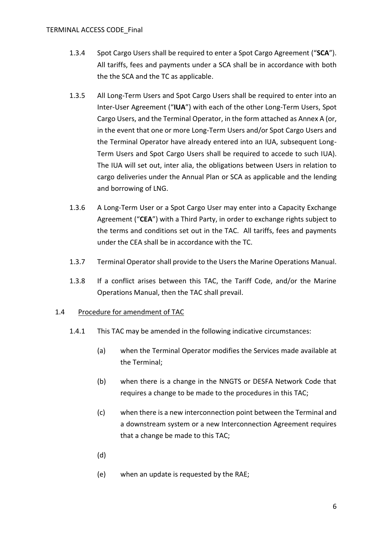- 1.3.4 Spot Cargo Users shall be required to enter a Spot Cargo Agreement ("**SCA**"). All tariffs, fees and payments under a SCA shall be in accordance with both the the SCA and the TC as applicable.
- <span id="page-5-2"></span>1.3.5 All Long-Term Users and Spot Cargo Users shall be required to enter into an Inter-User Agreement ("**IUA**") with each of the other Long-Term Users, Spot Cargo Users, and the Terminal Operator, in the form attached as [Annex A](#page-90-0) (or, in the event that one or more Long-Term Users and/or Spot Cargo Users and the Terminal Operator have already entered into an IUA, subsequent Long-Term Users and Spot Cargo Users shall be required to accede to such IUA). The IUA will set out, inter alia, the obligations between Users in relation to cargo deliveries under the Annual Plan or SCA as applicable and the lending and borrowing of LNG.
- <span id="page-5-1"></span>1.3.6 A Long-Term User or a Spot Cargo User may enter into a Capacity Exchange Agreement ("**CEA**") with a Third Party, in order to exchange rights subject to the terms and conditions set out in the TAC. All tariffs, fees and payments under the CEA shall be in accordance with the TC.
- 1.3.7 Terminal Operator shall provide to the Users the Marine Operations Manual.
- 1.3.8 If a conflict arises between this TAC, the Tariff Code, and/or the Marine Operations Manual, then the TAC shall prevail.

#### <span id="page-5-0"></span>1.4 Procedure for amendment of TAC

- 1.4.1 This TAC may be amended in the following indicative circumstances:
	- (a) when the Terminal Operator modifies the Services made available at the Terminal;
	- (b) when there is a change in the NNGTS or DESFA Network Code that requires a change to be made to the procedures in this TAC;
	- (c) when there is a new interconnection point between the Terminal and a downstream system or a new Interconnection Agreement requires that a change be made to this TAC;
	- (d)
	- (e) when an update is requested by the RAE;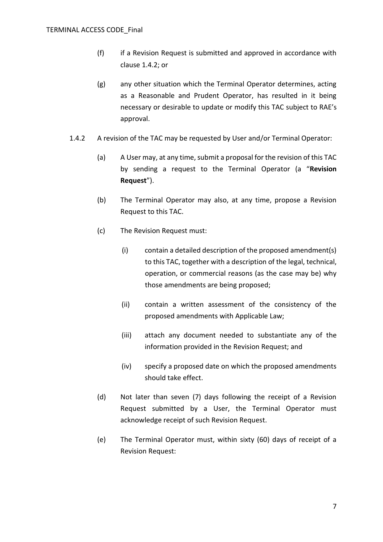- (f) if a Revision Request is submitted and approved in accordance with clause [1.4.2;](#page-6-0) or
- (g) any other situation which the Terminal Operator determines, acting as a Reasonable and Prudent Operator, has resulted in it being necessary or desirable to update or modify this TAC subject to RAE's approval.
- <span id="page-6-1"></span><span id="page-6-0"></span>1.4.2 A revision of the TAC may be requested by User and/or Terminal Operator:
	- (a) A User may, at any time, submit a proposal for the revision of this TAC by sending a request to the Terminal Operator (a "**Revision Request**").
	- (b) The Terminal Operator may also, at any time, propose a Revision Request to this TAC.
	- (c) The Revision Request must:
		- (i) contain a detailed description of the proposed amendment(s) to this TAC, together with a description of the legal, technical, operation, or commercial reasons (as the case may be) why those amendments are being proposed;
		- (ii) contain a written assessment of the consistency of the proposed amendments with Applicable Law;
		- (iii) attach any document needed to substantiate any of the information provided in the Revision Request; and
		- (iv) specify a proposed date on which the proposed amendments should take effect.
	- (d) Not later than seven (7) days following the receipt of a Revision Request submitted by a User, the Terminal Operator must acknowledge receipt of such Revision Request.
	- (e) The Terminal Operator must, within sixty (60) days of receipt of a Revision Request: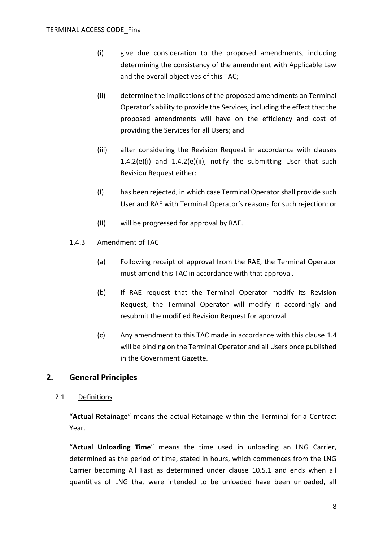- <span id="page-7-0"></span>(i) give due consideration to the proposed amendments, including determining the consistency of the amendment with Applicable Law and the overall objectives of this TAC;
- <span id="page-7-1"></span>(ii) determine the implications of the proposed amendments on Terminal Operator's ability to provide the Services, including the effect that the proposed amendments will have on the efficiency and cost of providing the Services for all Users; and
- (iii) after considering the Revision Request in accordance with clauses [1.4.2\(e\)\(i\)](#page-7-0) and [1.4.2\(e\)\(ii\),](#page-7-1) notify the submitting User that such Revision Request either:
- (I) has been rejected, in which case Terminal Operator shall provide such User and RAE with Terminal Operator's reasons for such rejection; or
- (II) will be progressed for approval by RAE.
- 1.4.3 Amendment of TAC
	- (a) Following receipt of approval from the RAE, the Terminal Operator must amend this TAC in accordance with that approval.
	- (b) If RAE request that the Terminal Operator modify its Revision Request, the Terminal Operator will modify it accordingly and resubmit the modified Revision Request for approval.
	- (c) Any amendment to this TAC made in accordance with this clause [1.4](#page-5-0) will be binding on the Terminal Operator and all Users once published in the Government Gazette.

# **2. General Principles**

## 2.1 Definitions

"**Actual Retainage**" means the actual Retainage within the Terminal for a Contract Year.

"**Actual Unloading Time**" means the time used in unloading an LNG Carrier, determined as the period of time, stated in hours, which commences from the LNG Carrier becoming All Fast as determined under clause [10.5.1](#page-64-0) and ends when all quantities of LNG that were intended to be unloaded have been unloaded, all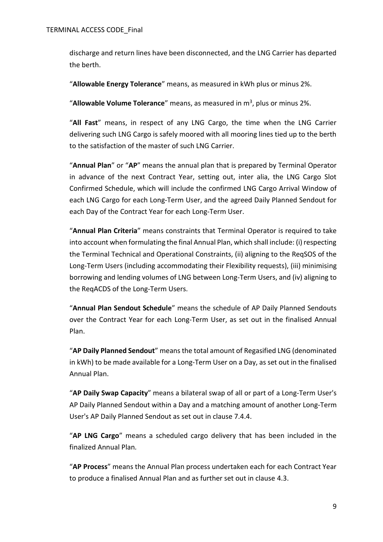discharge and return lines have been disconnected, and the LNG Carrier has departed the berth.

"**Allowable Energy Tolerance**" means, as measured in kWh plus or minus 2%.

"Allowable Volume Tolerance" means, as measured in m<sup>3</sup>, plus or minus 2%.

"**All Fast**" means, in respect of any LNG Cargo, the time when the LNG Carrier delivering such LNG Cargo is safely moored with all mooring lines tied up to the berth to the satisfaction of the master of such LNG Carrier.

"**Annual Plan**" or "**AP**" means the annual plan that is prepared by Terminal Operator in advance of the next Contract Year, setting out, inter alia, the LNG Cargo Slot Confirmed Schedule, which will include the confirmed LNG Cargo Arrival Window of each LNG Cargo for each Long-Term User, and the agreed Daily Planned Sendout for each Day of the Contract Year for each Long-Term User.

"**Annual Plan Criteria**" means constraints that Terminal Operator is required to take into account when formulating the final Annual Plan, which shall include: (i) respecting the Terminal Technical and Operational Constraints, (ii) aligning to the ReqSOS of the Long-Term Users (including accommodating their Flexibility requests), (iii) minimising borrowing and lending volumes of LNG between Long-Term Users, and (iv) aligning to the ReqACDS of the Long-Term Users.

"**Annual Plan Sendout Schedule**" means the schedule of AP Daily Planned Sendouts over the Contract Year for each Long-Term User, as set out in the finalised Annual Plan.

"**AP Daily Planned Sendout**" means the total amount of Regasified LNG (denominated in kWh) to be made available for a Long-Term User on a Day, as set out in the finalised Annual Plan.

"**AP Daily Swap Capacity**" means a bilateral swap of all or part of a Long-Term User's AP Daily Planned Sendout within a Day and a matching amount of another Long-Term User's AP Daily Planned Sendout as set out in clause [7.4.4.](#page-42-0)

"**AP LNG Cargo**" means a scheduled cargo delivery that has been included in the finalized Annual Plan*.*

"**AP Process**" means the Annual Plan process undertaken each for each Contract Year to produce a finalised Annual Plan and as further set out in clause [4.3.](#page-29-0)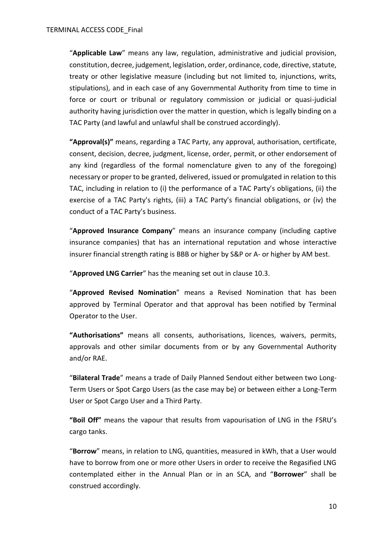"**Applicable Law**" means any law, regulation, administrative and judicial provision, constitution, decree, judgement, legislation, order, ordinance, code, directive, statute, treaty or other legislative measure (including but not limited to, injunctions, writs, stipulations), and in each case of any Governmental Authority from time to time in force or court or tribunal or regulatory commission or judicial or quasi-judicial authority having jurisdiction over the matter in question, which is legally binding on a TAC Party (and lawful and unlawful shall be construed accordingly).

**"Approval(s)"** means, regarding a TAC Party, any approval, authorisation, certificate, consent, decision, decree, judgment, license, order, permit, or other endorsement of any kind (regardless of the formal nomenclature given to any of the foregoing) necessary or proper to be granted, delivered, issued or promulgated in relation to this TAC, including in relation to (i) the performance of a TAC Party's obligations, (ii) the exercise of a TAC Party's rights, (iii) a TAC Party's financial obligations, or (iv) the conduct of a TAC Party's business.

"**Approved Insurance Company**" means an insurance company (including captive insurance companies) that has an international reputation and whose interactive insurer financial strength rating is BBB or higher by S&P or A- or higher by AM best.

"**Approved LNG Carrier**" has the meaning set out in clause [10.3.](#page-54-0)

"**Approved Revised Nomination**" means a Revised Nomination that has been approved by Terminal Operator and that approval has been notified by Terminal Operator to the User.

**"Authorisations"** means all consents, authorisations, licences, waivers, permits, approvals and other similar documents from or by any Governmental Authority and/or RAE.

"**Bilateral Trade**" means a trade of Daily Planned Sendout either between two Long-Term Users or Spot Cargo Users (as the case may be) or between either a Long-Term User or Spot Cargo User and a Third Party.

**"Boil Off"** means the vapour that results from vapourisation of LNG in the FSRU's cargo tanks.

"**Borrow**" means, in relation to LNG, quantities, measured in kWh, that a User would have to borrow from one or more other Users in order to receive the Regasified LNG contemplated either in the Annual Plan or in an SCA, and "**Borrower**" shall be construed accordingly.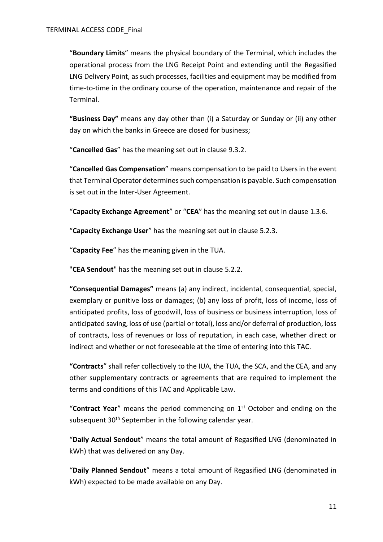"**Boundary Limits**" means the physical boundary of the Terminal, which includes the operational process from the LNG Receipt Point and extending until the Regasified LNG Delivery Point, as such processes, facilities and equipment may be modified from time-to-time in the ordinary course of the operation, maintenance and repair of the Terminal.

**"Business Day"** means any day other than (i) a Saturday or Sunday or (ii) any other day on which the banks in Greece are closed for business;

"**Cancelled Gas**" has the meaning set out in clause [9.3.2.](#page-49-0)

"**Cancelled Gas Compensation**" means compensation to be paid to Users in the event that Terminal Operator determines such compensation is payable. Such compensation is set out in the Inter-User Agreement.

"**Capacity Exchange Agreement**" or "**CEA**" has the meaning set out in clause [1.3.6.](#page-5-1)

"**Capacity Exchange User**" has the meaning set out in clause [5.2.3.](#page-36-0)

"**Capacity Fee**" has the meaning given in the TUA.

"**CEA Sendout**" has the meaning set out in clause [5.2.2.](#page-35-0)

**"Consequential Damages"** means (a) any indirect, incidental, consequential, special, exemplary or punitive loss or damages; (b) any loss of profit, loss of income, loss of anticipated profits, loss of goodwill, loss of business or business interruption, loss of anticipated saving, loss of use (partial or total), loss and/or deferral of production, loss of contracts, loss of revenues or loss of reputation, in each case, whether direct or indirect and whether or not foreseeable at the time of entering into this TAC.

**"Contracts**" shall refer collectively to the IUA, the TUA, the SCA, and the CEA, and any other supplementary contracts or agreements that are required to implement the terms and conditions of this TAC and Applicable Law.

"**Contract Year**" means the period commencing on 1st October and ending on the subsequent 30<sup>th</sup> September in the following calendar year.

"**Daily Actual Sendout**" means the total amount of Regasified LNG (denominated in kWh) that was delivered on any Day.

"**Daily Planned Sendout**" means a total amount of Regasified LNG (denominated in kWh) expected to be made available on any Day.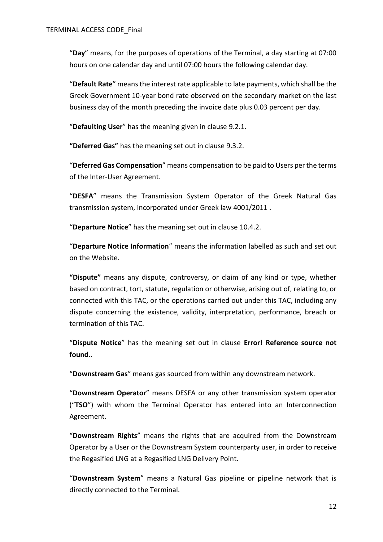"**Day**" means, for the purposes of operations of the Terminal, a day starting at 07:00 hours on one calendar day and until 07:00 hours the following calendar day.

"**Default Rate**" means the interest rate applicable to late payments, which shall be the Greek Government 10-year bond rate observed on the secondary market on the last business day of the month preceding the invoice date plus 0.03 percent per day.

"**Defaulting User**" has the meaning given in clause [9.2.1.](#page-47-0)

**"Deferred Gas"** has the meaning set out in clause [9.3.2.](#page-49-0)

"**Deferred Gas Compensation**" means compensation to be paid to Users per the terms of the Inter-User Agreement.

"**DESFA**" means the Transmission System Operator of the Greek Natural Gas transmission system, incorporated under Greek law 4001/2011 .

"**Departure Notice**" has the meaning set out in clause [10.4.2.](#page-58-0)

"**Departure Notice Information**" means the information labelled as such and set out on the Website.

**"Dispute"** means any dispute, controversy, or claim of any kind or type, whether based on contract, tort, statute, regulation or otherwise, arising out of, relating to, or connected with this TAC, or the operations carried out under this TAC, including any dispute concerning the existence, validity, interpretation, performance, breach or termination of this TAC.

"**Dispute Notice**" has the meaning set out in clause **Error! Reference source not found.**.

"**Downstream Gas**" means gas sourced from within any downstream network.

"**Downstream Operator**" means DESFA or any other transmission system operator ("**TSO**") with whom the Terminal Operator has entered into an Interconnection Agreement.

"**Downstream Rights**" means the rights that are acquired from the Downstream Operator by a User or the Downstream System counterparty user, in order to receive the Regasified LNG at a Regasified LNG Delivery Point.

"**Downstream System**" means a Natural Gas pipeline or pipeline network that is directly connected to the Terminal.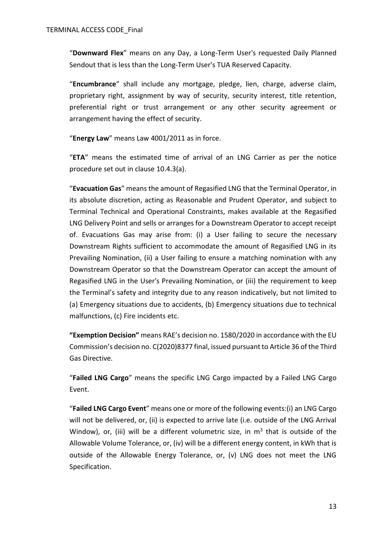"**Downward Flex**" means on any Day, a Long-Term User's requested Daily Planned Sendout that is less than the Long-Term User's TUA Reserved Capacity.

"**Encumbrance**" shall include any mortgage, pledge, lien, charge, adverse claim, proprietary right, assignment by way of security, security interest, title retention, preferential right or trust arrangement or any other security agreement or arrangement having the effect of security.

"**Energy Law**" means Law 4001/2011 as in force.

"**ETA**" means the estimated time of arrival of an LNG Carrier as per the notice procedure set out in clause [10.4.3\(a\).](#page-58-1)

"**Evacuation Gas**" means the amount of Regasified LNG that the Terminal Operator, in its absolute discretion, acting as Reasonable and Prudent Operator, and subject to Terminal Technical and Operational Constraints, makes available at the Regasified LNG Delivery Point and sells or arranges for a Downstream Operator to accept receipt of. Evacuations Gas may arise from: (i) a User failing to secure the necessary Downstream Rights sufficient to accommodate the amount of Regasified LNG in its Prevailing Nomination, (ii) a User failing to ensure a matching nomination with any Downstream Operator so that the Downstream Operator can accept the amount of Regasified LNG in the User's Prevailing Nomination, or (iii) the requirement to keep the Terminal's safety and integrity due to any reason indicatively, but not limited to (a) Emergency situations due to accidents, (b) Emergency situations due to technical malfunctions, (c) Fire incidents etc.

**"Exemption Decision"** means RAE's decision no. 1580/2020 in accordance with the EU Commission's decision no. C(2020)8377 final, issued pursuant to Article 36 of the Third Gas Directive.

"**Failed LNG Cargo**" means the specific LNG Cargo impacted by a Failed LNG Cargo Event.

"**Failed LNG Cargo Event**" means one or more of the following events:(i) an LNG Cargo will not be delivered, or, (ii) is expected to arrive late (i.e. outside of the LNG Arrival Window), or, (iii) will be a different volumetric size, in  $m<sup>3</sup>$  that is outside of the Allowable Volume Tolerance, or, (iv) will be a different energy content, in kWh that is outside of the Allowable Energy Tolerance, or, (v) LNG does not meet the LNG Specification.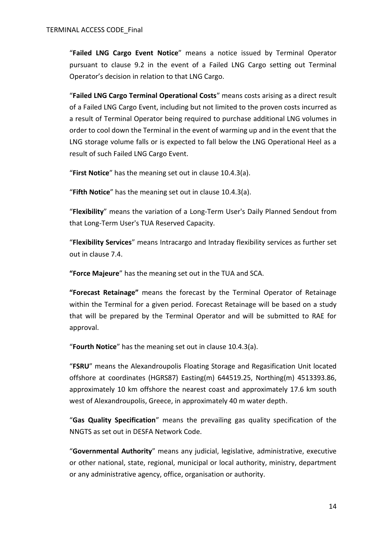"**Failed LNG Cargo Event Notice**" means a notice issued by Terminal Operator pursuant to clause [9.2](#page-47-1) in the event of a Failed LNG Cargo setting out Terminal Operator's decision in relation to that LNG Cargo.

"**Failed LNG Cargo Terminal Operational Costs**" means costs arising as a direct result of a Failed LNG Cargo Event, including but not limited to the proven costs incurred as a result of Terminal Operator being required to purchase additional LNG volumes in order to cool down the Terminal in the event of warming up and in the event that the LNG storage volume falls or is expected to fall below the LNG Operational Heel as a result of such Failed LNG Cargo Event.

"**First Notice**" has the meaning set out in clause [10.4.3\(a\).](#page-58-1)

"**Fifth Notice**" has the meaning set out in clause [10.4.3\(a\).](#page-58-1)

"**Flexibility**" means the variation of a Long-Term User's Daily Planned Sendout from that Long-Term User's TUA Reserved Capacity.

"**Flexibility Services**" means Intracargo and Intraday flexibility services as further set out in clause [7.4.](#page-41-0)

**"Force Majeure**" has the meaning set out in the TUA and SCA.

**"Forecast Retainage"** means the forecast by the Terminal Operator of Retainage within the Terminal for a given period. Forecast Retainage will be based on a study that will be prepared by the Terminal Operator and will be submitted to RAE for approval.

"**Fourth Notice**" has the meaning set out in clause [10.4.3\(a\).](#page-58-1)

"**FSRU**" means the Alexandroupolis Floating Storage and Regasification Unit located offshore at coordinates (HGRS87) Easting(m) 644519.25, Northing(m) 4513393.86, approximately 10 km offshore the nearest coast and approximately 17.6 km south west of Alexandroupolis, Greece, in approximately 40 m water depth.

"**Gas Quality Specification**" means the prevailing gas quality specification of the NNGTS as set out in DESFA Network Code.

"**Governmental Authority**" means any judicial, legislative, administrative, executive or other national, state, regional, municipal or local authority, ministry, department or any administrative agency, office, organisation or authority.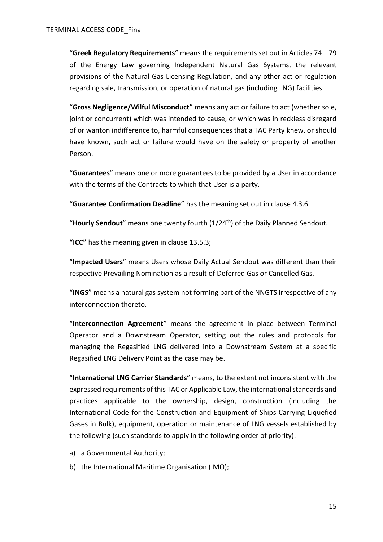"**Greek Regulatory Requirements**" means the requirements set out in Articles 74 – 79 of the Energy Law governing Independent Natural Gas Systems, the relevant provisions of the Natural Gas Licensing Regulation, and any other act or regulation regarding sale, transmission, or operation of natural gas (including LNG) facilities.

"**Gross Negligence/Wilful Misconduct**" means any act or failure to act (whether sole, joint or concurrent) which was intended to cause, or which was in reckless disregard of or wanton indifference to, harmful consequences that a TAC Party knew, or should have known, such act or failure would have on the safety or property of another Person.

"**Guarantees**" means one or more guarantees to be provided by a User in accordance with the terms of the Contracts to which that User is a party.

"**Guarantee Confirmation Deadline**" has the meaning set out in clause [4.3.6.](#page-32-0)

"**Hourly Sendout**" means one twenty fourth (1/24th) of the Daily Planned Sendout.

**"ICC"** has the meaning given in clause [13.5.3;](#page-85-0)

"**Impacted Users**" means Users whose Daily Actual Sendout was different than their respective Prevailing Nomination as a result of Deferred Gas or Cancelled Gas.

"**INGS**" means a natural gas system not forming part of the NNGTS irrespective of any interconnection thereto.

"**Interconnection Agreement**" means the agreement in place between Terminal Operator and a Downstream Operator, setting out the rules and protocols for managing the Regasified LNG delivered into a Downstream System at a specific Regasified LNG Delivery Point as the case may be.

"**International LNG Carrier Standards**" means, to the extent not inconsistent with the expressed requirements of this TAC or Applicable Law, the international standards and practices applicable to the ownership, design, construction (including the International Code for the Construction and Equipment of Ships Carrying Liquefied Gases in Bulk), equipment, operation or maintenance of LNG vessels established by the following (such standards to apply in the following order of priority):

- a) a Governmental Authority;
- b) the International Maritime Organisation (IMO);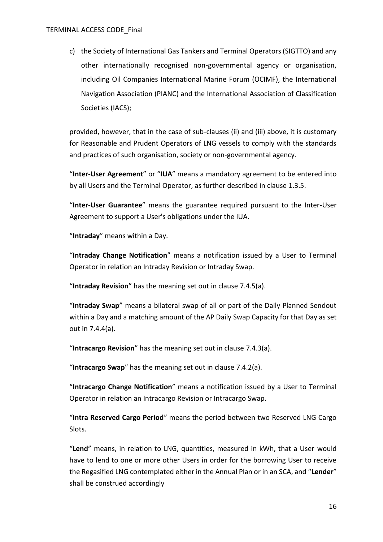#### TERMINAL ACCESS CODE\_Final

c) the Society of International Gas Tankers and Terminal Operators (SIGTTO) and any other internationally recognised non-governmental agency or organisation, including Oil Companies International Marine Forum (OCIMF), the International Navigation Association (PIANC) and the International Association of Classification Societies (IACS);

provided, however, that in the case of sub-clauses (ii) and (iii) above, it is customary for Reasonable and Prudent Operators of LNG vessels to comply with the standards and practices of such organisation, society or non-governmental agency.

"**Inter-User Agreement**" or "**IUA**" means a mandatory agreement to be entered into by all Users and the Terminal Operator, as further described in clause [1.3.5.](#page-5-2)

"**Inter-User Guarantee**" means the guarantee required pursuant to the Inter-User Agreement to support a User's obligations under the IUA.

"**Intraday**" means within a Day.

"**Intraday Change Notification**" means a notification issued by a User to Terminal Operator in relation an Intraday Revision or Intraday Swap.

"**Intraday Revision**" has the meaning set out in clause [7.4.5\(a\).](#page-43-0)

"**Intraday Swap**" means a bilateral swap of all or part of the Daily Planned Sendout within a Day and a matching amount of the AP Daily Swap Capacity for that Day as set out in [7.4.4\(a\).](#page-42-1)

"**Intracargo Revision**" has the meaning set out in clause [7.4.3\(a\).](#page-41-1)

"**Intracargo Swap**" has the meaning set out in clause [7.4.2\(a\).](#page-41-2)

"**Intracargo Change Notification**" means a notification issued by a User to Terminal Operator in relation an Intracargo Revision or Intracargo Swap.

"**Intra Reserved Cargo Period**" means the period between two Reserved LNG Cargo Slots.

"**Lend**" means, in relation to LNG, quantities, measured in kWh, that a User would have to lend to one or more other Users in order for the borrowing User to receive the Regasified LNG contemplated either in the Annual Plan or in an SCA, and "**Lender**" shall be construed accordingly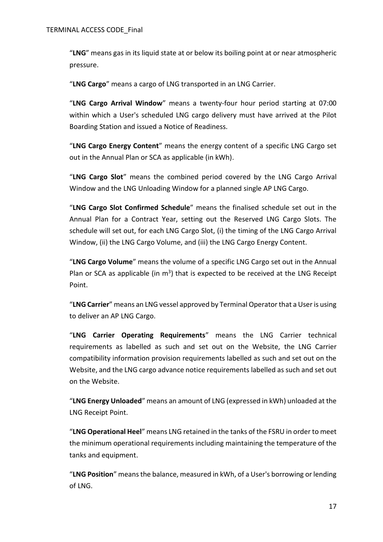"**LNG**" means gas in its liquid state at or below its boiling point at or near atmospheric pressure.

"**LNG Cargo**" means a cargo of LNG transported in an LNG Carrier.

"**LNG Cargo Arrival Window**" means a twenty-four hour period starting at 07:00 within which a User's scheduled LNG cargo delivery must have arrived at the Pilot Boarding Station and issued a Notice of Readiness.

"**LNG Cargo Energy Content**" means the energy content of a specific LNG Cargo set out in the Annual Plan or SCA as applicable (in kWh).

"**LNG Cargo Slot**" means the combined period covered by the LNG Cargo Arrival Window and the LNG Unloading Window for a planned single AP LNG Cargo.

"**LNG Cargo Slot Confirmed Schedule**" means the finalised schedule set out in the Annual Plan for a Contract Year, setting out the Reserved LNG Cargo Slots. The schedule will set out, for each LNG Cargo Slot, (i) the timing of the LNG Cargo Arrival Window, (ii) the LNG Cargo Volume, and (iii) the LNG Cargo Energy Content.

"**LNG Cargo Volume**" means the volume of a specific LNG Cargo set out in the Annual Plan or SCA as applicable (in  $m^3$ ) that is expected to be received at the LNG Receipt Point.

"**LNG Carrier**" means an LNG vessel approved by Terminal Operator that a User is using to deliver an AP LNG Cargo.

"**LNG Carrier Operating Requirements**" means the LNG Carrier technical requirements as labelled as such and set out on the Website, the LNG Carrier compatibility information provision requirements labelled as such and set out on the Website, and the LNG cargo advance notice requirements labelled as such and set out on the Website.

"**LNG Energy Unloaded**" means an amount of LNG (expressed in kWh) unloaded at the LNG Receipt Point.

"**LNG Operational Heel**" means LNG retained in the tanks of the FSRU in order to meet the minimum operational requirements including maintaining the temperature of the tanks and equipment.

"**LNG Position**" means the balance, measured in kWh, of a User's borrowing or lending of LNG.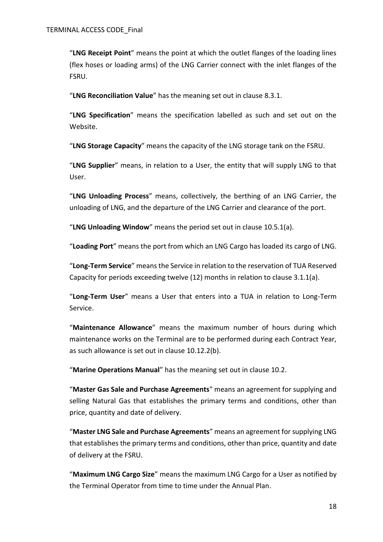"**LNG Receipt Point**" means the point at which the outlet flanges of the loading lines (flex hoses or loading arms) of the LNG Carrier connect with the inlet flanges of the FSRU.

"**LNG Reconciliation Value**" has the meaning set out in clause [8.3.1.](#page-47-2)

"**LNG Specification**" means the specification labelled as such and set out on the Website.

"**LNG Storage Capacity**" means the capacity of the LNG storage tank on the FSRU.

"**LNG Supplier**" means, in relation to a User, the entity that will supply LNG to that User.

"**LNG Unloading Process**" means, collectively, the berthing of an LNG Carrier, the unloading of LNG, and the departure of the LNG Carrier and clearance of the port.

"**LNG Unloading Window**" means the period set out in clause [10.5.1\(a\).](#page-64-1)

"**Loading Port**" means the port from which an LNG Cargo has loaded its cargo of LNG.

"**Long-Term Service**" means the Service in relation to the reservation of TUA Reserved Capacity for periods exceeding twelve (12) months in relation to clause 3.1.1(a).

"**Long-Term User**" means a User that enters into a TUA in relation to Long-Term Service.

"**Maintenance Allowance**" means the maximum number of hours during which maintenance works on the Terminal are to be performed during each Contract Year, as such allowance is set out in clause [10.12.2\(b\).](#page-74-0)

"**Marine Operations Manual**" has the meaning set out in clause [10.2.](#page-52-0)

"**Master Gas Sale and Purchase Agreements**" means an agreement for supplying and selling Natural Gas that establishes the primary terms and conditions, other than price, quantity and date of delivery.

"**Master LNG Sale and Purchase Agreements**" means an agreement for supplying LNG that establishes the primary terms and conditions, other than price, quantity and date of delivery at the FSRU.

"**Maximum LNG Cargo Size**" means the maximum LNG Cargo for a User as notified by the Terminal Operator from time to time under the Annual Plan.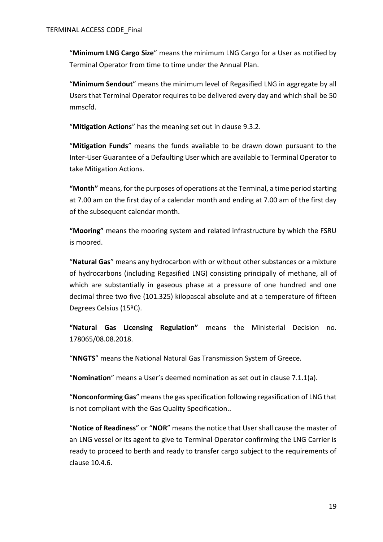"**Minimum LNG Cargo Size**" means the minimum LNG Cargo for a User as notified by Terminal Operator from time to time under the Annual Plan.

"**Minimum Sendout**" means the minimum level of Regasified LNG in aggregate by all Users that Terminal Operator requires to be delivered every day and which shall be 50 mmscfd.

"**Mitigation Actions**" has the meaning set out in clause [9.3.2.](#page-49-0)

"**Mitigation Funds**" means the funds available to be drawn down pursuant to the Inter-User Guarantee of a Defaulting User which are available to Terminal Operator to take Mitigation Actions.

**"Month"** means, for the purposes of operations at the Terminal, a time period starting at 7.00 am on the first day of a calendar month and ending at 7.00 am of the first day of the subsequent calendar month.

**"Mooring"** means the mooring system and related infrastructure by which the FSRU is moored.

"**Natural Gas**" means any hydrocarbon with or without other substances or a mixture of hydrocarbons (including Regasified LNG) consisting principally of methane, all of which are substantially in gaseous phase at a pressure of one hundred and one decimal three two five (101.325) kilopascal absolute and at a temperature of fifteen Degrees Celsius (15ºC).

**"Natural Gas Licensing Regulation"** means the Ministerial Decision no. 178065/08.08.2018.

"**NNGTS**" means the National Natural Gas Transmission System of Greece.

"**Nomination**" means a User's deemed nomination as set out in clause [7.1.1\(a\).](#page-38-0)

"**Nonconforming Gas**" means the gas specification following regasification of LNG that is not compliant with the Gas Quality Specification..

"**Notice of Readiness**" or "**NOR**" means the notice that User shall cause the master of an LNG vessel or its agent to give to Terminal Operator confirming the LNG Carrier is ready to proceed to berth and ready to transfer cargo subject to the requirements of clause [10.4.6.](#page-60-0)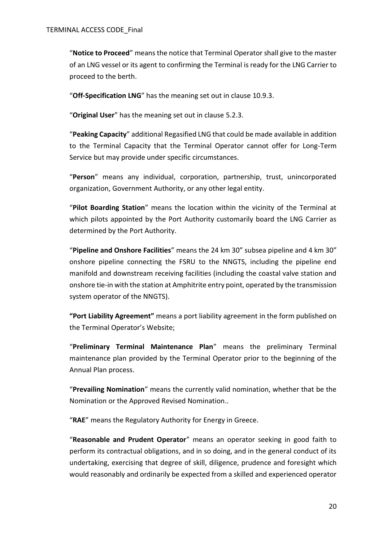"**Notice to Proceed**" means the notice that Terminal Operator shall give to the master of an LNG vessel or its agent to confirming the Terminal is ready for the LNG Carrier to proceed to the berth.

"**Off-Specification LNG**" has the meaning set out in clause [10.9.3.](#page-70-0)

"**Original User**" has the meaning set out in clause [5.2.3.](#page-36-0)

"**Peaking Capacity**" additional Regasified LNG that could be made available in addition to the Terminal Capacity that the Terminal Operator cannot offer for Long-Term Service but may provide under specific circumstances.

"**Person**" means any individual, corporation, partnership, trust, unincorporated organization, Government Authority, or any other legal entity.

"**Pilot Boarding Station**" means the location within the vicinity of the Terminal at which pilots appointed by the Port Authority customarily board the LNG Carrier as determined by the Port Authority.

"**Pipeline and Onshore Facilities**" means the 24 km 30" subsea pipeline and 4 km 30" onshore pipeline connecting the FSRU to the NNGTS, including the pipeline end manifold and downstream receiving facilities (including the coastal valve station and onshore tie-in with the station at Amphitrite entry point, operated by the transmission system operator of the NNGTS).

**"Port Liability Agreement"** means a port liability agreement in the form published on the Terminal Operator's Website;

"**Preliminary Terminal Maintenance Plan**" means the preliminary Terminal maintenance plan provided by the Terminal Operator prior to the beginning of the Annual Plan process.

"**Prevailing Nomination**" means the currently valid nomination, whether that be the Nomination or the Approved Revised Nomination..

"**RAE**" means the Regulatory Authority for Energy in Greece.

"**Reasonable and Prudent Operator**" means an operator seeking in good faith to perform its contractual obligations, and in so doing, and in the general conduct of its undertaking, exercising that degree of skill, diligence, prudence and foresight which would reasonably and ordinarily be expected from a skilled and experienced operator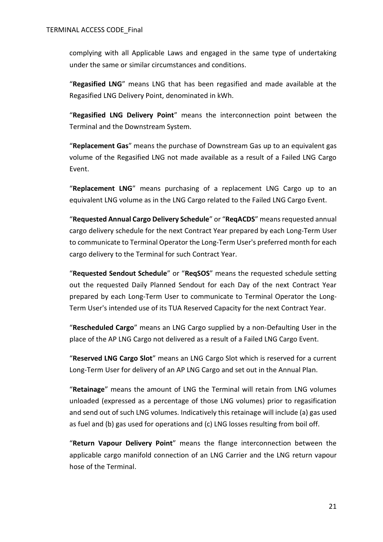complying with all Applicable Laws and engaged in the same type of undertaking under the same or similar circumstances and conditions.

"**Regasified LNG**" means LNG that has been regasified and made available at the Regasified LNG Delivery Point, denominated in kWh.

"**Regasified LNG Delivery Point**" means the interconnection point between the Terminal and the Downstream System.

"**Replacement Gas**" means the purchase of Downstream Gas up to an equivalent gas volume of the Regasified LNG not made available as a result of a Failed LNG Cargo Event.

"**Replacement LNG**" means purchasing of a replacement LNG Cargo up to an equivalent LNG volume as in the LNG Cargo related to the Failed LNG Cargo Event.

"**Requested Annual Cargo Delivery Schedule**" or "**ReqACDS**" means requested annual cargo delivery schedule for the next Contract Year prepared by each Long-Term User to communicate to Terminal Operator the Long-Term User's preferred month for each cargo delivery to the Terminal for such Contract Year.

"**Requested Sendout Schedule**" or "**ReqSOS**" means the requested schedule setting out the requested Daily Planned Sendout for each Day of the next Contract Year prepared by each Long-Term User to communicate to Terminal Operator the Long-Term User's intended use of its TUA Reserved Capacity for the next Contract Year.

"**Rescheduled Cargo**" means an LNG Cargo supplied by a non-Defaulting User in the place of the AP LNG Cargo not delivered as a result of a Failed LNG Cargo Event.

"**Reserved LNG Cargo Slot**" means an LNG Cargo Slot which is reserved for a current Long-Term User for delivery of an AP LNG Cargo and set out in the Annual Plan.

"**Retainage**" means the amount of LNG the Terminal will retain from LNG volumes unloaded (expressed as a percentage of those LNG volumes) prior to regasification and send out of such LNG volumes. Indicatively this retainage will include (a) gas used as fuel and (b) gas used for operations and (c) LNG losses resulting from boil off.

"**Return Vapour Delivery Point**" means the flange interconnection between the applicable cargo manifold connection of an LNG Carrier and the LNG return vapour hose of the Terminal.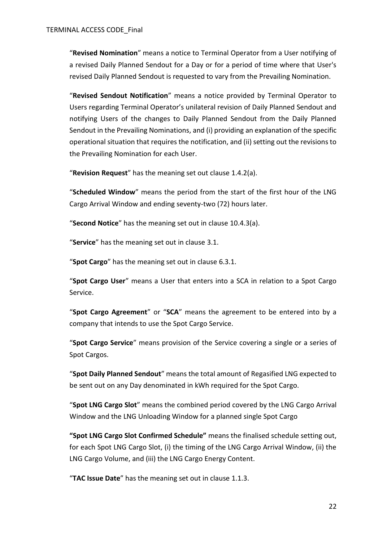"**Revised Nomination**" means a notice to Terminal Operator from a User notifying of a revised Daily Planned Sendout for a Day or for a period of time where that User's revised Daily Planned Sendout is requested to vary from the Prevailing Nomination.

"**Revised Sendout Notification**" means a notice provided by Terminal Operator to Users regarding Terminal Operator's unilateral revision of Daily Planned Sendout and notifying Users of the changes to Daily Planned Sendout from the Daily Planned Sendout in the Prevailing Nominations, and (i) providing an explanation of the specific operational situation that requires the notification, and (ii) setting out the revisions to the Prevailing Nomination for each User.

"**Revision Request**" has the meaning set out clause [1.4.2\(a\).](#page-6-1)

"**Scheduled Window**" means the period from the start of the first hour of the LNG Cargo Arrival Window and ending seventy-two (72) hours later.

"**Second Notice**" has the meaning set out in clause [10.4.3\(a\).](#page-58-1)

"**Service**" has the meaning set out in clause [3.1.](#page-27-0)

"**Spot Cargo**" has the meaning set out in clause [6.3.1.](#page-38-1)

"**Spot Cargo User**" means a User that enters into a SCA in relation to a Spot Cargo Service.

"**Spot Cargo Agreement**" or "**SCA**" means the agreement to be entered into by a company that intends to use the Spot Cargo Service.

"**Spot Cargo Service**" means provision of the Service covering a single or a series of Spot Cargos.

"**Spot Daily Planned Sendout**" means the total amount of Regasified LNG expected to be sent out on any Day denominated in kWh required for the Spot Cargo.

"**Spot LNG Cargo Slot**" means the combined period covered by the LNG Cargo Arrival Window and the LNG Unloading Window for a planned single Spot Cargo

**"Spot LNG Cargo Slot Confirmed Schedule"** means the finalised schedule setting out, for each Spot LNG Cargo Slot, (i) the timing of the LNG Cargo Arrival Window, (ii) the LNG Cargo Volume, and (iii) the LNG Cargo Energy Content.

"**TAC Issue Date**" has the meaning set out in clause [1.1.3.](#page-4-0)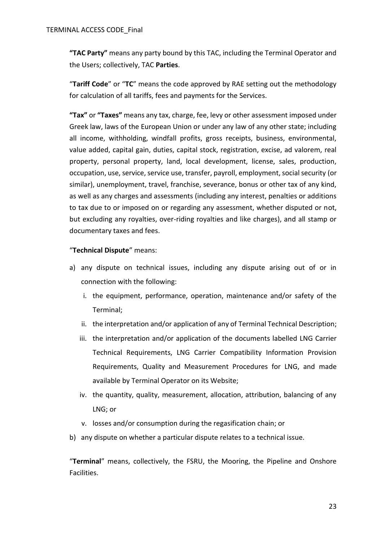**"TAC Party"** means any party bound by this TAC, including the Terminal Operator and the Users; collectively, TAC **Parties**.

"**Tariff Code**" or "**TC**" means the code approved by RAE setting out the methodology for calculation of all tariffs, fees and payments for the Services.

**"Tax"** or **"Taxes"** means any tax, charge, fee, levy or other assessment imposed under Greek law, laws of the European Union or under any law of any other state; including all income, withholding, windfall profits, gross receipts, business, environmental, value added, capital gain, duties, capital stock, registration, excise, ad valorem, real property, personal property, land, local development, license, sales, production, occupation, use, service, service use, transfer, payroll, employment, social security (or similar), unemployment, travel, franchise, severance, bonus or other tax of any kind, as well as any charges and assessments (including any interest, penalties or additions to tax due to or imposed on or regarding any assessment, whether disputed or not, but excluding any royalties, over-riding royalties and like charges), and all stamp or documentary taxes and fees.

## "**Technical Dispute**" means:

- a) any dispute on technical issues, including any dispute arising out of or in connection with the following:
	- i. the equipment, performance, operation, maintenance and/or safety of the Terminal;
	- ii. the interpretation and/or application of any of Terminal Technical Description;
	- iii. the interpretation and/or application of the documents labelled LNG Carrier Technical Requirements, LNG Carrier Compatibility Information Provision Requirements, Quality and Measurement Procedures for LNG, and made available by Terminal Operator on its Website;
	- iv. the quantity, quality, measurement, allocation, attribution, balancing of any LNG; or
	- v. losses and/or consumption during the regasification chain; or
- b) any dispute on whether a particular dispute relates to a technical issue.

"**Terminal**" means, collectively, the FSRU, the Mooring, the Pipeline and Onshore Facilities.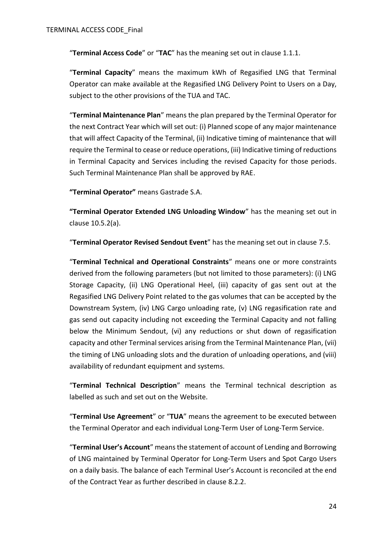"**Terminal Access Code**" or "**TAC**" has the meaning set out in clause [1.1.1.](#page-4-1)

"**Terminal Capacity**" means the maximum kWh of Regasified LNG that Terminal Operator can make available at the Regasified LNG Delivery Point to Users on a Day, subject to the other provisions of the TUA and TAC.

"**Terminal Maintenance Plan**" means the plan prepared by the Terminal Operator for the next Contract Year which will set out: (i) Planned scope of any major maintenance that will affect Capacity of the Terminal, (ii) Indicative timing of maintenance that will require the Terminal to cease or reduce operations, (iii) Indicative timing of reductions in Terminal Capacity and Services including the revised Capacity for those periods. Such Terminal Maintenance Plan shall be approved by RAE.

**"Terminal Operator"** means Gastrade S.A.

**"Terminal Operator Extended LNG Unloading Window**" has the meaning set out in clause [10.5.2\(a\).](#page-65-0)

"**Terminal Operator Revised Sendout Event**" has the meaning set out in clause [7.5.](#page-43-1)

"**Terminal Technical and Operational Constraints**" means one or more constraints derived from the following parameters (but not limited to those parameters): (i) LNG Storage Capacity, (ii) LNG Operational Heel, (iii) capacity of gas sent out at the Regasified LNG Delivery Point related to the gas volumes that can be accepted by the Downstream System, (iv) LNG Cargo unloading rate, (v) LNG regasification rate and gas send out capacity including not exceeding the Terminal Capacity and not falling below the Minimum Sendout, (vi) any reductions or shut down of regasification capacity and other Terminal services arising from the Terminal Maintenance Plan, (vii) the timing of LNG unloading slots and the duration of unloading operations, and (viii) availability of redundant equipment and systems.

"**Terminal Technical Description**" means the Terminal technical description as labelled as such and set out on the Website.

"**Terminal Use Agreement**" or "**TUA**" means the agreement to be executed between the Terminal Operator and each individual Long-Term User of Long-Term Service.

"**Terminal User's Account**" means the statement of account of Lending and Borrowing of LNG maintained by Terminal Operator for Long-Term Users and Spot Cargo Users on a daily basis. The balance of each Terminal User's Account is reconciled at the end of the Contract Year as further described in clause [8.2.2.](#page-46-0)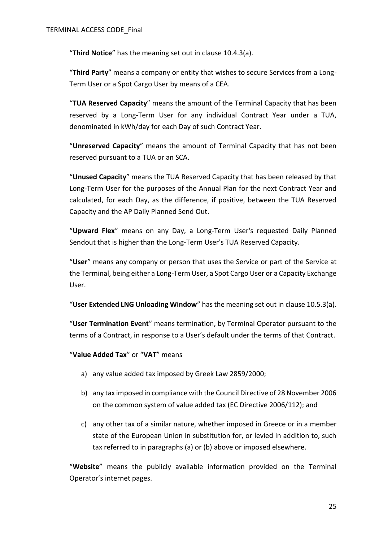"**Third Notice**" has the meaning set out in clause [10.4.3\(a\).](#page-58-1)

"**Third Party**" means a company or entity that wishes to secure Services from a Long-Term User or a Spot Cargo User by means of a CEA.

"**TUA Reserved Capacity**" means the amount of the Terminal Capacity that has been reserved by a Long-Term User for any individual Contract Year under a TUA, denominated in kWh/day for each Day of such Contract Year.

"**Unreserved Capacity**" means the amount of Terminal Capacity that has not been reserved pursuant to a TUA or an SCA.

"**Unused Capacity**" means the TUA Reserved Capacity that has been released by that Long-Term User for the purposes of the Annual Plan for the next Contract Year and calculated, for each Day, as the difference, if positive, between the TUA Reserved Capacity and the AP Daily Planned Send Out.

"**Upward Flex**" means on any Day, a Long-Term User's requested Daily Planned Sendout that is higher than the Long-Term User's TUA Reserved Capacity.

"**User**" means any company or person that uses the Service or part of the Service at the Terminal, being either a Long-Term User, a Spot Cargo User or a Capacity Exchange User.

"**User Extended LNG Unloading Window**" has the meaning set out in clause [10.5.3\(a\).](#page-66-0)

"**User Termination Event**" means termination, by Terminal Operator pursuant to the terms of a Contract, in response to a User's default under the terms of that Contract.

"**Value Added Tax**" or "**VAT**" means

- a) any value added tax imposed by Greek Law 2859/2000;
- b) any tax imposed in compliance with the Council Directive of 28 November 2006 on the common system of value added tax (EC Directive 2006/112); and
- c) any other tax of a similar nature, whether imposed in Greece or in a member state of the European Union in substitution for, or levied in addition to, such tax referred to in paragraphs (a) or (b) above or imposed elsewhere.

"**Website**" means the publicly available information provided on the Terminal Operator's internet pages.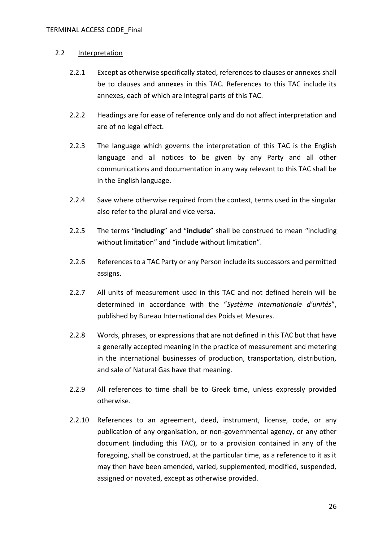#### 2.2 Interpretation

- 2.2.1 Except as otherwise specifically stated, references to clauses or annexes shall be to clauses and annexes in this TAC. References to this TAC include its annexes, each of which are integral parts of this TAC.
- 2.2.2 Headings are for ease of reference only and do not affect interpretation and are of no legal effect.
- 2.2.3 The language which governs the interpretation of this TAC is the English language and all notices to be given by any Party and all other communications and documentation in any way relevant to this TAC shall be in the English language.
- 2.2.4 Save where otherwise required from the context, terms used in the singular also refer to the plural and vice versa.
- 2.2.5 The terms "**including**" and "**include**" shall be construed to mean "including without limitation" and "include without limitation".
- 2.2.6 References to a TAC Party or any Person include its successors and permitted assigns.
- 2.2.7 All units of measurement used in this TAC and not defined herein will be determined in accordance with the "*Système Internationale d'unités*", published by Bureau International des Poids et Mesures.
- 2.2.8 Words, phrases, or expressions that are not defined in this TAC but that have a generally accepted meaning in the practice of measurement and metering in the international businesses of production, transportation, distribution, and sale of Natural Gas have that meaning.
- 2.2.9 All references to time shall be to Greek time, unless expressly provided otherwise.
- 2.2.10 References to an agreement, deed, instrument, license, code, or any publication of any organisation, or non-governmental agency, or any other document (including this TAC), or to a provision contained in any of the foregoing, shall be construed, at the particular time, as a reference to it as it may then have been amended, varied, supplemented, modified, suspended, assigned or novated, except as otherwise provided.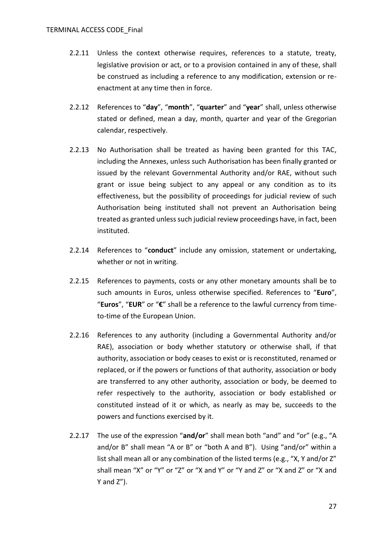- 2.2.11 Unless the context otherwise requires, references to a statute, treaty, legislative provision or act, or to a provision contained in any of these, shall be construed as including a reference to any modification, extension or reenactment at any time then in force.
- 2.2.12 References to "**day**", "**month**", "**quarter**" and "**year**" shall, unless otherwise stated or defined, mean a day, month, quarter and year of the Gregorian calendar, respectively.
- 2.2.13 No Authorisation shall be treated as having been granted for this TAC, including the Annexes, unless such Authorisation has been finally granted or issued by the relevant Governmental Authority and/or RAE, without such grant or issue being subject to any appeal or any condition as to its effectiveness, but the possibility of proceedings for judicial review of such Authorisation being instituted shall not prevent an Authorisation being treated as granted unless such judicial review proceedings have, in fact, been instituted.
- 2.2.14 References to "**conduct**" include any omission, statement or undertaking, whether or not in writing.
- 2.2.15 References to payments, costs or any other monetary amounts shall be to such amounts in Euros, unless otherwise specified. References to "**Euro**", "**Euros**", "**EUR**" or "**€**" shall be a reference to the lawful currency from timeto-time of the European Union.
- 2.2.16 References to any authority (including a Governmental Authority and/or RAE), association or body whether statutory or otherwise shall, if that authority, association or body ceases to exist or is reconstituted, renamed or replaced, or if the powers or functions of that authority, association or body are transferred to any other authority, association or body, be deemed to refer respectively to the authority, association or body established or constituted instead of it or which, as nearly as may be, succeeds to the powers and functions exercised by it.
- 2.2.17 The use of the expression "**and/or**" shall mean both "and" and "or" (e.g., "A and/or B" shall mean "A or B" or "both A and B"). Using "and/or" within a list shall mean all or any combination of the listed terms (e.g., "X, Y and/or Z" shall mean "X" or "Y" or "Z" or "X and Y" or "Y and Z" or "X and Z" or "X and Y and Z").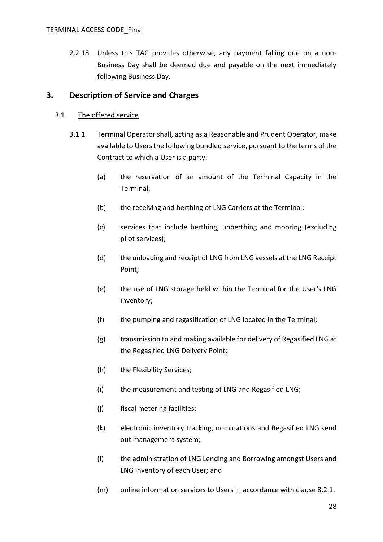2.2.18 Unless this TAC provides otherwise, any payment falling due on a non-Business Day shall be deemed due and payable on the next immediately following Business Day.

# **3. Description of Service and Charges**

### <span id="page-27-0"></span>3.1 The offered service

- 3.1.1 Terminal Operator shall, acting as a Reasonable and Prudent Operator, make available to Users the following bundled service, pursuant to the terms of the Contract to which a User is a party:
	- (a) the reservation of an amount of the Terminal Capacity in the Terminal;
	- (b) the receiving and berthing of LNG Carriers at the Terminal;
	- (c) services that include berthing, unberthing and mooring (excluding pilot services);
	- (d) the unloading and receipt of LNG from LNG vessels at the LNG Receipt Point;
	- (e) the use of LNG storage held within the Terminal for the User's LNG inventory;
	- (f) the pumping and regasification of LNG located in the Terminal;
	- (g) transmission to and making available for delivery of Regasified LNG at the Regasified LNG Delivery Point;
	- (h) the Flexibility Services;
	- (i) the measurement and testing of LNG and Regasified LNG;
	- (j) fiscal metering facilities;
	- (k) electronic inventory tracking, nominations and Regasified LNG send out management system;
	- (l) the administration of LNG Lending and Borrowing amongst Users and LNG inventory of each User; and
	- (m) online information services to Users in accordance with clause [8.2.1.](#page-46-1)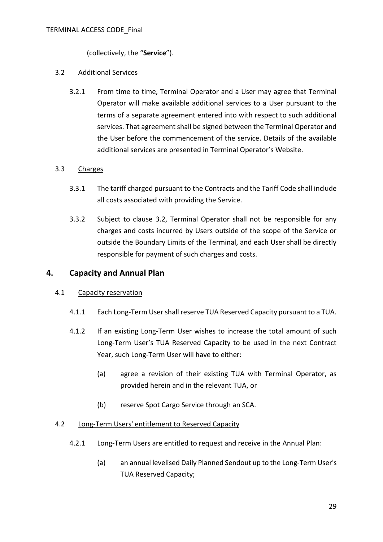(collectively, the "**Service**").

#### <span id="page-28-0"></span>3.2 Additional Services

3.2.1 From time to time, Terminal Operator and a User may agree that Terminal Operator will make available additional services to a User pursuant to the terms of a separate agreement entered into with respect to such additional services. That agreement shall be signed between the Terminal Operator and the User before the commencement of the service. Details of the available additional services are presented in Terminal Operator's Website.

## 3.3 Charges

- 3.3.1 The tariff charged pursuant to the Contracts and the Tariff Code shall include all costs associated with providing the Service.
- 3.3.2 Subject to clause [3.2,](#page-28-0) Terminal Operator shall not be responsible for any charges and costs incurred by Users outside of the scope of the Service or outside the Boundary Limits of the Terminal, and each User shall be directly responsible for payment of such charges and costs.

## **4. Capacity and Annual Plan**

## 4.1 Capacity reservation

- 4.1.1 Each Long-Term User shall reserve TUA Reserved Capacity pursuant to a TUA.
- 4.1.2 If an existing Long-Term User wishes to increase the total amount of such Long-Term User's TUA Reserved Capacity to be used in the next Contract Year, such Long-Term User will have to either:
	- (a) agree a revision of their existing TUA with Terminal Operator, as provided herein and in the relevant TUA, or
	- (b) reserve Spot Cargo Service through an SCA.

#### 4.2 Long-Term Users' entitlement to Reserved Capacity

- 4.2.1 Long-Term Users are entitled to request and receive in the Annual Plan:
	- (a) an annual levelised Daily Planned Sendout up to the Long-Term User's TUA Reserved Capacity;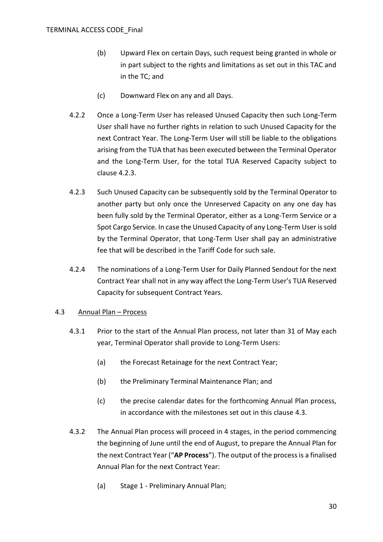- (b) Upward Flex on certain Days, such request being granted in whole or in part subject to the rights and limitations as set out in this TAC and in the TC; and
- (c) Downward Flex on any and all Days.
- 4.2.2 Once a Long-Term User has released Unused Capacity then such Long-Term User shall have no further rights in relation to such Unused Capacity for the next Contract Year. The Long-Term User will still be liable to the obligations arising from the TUA that has been executed between the Terminal Operator and the Long-Term User, for the total TUA Reserved Capacity subject to clause [4.2.3.](#page-29-1)
- <span id="page-29-1"></span>4.2.3 Such Unused Capacity can be subsequently sold by the Terminal Operator to another party but only once the Unreserved Capacity on any one day has been fully sold by the Terminal Operator, either as a Long-Term Service or a Spot Cargo Service. In case the Unused Capacity of any Long-Term User is sold by the Terminal Operator, that Long-Term User shall pay an administrative fee that will be described in the Tariff Code for such sale.
- 4.2.4 The nominations of a Long-Term User for Daily Planned Sendout for the next Contract Year shall not in any way affect the Long-Term User's TUA Reserved Capacity for subsequent Contract Years.

## <span id="page-29-0"></span>4.3 Annual Plan – Process

- 4.3.1 Prior to the start of the Annual Plan process, not later than 31 of May each year, Terminal Operator shall provide to Long-Term Users:
	- (a) the Forecast Retainage for the next Contract Year;
	- (b) the Preliminary Terminal Maintenance Plan; and
	- (c) the precise calendar dates for the forthcoming Annual Plan process, in accordance with the milestones set out in this clause [4.3.](#page-29-0)
- 4.3.2 The Annual Plan process will proceed in 4 stages, in the period commencing the beginning of June until the end of August, to prepare the Annual Plan for the next Contract Year ("**AP Process**"). The output of the process is a finalised Annual Plan for the next Contract Year:
	- (a) Stage 1 Preliminary Annual Plan;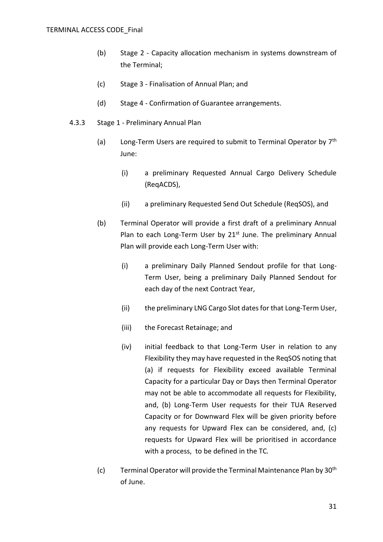- (b) Stage 2 Capacity allocation mechanism in systems downstream of the Terminal;
- (c) Stage 3 Finalisation of Annual Plan; and
- (d) Stage 4 Confirmation of Guarantee arrangements.
- 4.3.3 Stage 1 Preliminary Annual Plan
	- (a) Long-Term Users are required to submit to Terminal Operator by  $7<sup>th</sup>$ June:
		- (i) a preliminary Requested Annual Cargo Delivery Schedule (ReqACDS),
		- (ii) a preliminary Requested Send Out Schedule (ReqSOS), and
	- (b) Terminal Operator will provide a first draft of a preliminary Annual Plan to each Long-Term User by  $21<sup>st</sup>$  June. The preliminary Annual Plan will provide each Long-Term User with:
		- (i) a preliminary Daily Planned Sendout profile for that Long-Term User, being a preliminary Daily Planned Sendout for each day of the next Contract Year,
		- (ii) the preliminary LNG Cargo Slot dates for that Long-Term User,
		- (iii) the Forecast Retainage; and
		- (iv) initial feedback to that Long-Term User in relation to any Flexibility they may have requested in the ReqSOS noting that (a) if requests for Flexibility exceed available Terminal Capacity for a particular Day or Days then Terminal Operator may not be able to accommodate all requests for Flexibility, and, (b) Long-Term User requests for their TUA Reserved Capacity or for Downward Flex will be given priority before any requests for Upward Flex can be considered, and, (c) requests for Upward Flex will be prioritised in accordance with a process, to be defined in the TC*.*
	- (c) Terminal Operator will provide the Terminal Maintenance Plan by  $30<sup>th</sup>$ of June.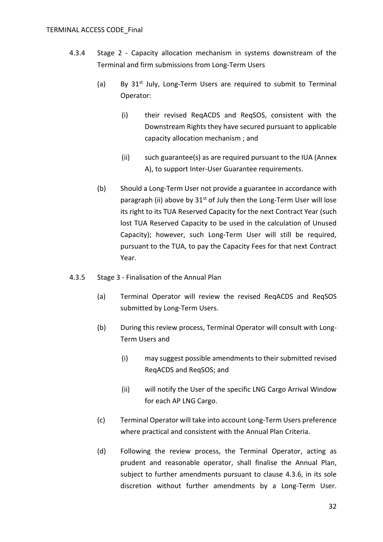- 4.3.4 Stage 2 Capacity allocation mechanism in systems downstream of the Terminal and firm submissions from Long-Term Users
	- (a) By  $31^{st}$  July, Long-Term Users are required to submit to Terminal Operator:
		- (i) their revised ReqACDS and ReqSOS, consistent with the Downstream Rights they have secured pursuant to applicable capacity allocation mechanism ; and
		- (ii) such guarantee(s) as are required pursuant to the IUA [\(Annex](#page-90-0)  [A\)](#page-90-0), to support Inter-User Guarantee requirements.
	- (b) Should a Long-Term User not provide a guarantee in accordance with paragraph (ii) above by  $31<sup>st</sup>$  of July then the Long-Term User will lose its right to its TUA Reserved Capacity for the next Contract Year (such lost TUA Reserved Capacity to be used in the calculation of Unused Capacity); however, such Long-Term User will still be required, pursuant to the TUA, to pay the Capacity Fees for that next Contract Year.
- 4.3.5 Stage 3 Finalisation of the Annual Plan
	- (a) Terminal Operator will review the revised ReqACDS and ReqSOS submitted by Long-Term Users.
	- (b) During this review process, Terminal Operator will consult with Long-Term Users and
		- (i) may suggest possible amendments to their submitted revised ReqACDS and ReqSOS; and
		- (ii) will notify the User of the specific LNG Cargo Arrival Window for each AP LNG Cargo.
	- (c) Terminal Operator will take into account Long-Term Users preference where practical and consistent with the Annual Plan Criteria.
	- (d) Following the review process, the Terminal Operator, acting as prudent and reasonable operator, shall finalise the Annual Plan, subject to further amendments pursuant to clause [4.3.6,](#page-32-0) in its sole discretion without further amendments by a Long-Term User.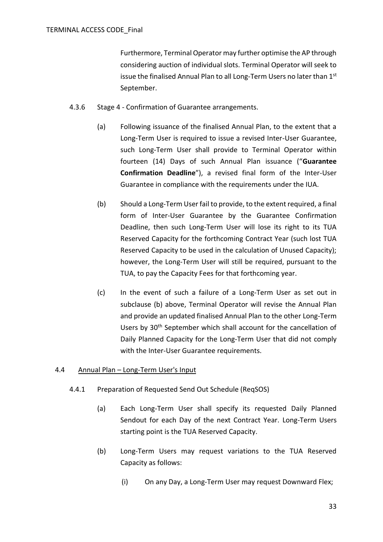Furthermore, Terminal Operator may further optimise the AP through considering auction of individual slots. Terminal Operator will seek to issue the finalised Annual Plan to all Long-Term Users no later than 1<sup>st</sup> September.

- <span id="page-32-1"></span><span id="page-32-0"></span>4.3.6 Stage 4 - Confirmation of Guarantee arrangements.
	- (a) Following issuance of the finalised Annual Plan, to the extent that a Long-Term User is required to issue a revised Inter-User Guarantee, such Long-Term User shall provide to Terminal Operator within fourteen (14) Days of such Annual Plan issuance ("**Guarantee Confirmation Deadline**"), a revised final form of the Inter-User Guarantee in compliance with the requirements under the IUA.
	- (b) Should a Long-Term User fail to provide, to the extent required, a final form of Inter-User Guarantee by the Guarantee Confirmation Deadline, then such Long-Term User will lose its right to its TUA Reserved Capacity for the forthcoming Contract Year (such lost TUA Reserved Capacity to be used in the calculation of Unused Capacity); however, the Long-Term User will still be required, pursuant to the TUA, to pay the Capacity Fees for that forthcoming year.
	- (c) In the event of such a failure of a Long-Term User as set out in subclause [\(b\)](#page-32-1) above, Terminal Operator will revise the Annual Plan and provide an updated finalised Annual Plan to the other Long-Term Users by 30<sup>th</sup> September which shall account for the cancellation of Daily Planned Capacity for the Long-Term User that did not comply with the Inter-User Guarantee requirements.

## 4.4 Annual Plan – Long-Term User's Input

- <span id="page-32-2"></span>4.4.1 Preparation of Requested Send Out Schedule (ReqSOS)
	- (a) Each Long-Term User shall specify its requested Daily Planned Sendout for each Day of the next Contract Year. Long-Term Users starting point is the TUA Reserved Capacity.
	- (b) Long-Term Users may request variations to the TUA Reserved Capacity as follows:
		- (i) On any Day, a Long-Term User may request Downward Flex;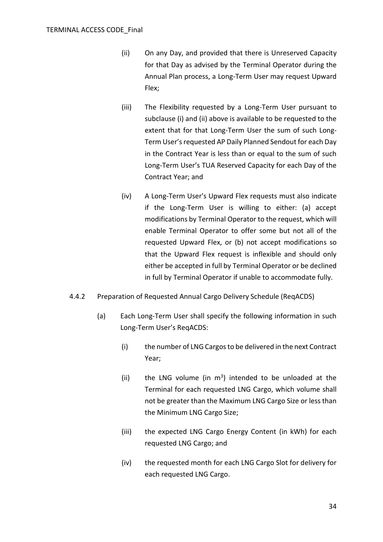- <span id="page-33-0"></span>(ii) On any Day, and provided that there is Unreserved Capacity for that Day as advised by the Terminal Operator during the Annual Plan process, a Long-Term User may request Upward Flex;
- (iii) The Flexibility requested by a Long-Term User pursuant to subclaus[e \(i\)](#page-32-2) and [\(ii\)](#page-33-0) above is available to be requested to the extent that for that Long-Term User the sum of such Long-Term User's requested AP Daily Planned Sendout for each Day in the Contract Year is less than or equal to the sum of such Long-Term User's TUA Reserved Capacity for each Day of the Contract Year; and
- (iv) A Long-Term User's Upward Flex requests must also indicate if the Long-Term User is willing to either: (a) accept modifications by Terminal Operator to the request, which will enable Terminal Operator to offer some but not all of the requested Upward Flex, or (b) not accept modifications so that the Upward Flex request is inflexible and should only either be accepted in full by Terminal Operator or be declined in full by Terminal Operator if unable to accommodate fully.
- 4.4.2 Preparation of Requested Annual Cargo Delivery Schedule (ReqACDS)
	- (a) Each Long-Term User shall specify the following information in such Long-Term User's ReqACDS:
		- (i) the number of LNG Cargos to be delivered in the next Contract Year;
		- (ii) the LNG volume (in  $m<sup>3</sup>$ ) intended to be unloaded at the Terminal for each requested LNG Cargo, which volume shall not be greater than the Maximum LNG Cargo Size or less than the Minimum LNG Cargo Size;
		- (iii) the expected LNG Cargo Energy Content (in kWh) for each requested LNG Cargo; and
		- (iv) the requested month for each LNG Cargo Slot for delivery for each requested LNG Cargo.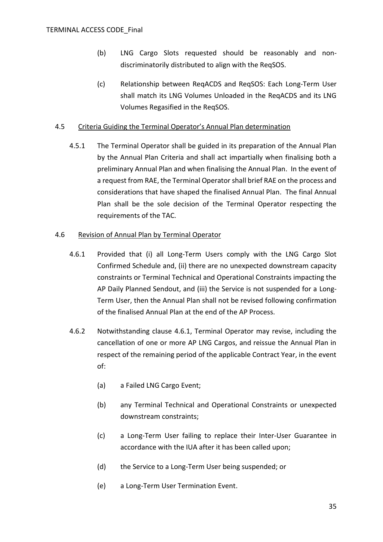- (b) LNG Cargo Slots requested should be reasonably and nondiscriminatorily distributed to align with the ReqSOS.
- (c) Relationship between ReqACDS and ReqSOS: Each Long-Term User shall match its LNG Volumes Unloaded in the ReqACDS and its LNG Volumes Regasified in the ReqSOS.

## 4.5 Criteria Guiding the Terminal Operator's Annual Plan determination

4.5.1 The Terminal Operator shall be guided in its preparation of the Annual Plan by the Annual Plan Criteria and shall act impartially when finalising both a preliminary Annual Plan and when finalising the Annual Plan. In the event of a request from RAE, the Terminal Operator shall brief RAE on the process and considerations that have shaped the finalised Annual Plan. The final Annual Plan shall be the sole decision of the Terminal Operator respecting the requirements of the TAC.

#### <span id="page-34-0"></span>4.6 Revision of Annual Plan by Terminal Operator

- 4.6.1 Provided that (i) all Long-Term Users comply with the LNG Cargo Slot Confirmed Schedule and, (ii) there are no unexpected downstream capacity constraints or Terminal Technical and Operational Constraints impacting the AP Daily Planned Sendout, and (iii) the Service is not suspended for a Long-Term User, then the Annual Plan shall not be revised following confirmation of the finalised Annual Plan at the end of the AP Process.
- 4.6.2 Notwithstanding clause [4.6.1,](#page-34-0) Terminal Operator may revise, including the cancellation of one or more AP LNG Cargos, and reissue the Annual Plan in respect of the remaining period of the applicable Contract Year, in the event of:
	- (a) a Failed LNG Cargo Event;
	- (b) any Terminal Technical and Operational Constraints or unexpected downstream constraints;
	- (c) a Long-Term User failing to replace their Inter-User Guarantee in accordance with the IUA after it has been called upon;
	- (d) the Service to a Long-Term User being suspended; or
	- (e) a Long-Term User Termination Event.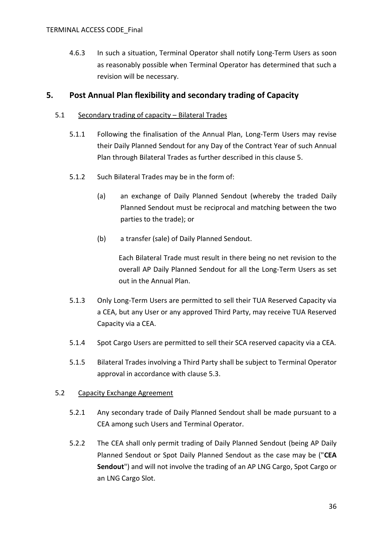4.6.3 In such a situation, Terminal Operator shall notify Long-Term Users as soon as reasonably possible when Terminal Operator has determined that such a revision will be necessary.

# <span id="page-35-1"></span>**5. Post Annual Plan flexibility and secondary trading of Capacity**

### 5.1 Secondary trading of capacity – Bilateral Trades

- 5.1.1 Following the finalisation of the Annual Plan, Long-Term Users may revise their Daily Planned Sendout for any Day of the Contract Year of such Annual Plan through Bilateral Trades as further described in this clause [5.](#page-35-1)
- 5.1.2 Such Bilateral Trades may be in the form of:
	- (a) an exchange of Daily Planned Sendout (whereby the traded Daily Planned Sendout must be reciprocal and matching between the two parties to the trade); or
	- (b) a transfer (sale) of Daily Planned Sendout.

Each Bilateral Trade must result in there being no net revision to the overall AP Daily Planned Sendout for all the Long-Term Users as set out in the Annual Plan.

- 5.1.3 Only Long-Term Users are permitted to sell their TUA Reserved Capacity via a CEA, but any User or any approved Third Party, may receive TUA Reserved Capacity via a CEA.
- 5.1.4 Spot Cargo Users are permitted to sell their SCA reserved capacity via a CEA.
- 5.1.5 Bilateral Trades involving a Third Party shall be subject to Terminal Operator approval in accordance with clause [5.3.](#page-36-1)

## 5.2 Capacity Exchange Agreement

- 5.2.1 Any secondary trade of Daily Planned Sendout shall be made pursuant to a CEA among such Users and Terminal Operator.
- <span id="page-35-0"></span>5.2.2 The CEA shall only permit trading of Daily Planned Sendout (being AP Daily Planned Sendout or Spot Daily Planned Sendout as the case may be ("**CEA Sendout**") and will not involve the trading of an AP LNG Cargo, Spot Cargo or an LNG Cargo Slot.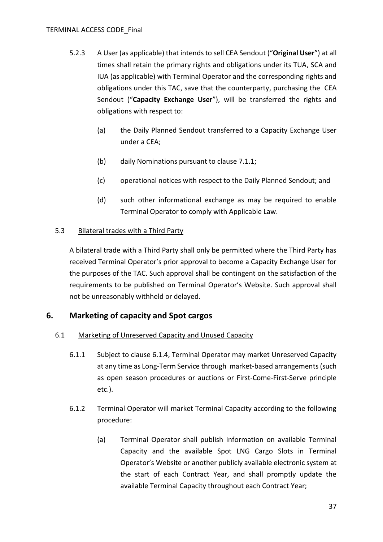- 5.2.3 A User (as applicable) that intends to sell CEA Sendout ("**Original User**") at all times shall retain the primary rights and obligations under its TUA, SCA and IUA (as applicable) with Terminal Operator and the corresponding rights and obligations under this TAC, save that the counterparty, purchasing the CEA Sendout ("**Capacity Exchange User**"), will be transferred the rights and obligations with respect to:
	- (a) the Daily Planned Sendout transferred to a Capacity Exchange User under a CEA;
	- (b) daily Nominations pursuant to clause [7.1.1;](#page-38-0)
	- (c) operational notices with respect to the Daily Planned Sendout; and
	- (d) such other informational exchange as may be required to enable Terminal Operator to comply with Applicable Law.

## 5.3 Bilateral trades with a Third Party

A bilateral trade with a Third Party shall only be permitted where the Third Party has received Terminal Operator's prior approval to become a Capacity Exchange User for the purposes of the TAC. Such approval shall be contingent on the satisfaction of the requirements to be published on Terminal Operator's Website. Such approval shall not be unreasonably withheld or delayed.

## **6. Marketing of capacity and Spot cargos**

## 6.1 Marketing of Unreserved Capacity and Unused Capacity

- 6.1.1 Subject to clause [6.1.4,](#page-37-0) Terminal Operator may market Unreserved Capacity at any time as Long-Term Service through market-based arrangements (such as open season procedures or auctions or First-Come-First-Serve principle etc.).
- 6.1.2 Terminal Operator will market Terminal Capacity according to the following procedure:
	- (a) Terminal Operator shall publish information on available Terminal Capacity and the available Spot LNG Cargo Slots in Terminal Operator's Website or another publicly available electronic system at the start of each Contract Year, and shall promptly update the available Terminal Capacity throughout each Contract Year;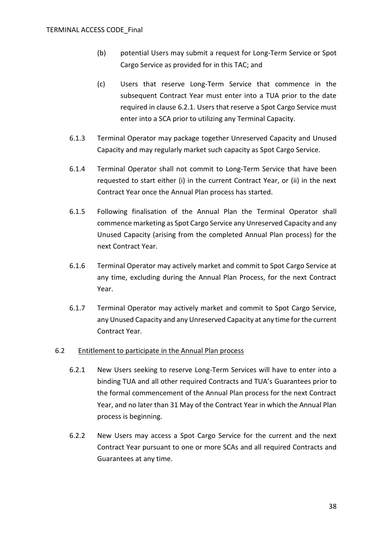- (b) potential Users may submit a request for Long-Term Service or Spot Cargo Service as provided for in this TAC; and
- (c) Users that reserve Long-Term Service that commence in the subsequent Contract Year must enter into a TUA prior to the date required in clause [6.2.1.](#page-37-1) Users that reserve a Spot Cargo Service must enter into a SCA prior to utilizing any Terminal Capacity.
- 6.1.3 Terminal Operator may package together Unreserved Capacity and Unused Capacity and may regularly market such capacity as Spot Cargo Service.
- <span id="page-37-0"></span>6.1.4 Terminal Operator shall not commit to Long-Term Service that have been requested to start either (i) in the current Contract Year, or (ii) in the next Contract Year once the Annual Plan process has started.
- 6.1.5 Following finalisation of the Annual Plan the Terminal Operator shall commence marketing as Spot Cargo Service any Unreserved Capacity and any Unused Capacity (arising from the completed Annual Plan process) for the next Contract Year.
- 6.1.6 Terminal Operator may actively market and commit to Spot Cargo Service at any time, excluding during the Annual Plan Process, for the next Contract Year.
- 6.1.7 Terminal Operator may actively market and commit to Spot Cargo Service, any Unused Capacity and any Unreserved Capacity at any time for the current Contract Year.

## <span id="page-37-1"></span>6.2 Entitlement to participate in the Annual Plan process

- 6.2.1 New Users seeking to reserve Long-Term Services will have to enter into a binding TUA and all other required Contracts and TUA's Guarantees prior to the formal commencement of the Annual Plan process for the next Contract Year, and no later than 31 May of the Contract Year in which the Annual Plan process is beginning.
- 6.2.2 New Users may access a Spot Cargo Service for the current and the next Contract Year pursuant to one or more SCAs and all required Contracts and Guarantees at any time.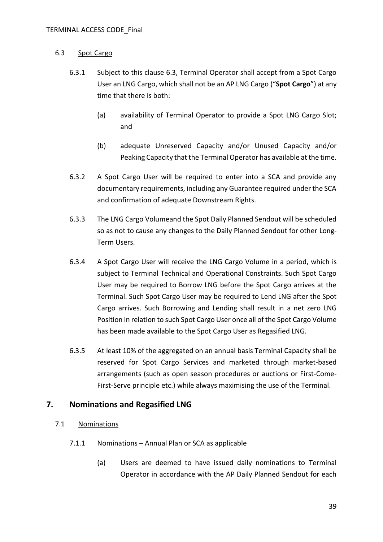## <span id="page-38-1"></span>6.3 Spot Cargo

- 6.3.1 Subject to this clause [6.3,](#page-38-1) Terminal Operator shall accept from a Spot Cargo User an LNG Cargo, which shall not be an AP LNG Cargo ("**Spot Cargo**") at any time that there is both:
	- (a) availability of Terminal Operator to provide a Spot LNG Cargo Slot; and
	- (b) adequate Unreserved Capacity and/or Unused Capacity and/or Peaking Capacity that the Terminal Operator has available at the time.
- 6.3.2 A Spot Cargo User will be required to enter into a SCA and provide any documentary requirements, including any Guarantee required under the SCA and confirmation of adequate Downstream Rights.
- 6.3.3 The LNG Cargo Volumeand the Spot Daily Planned Sendout will be scheduled so as not to cause any changes to the Daily Planned Sendout for other Long-Term Users.
- 6.3.4 A Spot Cargo User will receive the LNG Cargo Volume in a period, which is subject to Terminal Technical and Operational Constraints. Such Spot Cargo User may be required to Borrow LNG before the Spot Cargo arrives at the Terminal. Such Spot Cargo User may be required to Lend LNG after the Spot Cargo arrives. Such Borrowing and Lending shall result in a net zero LNG Position in relation to such Spot Cargo User once all of the Spot Cargo Volume has been made available to the Spot Cargo User as Regasified LNG.
- 6.3.5 At least 10% of the aggregated on an annual basis Terminal Capacity shall be reserved for Spot Cargo Services and marketed through market-based arrangements (such as open season procedures or auctions or First-Come-First-Serve principle etc.) while always maximising the use of the Terminal.

# **7. Nominations and Regasified LNG**

## <span id="page-38-0"></span>7.1 Nominations

- 7.1.1 Nominations Annual Plan or SCA as applicable
	- (a) Users are deemed to have issued daily nominations to Terminal Operator in accordance with the AP Daily Planned Sendout for each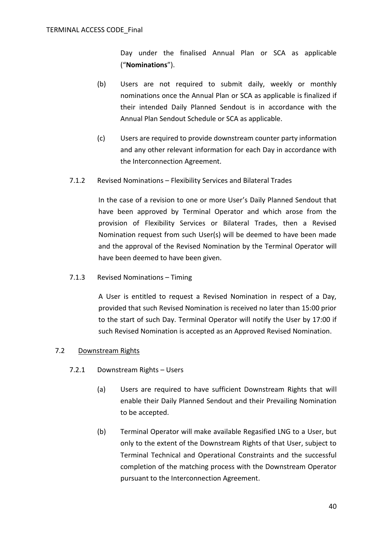Day under the finalised Annual Plan or SCA as applicable ("**Nominations**").

- (b) Users are not required to submit daily, weekly or monthly nominations once the Annual Plan or SCA as applicable is finalized if their intended Daily Planned Sendout is in accordance with the Annual Plan Sendout Schedule or SCA as applicable.
- (c) Users are required to provide downstream counter party information and any other relevant information for each Day in accordance with the Interconnection Agreement.
- 7.1.2 Revised Nominations Flexibility Services and Bilateral Trades

In the case of a revision to one or more User's Daily Planned Sendout that have been approved by Terminal Operator and which arose from the provision of Flexibility Services or Bilateral Trades, then a Revised Nomination request from such User(s) will be deemed to have been made and the approval of the Revised Nomination by the Terminal Operator will have been deemed to have been given.

7.1.3 Revised Nominations – Timing

A User is entitled to request a Revised Nomination in respect of a Day, provided that such Revised Nomination is received no later than 15:00 prior to the start of such Day. Terminal Operator will notify the User by 17:00 if such Revised Nomination is accepted as an Approved Revised Nomination.

## 7.2 Downstream Rights

- 7.2.1 Downstream Rights Users
	- (a) Users are required to have sufficient Downstream Rights that will enable their Daily Planned Sendout and their Prevailing Nomination to be accepted.
	- (b) Terminal Operator will make available Regasified LNG to a User, but only to the extent of the Downstream Rights of that User, subject to Terminal Technical and Operational Constraints and the successful completion of the matching process with the Downstream Operator pursuant to the Interconnection Agreement.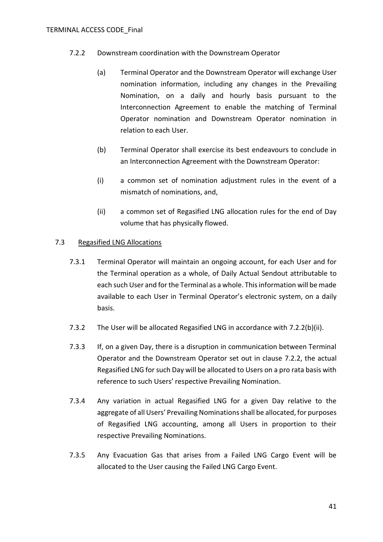- <span id="page-40-1"></span>7.2.2 Downstream coordination with the Downstream Operator
	- (a) Terminal Operator and the Downstream Operator will exchange User nomination information, including any changes in the Prevailing Nomination, on a daily and hourly basis pursuant to the Interconnection Agreement to enable the matching of Terminal Operator nomination and Downstream Operator nomination in relation to each User.
	- (b) Terminal Operator shall exercise its best endeavours to conclude in an Interconnection Agreement with the Downstream Operator:
	- (i) a common set of nomination adjustment rules in the event of a mismatch of nominations, and,
	- (ii) a common set of Regasified LNG allocation rules for the end of Day volume that has physically flowed.

## <span id="page-40-3"></span><span id="page-40-0"></span>7.3 Regasified LNG Allocations

- 7.3.1 Terminal Operator will maintain an ongoing account, for each User and for the Terminal operation as a whole, of Daily Actual Sendout attributable to each such User and for the Terminal as a whole. This information will be made available to each User in Terminal Operator's electronic system, on a daily basis.
- 7.3.2 The User will be allocated Regasified LNG in accordance with [7.2.2\(b\)\(ii\).](#page-40-0)
- 7.3.3 If, on a given Day, there is a disruption in communication between Terminal Operator and the Downstream Operator set out in clause [7.2.2,](#page-40-1) the actual Regasified LNG for such Day will be allocated to Users on a pro rata basis with reference to such Users' respective Prevailing Nomination.
- 7.3.4 Any variation in actual Regasified LNG for a given Day relative to the aggregate of all Users' Prevailing Nominations shall be allocated, for purposes of Regasified LNG accounting, among all Users in proportion to their respective Prevailing Nominations.
- <span id="page-40-2"></span>7.3.5 Any Evacuation Gas that arises from a Failed LNG Cargo Event will be allocated to the User causing the Failed LNG Cargo Event.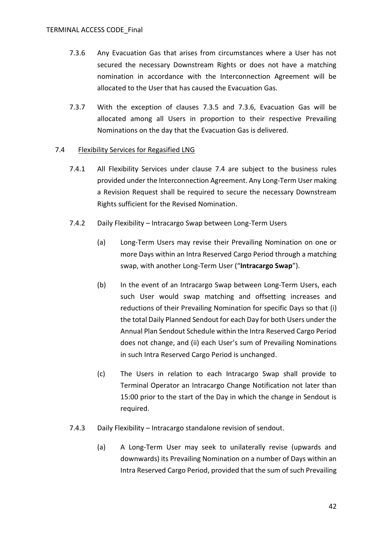- <span id="page-41-0"></span>7.3.6 Any Evacuation Gas that arises from circumstances where a User has not secured the necessary Downstream Rights or does not have a matching nomination in accordance with the Interconnection Agreement will be allocated to the User that has caused the Evacuation Gas.
- 7.3.7 With the exception of clauses [7.3.5](#page-40-2) and [7.3.6,](#page-41-0) Evacuation Gas will be allocated among all Users in proportion to their respective Prevailing Nominations on the day that the Evacuation Gas is delivered.

## <span id="page-41-2"></span><span id="page-41-1"></span>7.4 Flexibility Services for Regasified LNG

- 7.4.1 All Flexibility Services under clause [7.4](#page-41-1) are subject to the business rules provided under the Interconnection Agreement. Any Long-Term User making a Revision Request shall be required to secure the necessary Downstream Rights sufficient for the Revised Nomination.
- 7.4.2 Daily Flexibility Intracargo Swap between Long-Term Users
	- (a) Long-Term Users may revise their Prevailing Nomination on one or more Days within an Intra Reserved Cargo Period through a matching swap, with another Long-Term User ("**Intracargo Swap**").
	- (b) In the event of an Intracargo Swap between Long-Term Users, each such User would swap matching and offsetting increases and reductions of their Prevailing Nomination for specific Days so that (i) the total Daily Planned Sendout for each Day for both Users under the Annual Plan Sendout Schedule within the Intra Reserved Cargo Period does not change, and (ii) each User's sum of Prevailing Nominations in such Intra Reserved Cargo Period is unchanged.
	- (c) The Users in relation to each Intracargo Swap shall provide to Terminal Operator an Intracargo Change Notification not later than 15:00 prior to the start of the Day in which the change in Sendout is required.
- 7.4.3 Daily Flexibility Intracargo standalone revision of sendout.
	- (a) A Long-Term User may seek to unilaterally revise (upwards and downwards) its Prevailing Nomination on a number of Days within an Intra Reserved Cargo Period, provided that the sum of such Prevailing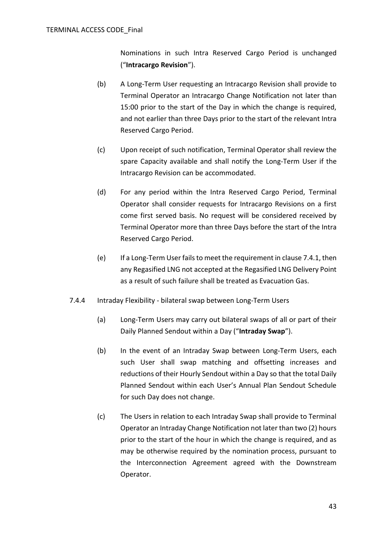Nominations in such Intra Reserved Cargo Period is unchanged ("**Intracargo Revision**").

- (b) A Long-Term User requesting an Intracargo Revision shall provide to Terminal Operator an Intracargo Change Notification not later than 15:00 prior to the start of the Day in which the change is required, and not earlier than three Days prior to the start of the relevant Intra Reserved Cargo Period.
- (c) Upon receipt of such notification, Terminal Operator shall review the spare Capacity available and shall notify the Long-Term User if the Intracargo Revision can be accommodated.
- (d) For any period within the Intra Reserved Cargo Period, Terminal Operator shall consider requests for Intracargo Revisions on a first come first served basis. No request will be considered received by Terminal Operator more than three Days before the start of the Intra Reserved Cargo Period.
- (e) If a Long-Term User fails to meet the requirement in claus[e 7.4.1,](#page-41-2) then any Regasified LNG not accepted at the Regasified LNG Delivery Point as a result of such failure shall be treated as Evacuation Gas.
- 7.4.4 Intraday Flexibility bilateral swap between Long-Term Users
	- (a) Long-Term Users may carry out bilateral swaps of all or part of their Daily Planned Sendout within a Day ("**Intraday Swap**").
	- (b) In the event of an Intraday Swap between Long-Term Users, each such User shall swap matching and offsetting increases and reductions of their Hourly Sendout within a Day so that the total Daily Planned Sendout within each User's Annual Plan Sendout Schedule for such Day does not change.
	- (c) The Users in relation to each Intraday Swap shall provide to Terminal Operator an Intraday Change Notification not later than two (2) hours prior to the start of the hour in which the change is required, and as may be otherwise required by the nomination process, pursuant to the Interconnection Agreement agreed with the Downstream Operator.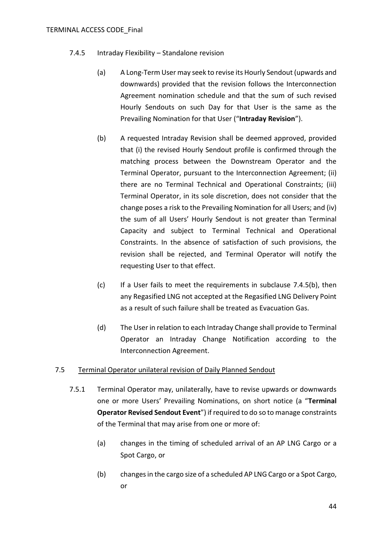- <span id="page-43-0"></span>7.4.5 Intraday Flexibility – Standalone revision
	- (a) A Long-Term User may seek to revise its Hourly Sendout (upwards and downwards) provided that the revision follows the Interconnection Agreement nomination schedule and that the sum of such revised Hourly Sendouts on such Day for that User is the same as the Prevailing Nomination for that User ("**Intraday Revision**").
	- (b) A requested Intraday Revision shall be deemed approved, provided that (i) the revised Hourly Sendout profile is confirmed through the matching process between the Downstream Operator and the Terminal Operator, pursuant to the Interconnection Agreement; (ii) there are no Terminal Technical and Operational Constraints; (iii) Terminal Operator, in its sole discretion, does not consider that the change poses a risk to the Prevailing Nomination for all Users; and (iv) the sum of all Users' Hourly Sendout is not greater than Terminal Capacity and subject to Terminal Technical and Operational Constraints. In the absence of satisfaction of such provisions, the revision shall be rejected, and Terminal Operator will notify the requesting User to that effect.
	- (c) If a User fails to meet the requirements in subclause [7.4.5\(b\),](#page-43-0) then any Regasified LNG not accepted at the Regasified LNG Delivery Point as a result of such failure shall be treated as Evacuation Gas.
	- (d) The User in relation to each Intraday Change shall provide to Terminal Operator an Intraday Change Notification according to the Interconnection Agreement.

## <span id="page-43-1"></span>7.5 Terminal Operator unilateral revision of Daily Planned Sendout

- 7.5.1 Terminal Operator may, unilaterally, have to revise upwards or downwards one or more Users' Prevailing Nominations, on short notice (a "**Terminal Operator Revised Sendout Event**") if required to do so to manage constraints of the Terminal that may arise from one or more of:
	- (a) changes in the timing of scheduled arrival of an AP LNG Cargo or a Spot Cargo, or
	- (b) changes in the cargo size of a scheduled AP LNG Cargo or a Spot Cargo, or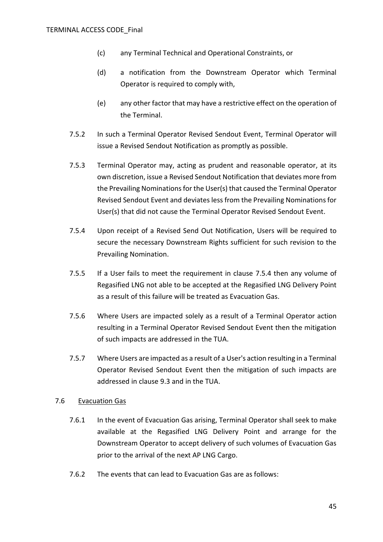- (c) any Terminal Technical and Operational Constraints, or
- (d) a notification from the Downstream Operator which Terminal Operator is required to comply with,
- (e) any other factor that may have a restrictive effect on the operation of the Terminal.
- 7.5.2 In such a Terminal Operator Revised Sendout Event, Terminal Operator will issue a Revised Sendout Notification as promptly as possible.
- 7.5.3 Terminal Operator may, acting as prudent and reasonable operator, at its own discretion, issue a Revised Sendout Notification that deviates more from the Prevailing Nominations for the User(s) that caused the Terminal Operator Revised Sendout Event and deviates less from the Prevailing Nominations for User(s) that did not cause the Terminal Operator Revised Sendout Event.
- <span id="page-44-0"></span>7.5.4 Upon receipt of a Revised Send Out Notification, Users will be required to secure the necessary Downstream Rights sufficient for such revision to the Prevailing Nomination.
- 7.5.5 If a User fails to meet the requirement in clause [7.5.4](#page-44-0) then any volume of Regasified LNG not able to be accepted at the Regasified LNG Delivery Point as a result of this failure will be treated as Evacuation Gas.
- 7.5.6 Where Users are impacted solely as a result of a Terminal Operator action resulting in a Terminal Operator Revised Sendout Event then the mitigation of such impacts are addressed in the TUA.
- 7.5.7 Where Users are impacted as a result of a User's action resulting in a Terminal Operator Revised Sendout Event then the mitigation of such impacts are addressed in clause [9.3](#page-49-0) and in the TUA.

### 7.6 Evacuation Gas

- 7.6.1 In the event of Evacuation Gas arising, Terminal Operator shall seek to make available at the Regasified LNG Delivery Point and arrange for the Downstream Operator to accept delivery of such volumes of Evacuation Gas prior to the arrival of the next AP LNG Cargo.
- 7.6.2 The events that can lead to Evacuation Gas are as follows: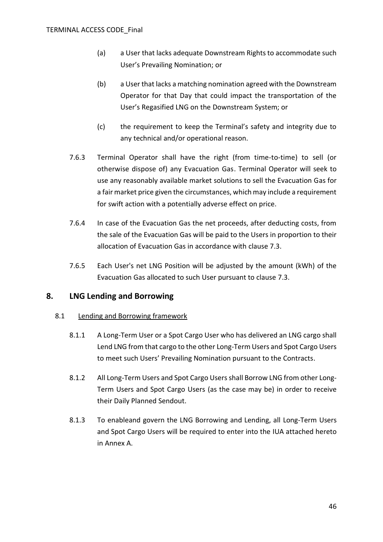- (a) a User that lacks adequate Downstream Rights to accommodate such User's Prevailing Nomination; or
- (b) a User that lacks a matching nomination agreed with the Downstream Operator for that Day that could impact the transportation of the User's Regasified LNG on the Downstream System; or
- (c) the requirement to keep the Terminal's safety and integrity due to any technical and/or operational reason.
- 7.6.3 Terminal Operator shall have the right (from time-to-time) to sell (or otherwise dispose of) any Evacuation Gas. Terminal Operator will seek to use any reasonably available market solutions to sell the Evacuation Gas for a fair market price given the circumstances, which may include a requirement for swift action with a potentially adverse effect on price.
- 7.6.4 In case of the Evacuation Gas the net proceeds, after deducting costs, from the sale of the Evacuation Gas will be paid to the Users in proportion to their allocation of Evacuation Gas in accordance with clause [7.3.](#page-40-3)
- 7.6.5 Each User's net LNG Position will be adjusted by the amount (kWh) of the Evacuation Gas allocated to such User pursuant to clause [7.3.](#page-40-3)

# **8. LNG Lending and Borrowing**

## 8.1 Lending and Borrowing framework

- 8.1.1 A Long-Term User or a Spot Cargo User who has delivered an LNG cargo shall Lend LNG from that cargo to the other Long-Term Users and Spot Cargo Users to meet such Users' Prevailing Nomination pursuant to the Contracts.
- 8.1.2 All Long-Term Users and Spot Cargo Users shall Borrow LNG from other Long-Term Users and Spot Cargo Users (as the case may be) in order to receive their Daily Planned Sendout.
- 8.1.3 To enableand govern the LNG Borrowing and Lending, all Long-Term Users and Spot Cargo Users will be required to enter into the IUA attached hereto in [Annex A.](#page-90-0)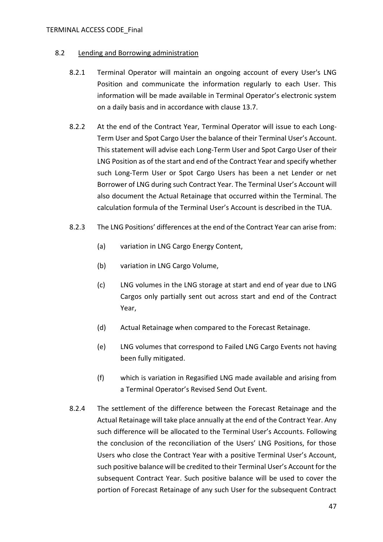### TERMINAL ACCESS CODE\_Final

## 8.2 Lending and Borrowing administration

- 8.2.1 Terminal Operator will maintain an ongoing account of every User's LNG Position and communicate the information regularly to each User. This information will be made available in Terminal Operator's electronic system on a daily basis and in accordance with clause [13.7.](#page-87-0)
- 8.2.2 At the end of the Contract Year, Terminal Operator will issue to each Long-Term User and Spot Cargo User the balance of their Terminal User's Account. This statement will advise each Long-Term User and Spot Cargo User of their LNG Position as of the start and end of the Contract Year and specify whether such Long-Term User or Spot Cargo Users has been a net Lender or net Borrower of LNG during such Contract Year. The Terminal User's Account will also document the Actual Retainage that occurred within the Terminal. The calculation formula of the Terminal User's Account is described in the TUA.
- 8.2.3 The LNG Positions' differences at the end of the Contract Year can arise from:
	- (a) variation in LNG Cargo Energy Content,
	- (b) variation in LNG Cargo Volume,
	- (c) LNG volumes in the LNG storage at start and end of year due to LNG Cargos only partially sent out across start and end of the Contract Year,
	- (d) Actual Retainage when compared to the Forecast Retainage.
	- (e) LNG volumes that correspond to Failed LNG Cargo Events not having been fully mitigated.
	- (f) which is variation in Regasified LNG made available and arising from a Terminal Operator's Revised Send Out Event.
- 8.2.4 The settlement of the difference between the Forecast Retainage and the Actual Retainage will take place annually at the end of the Contract Year. Any such difference will be allocated to the Terminal User's Accounts. Following the conclusion of the reconciliation of the Users' LNG Positions, for those Users who close the Contract Year with a positive Terminal User's Account, such positive balance will be credited to their Terminal User's Account for the subsequent Contract Year. Such positive balance will be used to cover the portion of Forecast Retainage of any such User for the subsequent Contract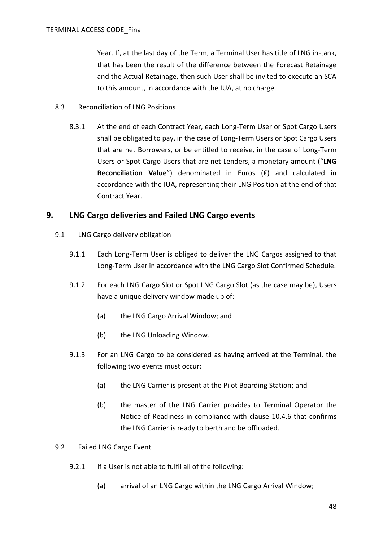Year. If, at the last day of the Term, a Terminal User has title of LNG in-tank, that has been the result of the difference between the Forecast Retainage and the Actual Retainage, then such User shall be invited to execute an SCA to this amount, in accordance with the IUA, at no charge.

## 8.3 Reconciliation of LNG Positions

8.3.1 At the end of each Contract Year, each Long-Term User or Spot Cargo Users shall be obligated to pay, in the case of Long-Term Users or Spot Cargo Users that are net Borrowers, or be entitled to receive, in the case of Long-Term Users or Spot Cargo Users that are net Lenders, a monetary amount ("**LNG Reconciliation Value**") denominated in Euros (€) and calculated in accordance with the IUA, representing their LNG Position at the end of that Contract Year.

## **9. LNG Cargo deliveries and Failed LNG Cargo events**

## 9.1 LNG Cargo delivery obligation

- 9.1.1 Each Long-Term User is obliged to deliver the LNG Cargos assigned to that Long-Term User in accordance with the LNG Cargo Slot Confirmed Schedule.
- 9.1.2 For each LNG Cargo Slot or Spot LNG Cargo Slot (as the case may be), Users have a unique delivery window made up of:
	- (a) the LNG Cargo Arrival Window; and
	- (b) the LNG Unloading Window.
- 9.1.3 For an LNG Cargo to be considered as having arrived at the Terminal, the following two events must occur:
	- (a) the LNG Carrier is present at the Pilot Boarding Station; and
	- (b) the master of the LNG Carrier provides to Terminal Operator the Notice of Readiness in compliance with clause [10.4.6](#page-60-0) that confirms the LNG Carrier is ready to berth and be offloaded.

## <span id="page-47-1"></span><span id="page-47-0"></span>9.2 Failed LNG Cargo Event

- 9.2.1 If a User is not able to fulfil all of the following:
	- (a) arrival of an LNG Cargo within the LNG Cargo Arrival Window;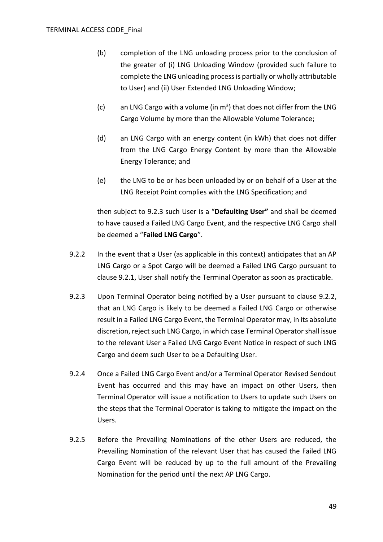- (b) completion of the LNG unloading process prior to the conclusion of the greater of (i) LNG Unloading Window (provided such failure to complete the LNG unloading process is partially or wholly attributable to User) and (ii) User Extended LNG Unloading Window;
- (c) an LNG Cargo with a volume (in  $m<sup>3</sup>$ ) that does not differ from the LNG Cargo Volume by more than the Allowable Volume Tolerance;
- (d) an LNG Cargo with an energy content (in kWh) that does not differ from the LNG Cargo Energy Content by more than the Allowable Energy Tolerance; and
- (e) the LNG to be or has been unloaded by or on behalf of a User at the LNG Receipt Point complies with the LNG Specification; and

then subject to [9.2.3](#page-48-0) such User is a "**Defaulting User"** and shall be deemed to have caused a Failed LNG Cargo Event, and the respective LNG Cargo shall be deemed a "**Failed LNG Cargo**".

- <span id="page-48-1"></span>9.2.2 In the event that a User (as applicable in this context) anticipates that an AP LNG Cargo or a Spot Cargo will be deemed a Failed LNG Cargo pursuant to clause [9.2.1,](#page-47-0) User shall notify the Terminal Operator as soon as practicable.
- <span id="page-48-0"></span>9.2.3 Upon Terminal Operator being notified by a User pursuant to clause [9.2.2,](#page-48-1) that an LNG Cargo is likely to be deemed a Failed LNG Cargo or otherwise result in a Failed LNG Cargo Event, the Terminal Operator may, in its absolute discretion, reject such LNG Cargo, in which case Terminal Operator shall issue to the relevant User a Failed LNG Cargo Event Notice in respect of such LNG Cargo and deem such User to be a Defaulting User.
- 9.2.4 Once a Failed LNG Cargo Event and/or a Terminal Operator Revised Sendout Event has occurred and this may have an impact on other Users, then Terminal Operator will issue a notification to Users to update such Users on the steps that the Terminal Operator is taking to mitigate the impact on the Users.
- 9.2.5 Before the Prevailing Nominations of the other Users are reduced, the Prevailing Nomination of the relevant User that has caused the Failed LNG Cargo Event will be reduced by up to the full amount of the Prevailing Nomination for the period until the next AP LNG Cargo.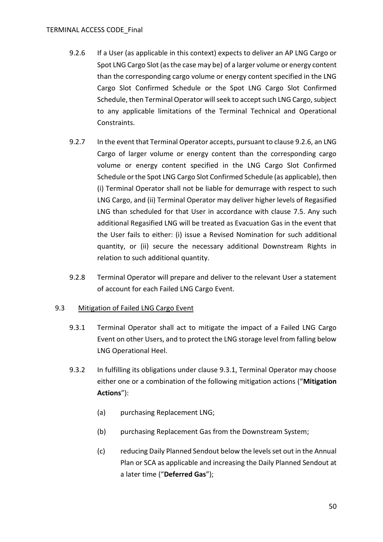- <span id="page-49-1"></span>9.2.6 If a User (as applicable in this context) expects to deliver an AP LNG Cargo or Spot LNG Cargo Slot (as the case may be) of a larger volume or energy content than the corresponding cargo volume or energy content specified in the LNG Cargo Slot Confirmed Schedule or the Spot LNG Cargo Slot Confirmed Schedule, then Terminal Operator will seek to accept such LNG Cargo, subject to any applicable limitations of the Terminal Technical and Operational Constraints.
- <span id="page-49-3"></span>9.2.7 In the event that Terminal Operator accepts, pursuant to clause [9.2.6,](#page-49-1) an LNG Cargo of larger volume or energy content than the corresponding cargo volume or energy content specified in the LNG Cargo Slot Confirmed Schedule or the Spot LNG Cargo Slot Confirmed Schedule (as applicable), then (i) Terminal Operator shall not be liable for demurrage with respect to such LNG Cargo, and (ii) Terminal Operator may deliver higher levels of Regasified LNG than scheduled for that User in accordance with clause [7.5.](#page-43-1) Any such additional Regasified LNG will be treated as Evacuation Gas in the event that the User fails to either: (i) issue a Revised Nomination for such additional quantity, or (ii) secure the necessary additional Downstream Rights in relation to such additional quantity.
- 9.2.8 Terminal Operator will prepare and deliver to the relevant User a statement of account for each Failed LNG Cargo Event.

## <span id="page-49-2"></span><span id="page-49-0"></span>9.3 Mitigation of Failed LNG Cargo Event

- 9.3.1 Terminal Operator shall act to mitigate the impact of a Failed LNG Cargo Event on other Users, and to protect the LNG storage level from falling below LNG Operational Heel.
- 9.3.2 In fulfilling its obligations under clause [9.3.1,](#page-49-2) Terminal Operator may choose either one or a combination of the following mitigation actions ("**Mitigation Actions**"):
	- (a) purchasing Replacement LNG;
	- (b) purchasing Replacement Gas from the Downstream System;
	- (c) reducing Daily Planned Sendout below the levels set out in the Annual Plan or SCA as applicable and increasing the Daily Planned Sendout at a later time ("**Deferred Gas**");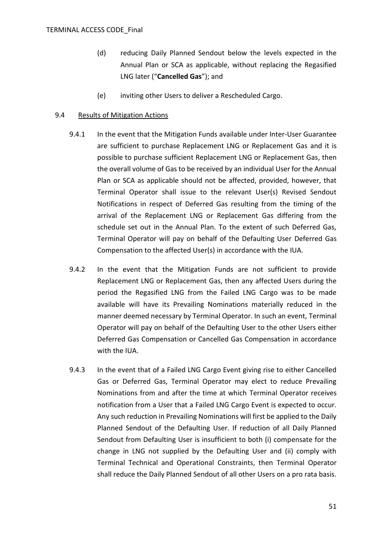- (d) reducing Daily Planned Sendout below the levels expected in the Annual Plan or SCA as applicable, without replacing the Regasified LNG later ("**Cancelled Gas**"); and
- (e) inviting other Users to deliver a Rescheduled Cargo.

## 9.4 Results of Mitigation Actions

- 9.4.1 In the event that the Mitigation Funds available under Inter-User Guarantee are sufficient to purchase Replacement LNG or Replacement Gas and it is possible to purchase sufficient Replacement LNG or Replacement Gas, then the overall volume of Gas to be received by an individual User for the Annual Plan or SCA as applicable should not be affected, provided, however, that Terminal Operator shall issue to the relevant User(s) Revised Sendout Notifications in respect of Deferred Gas resulting from the timing of the arrival of the Replacement LNG or Replacement Gas differing from the schedule set out in the Annual Plan. To the extent of such Deferred Gas, Terminal Operator will pay on behalf of the Defaulting User Deferred Gas Compensation to the affected User(s) in accordance with the IUA.
- 9.4.2 In the event that the Mitigation Funds are not sufficient to provide Replacement LNG or Replacement Gas, then any affected Users during the period the Regasified LNG from the Failed LNG Cargo was to be made available will have its Prevailing Nominations materially reduced in the manner deemed necessary by Terminal Operator. In such an event, Terminal Operator will pay on behalf of the Defaulting User to the other Users either Deferred Gas Compensation or Cancelled Gas Compensation in accordance with the IUA.
- 9.4.3 In the event that of a Failed LNG Cargo Event giving rise to either Cancelled Gas or Deferred Gas, Terminal Operator may elect to reduce Prevailing Nominations from and after the time at which Terminal Operator receives notification from a User that a Failed LNG Cargo Event is expected to occur. Any such reduction in Prevailing Nominations will first be applied to the Daily Planned Sendout of the Defaulting User. If reduction of all Daily Planned Sendout from Defaulting User is insufficient to both (i) compensate for the change in LNG not supplied by the Defaulting User and (ii) comply with Terminal Technical and Operational Constraints, then Terminal Operator shall reduce the Daily Planned Sendout of all other Users on a pro rata basis.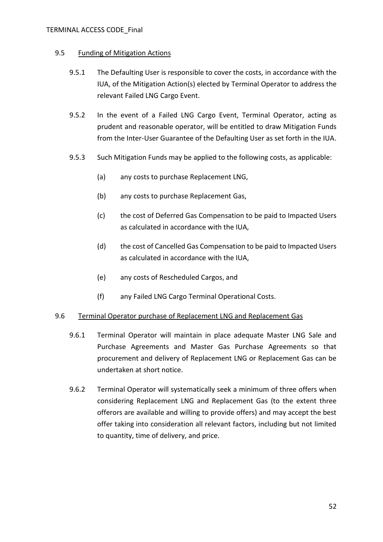## 9.5 Funding of Mitigation Actions

- 9.5.1 The Defaulting User is responsible to cover the costs, in accordance with the IUA, of the Mitigation Action(s) elected by Terminal Operator to address the relevant Failed LNG Cargo Event.
- 9.5.2 In the event of a Failed LNG Cargo Event, Terminal Operator, acting as prudent and reasonable operator, will be entitled to draw Mitigation Funds from the Inter-User Guarantee of the Defaulting User as set forth in the IUA.
- 9.5.3 Such Mitigation Funds may be applied to the following costs, as applicable:
	- (a) any costs to purchase Replacement LNG,
	- (b) any costs to purchase Replacement Gas,
	- (c) the cost of Deferred Gas Compensation to be paid to Impacted Users as calculated in accordance with the IUA,
	- (d) the cost of Cancelled Gas Compensation to be paid to Impacted Users as calculated in accordance with the IUA,
	- (e) any costs of Rescheduled Cargos, and
	- (f) any Failed LNG Cargo Terminal Operational Costs.

## 9.6 Terminal Operator purchase of Replacement LNG and Replacement Gas

- 9.6.1 Terminal Operator will maintain in place adequate Master LNG Sale and Purchase Agreements and Master Gas Purchase Agreements so that procurement and delivery of Replacement LNG or Replacement Gas can be undertaken at short notice.
- 9.6.2 Terminal Operator will systematically seek a minimum of three offers when considering Replacement LNG and Replacement Gas (to the extent three offerors are available and willing to provide offers) and may accept the best offer taking into consideration all relevant factors, including but not limited to quantity, time of delivery, and price.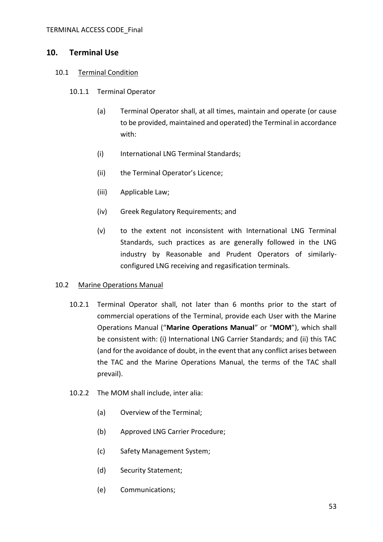## <span id="page-52-0"></span>**10. Terminal Use**

## 10.1 Terminal Condition

- 10.1.1 Terminal Operator
	- (a) Terminal Operator shall, at all times, maintain and operate (or cause to be provided, maintained and operated) the Terminal in accordance with:
	- (i) International LNG Terminal Standards;
	- (ii) the Terminal Operator's Licence;
	- (iii) Applicable Law;
	- (iv) Greek Regulatory Requirements; and
	- (v) to the extent not inconsistent with International LNG Terminal Standards, such practices as are generally followed in the LNG industry by Reasonable and Prudent Operators of similarlyconfigured LNG receiving and regasification terminals.

## 10.2 Marine Operations Manual

- 10.2.1 Terminal Operator shall, not later than 6 months prior to the start of commercial operations of the Terminal, provide each User with the Marine Operations Manual ("**Marine Operations Manual**" or "**MOM**"), which shall be consistent with: (i) International LNG Carrier Standards; and (ii) this TAC (and for the avoidance of doubt, in the event that any conflict arises between the TAC and the Marine Operations Manual, the terms of the TAC shall prevail).
- 10.2.2 The MOM shall include, inter alia:
	- (a) Overview of the Terminal;
	- (b) Approved LNG Carrier Procedure;
	- (c) Safety Management System;
	- (d) Security Statement;
	- (e) Communications;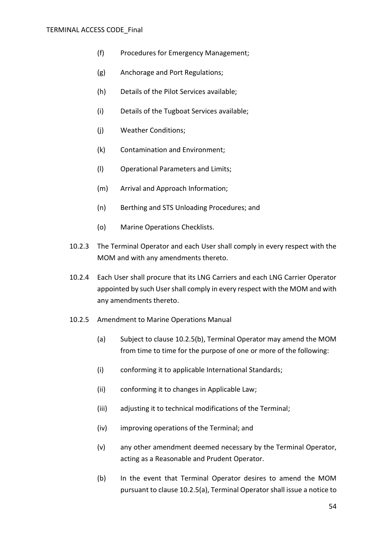#### TERMINAL ACCESS CODE\_Final

- (f) Procedures for Emergency Management;
- (g) Anchorage and Port Regulations;
- (h) Details of the Pilot Services available;
- (i) Details of the Tugboat Services available;
- (j) Weather Conditions;
- (k) Contamination and Environment;
- (l) Operational Parameters and Limits;
- (m) Arrival and Approach Information;
- (n) Berthing and STS Unloading Procedures; and
- (o) Marine Operations Checklists.
- 10.2.3 The Terminal Operator and each User shall comply in every respect with the MOM and with any amendments thereto.
- 10.2.4 Each User shall procure that its LNG Carriers and each LNG Carrier Operator appointed by such User shall comply in every respect with the MOM and with any amendments thereto.
- <span id="page-53-1"></span><span id="page-53-0"></span>10.2.5 Amendment to Marine Operations Manual
	- (a) Subject to clause [10.2.5\(b\),](#page-53-0) Terminal Operator may amend the MOM from time to time for the purpose of one or more of the following:
	- (i) conforming it to applicable International Standards;
	- (ii) conforming it to changes in Applicable Law;
	- (iii) adjusting it to technical modifications of the Terminal;
	- (iv) improving operations of the Terminal; and
	- (v) any other amendment deemed necessary by the Terminal Operator, acting as a Reasonable and Prudent Operator.
	- (b) In the event that Terminal Operator desires to amend the MOM pursuant to clause [10.2.5\(a\),](#page-53-1) Terminal Operator shall issue a notice to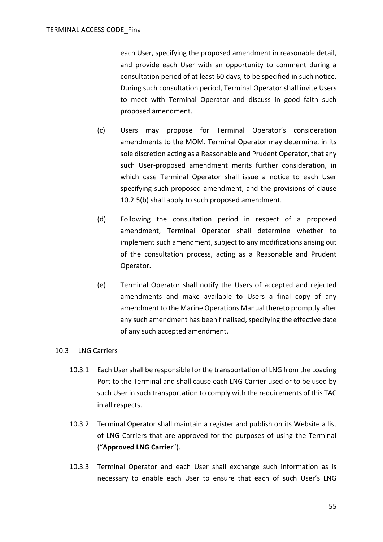each User, specifying the proposed amendment in reasonable detail, and provide each User with an opportunity to comment during a consultation period of at least 60 days, to be specified in such notice. During such consultation period, Terminal Operator shall invite Users to meet with Terminal Operator and discuss in good faith such proposed amendment.

- (c) Users may propose for Terminal Operator's consideration amendments to the MOM. Terminal Operator may determine, in its sole discretion acting as a Reasonable and Prudent Operator, that any such User-proposed amendment merits further consideration, in which case Terminal Operator shall issue a notice to each User specifying such proposed amendment, and the provisions of clause [10.2.5\(b\)](#page-53-0) shall apply to such proposed amendment.
- (d) Following the consultation period in respect of a proposed amendment, Terminal Operator shall determine whether to implement such amendment, subject to any modifications arising out of the consultation process, acting as a Reasonable and Prudent Operator.
- (e) Terminal Operator shall notify the Users of accepted and rejected amendments and make available to Users a final copy of any amendment to the Marine Operations Manual thereto promptly after any such amendment has been finalised, specifying the effective date of any such accepted amendment.

## <span id="page-54-0"></span>10.3 LNG Carriers

- 10.3.1 Each User shall be responsible for the transportation of LNG from the Loading Port to the Terminal and shall cause each LNG Carrier used or to be used by such User in such transportation to comply with the requirements of this TAC in all respects.
- 10.3.2 Terminal Operator shall maintain a register and publish on its Website a list of LNG Carriers that are approved for the purposes of using the Terminal ("**Approved LNG Carrier**").
- 10.3.3 Terminal Operator and each User shall exchange such information as is necessary to enable each User to ensure that each of such User's LNG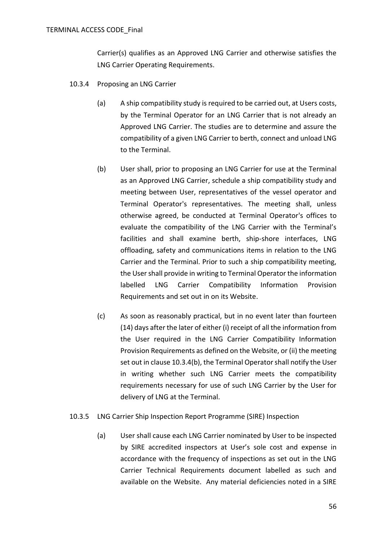Carrier(s) qualifies as an Approved LNG Carrier and otherwise satisfies the LNG Carrier Operating Requirements.

- <span id="page-55-0"></span>10.3.4 Proposing an LNG Carrier
	- (a) A ship compatibility study is required to be carried out, at Users costs, by the Terminal Operator for an LNG Carrier that is not already an Approved LNG Carrier. The studies are to determine and assure the compatibility of a given LNG Carrier to berth, connect and unload LNG to the Terminal.
	- (b) User shall, prior to proposing an LNG Carrier for use at the Terminal as an Approved LNG Carrier, schedule a ship compatibility study and meeting between User, representatives of the vessel operator and Terminal Operator's representatives. The meeting shall, unless otherwise agreed, be conducted at Terminal Operator's offices to evaluate the compatibility of the LNG Carrier with the Terminal's facilities and shall examine berth, ship-shore interfaces, LNG offloading, safety and communications items in relation to the LNG Carrier and the Terminal. Prior to such a ship compatibility meeting, the User shall provide in writing to Terminal Operator the information labelled LNG Carrier Compatibility Information Provision Requirements and set out in on its Website.
	- (c) As soon as reasonably practical, but in no event later than fourteen (14) days after the later of either (i) receipt of all the information from the User required in the LNG Carrier Compatibility Information Provision Requirements as defined on the Website, or (ii) the meeting set out in clause [10.3.4\(b\),](#page-55-0) the Terminal Operator shall notify the User in writing whether such LNG Carrier meets the compatibility requirements necessary for use of such LNG Carrier by the User for delivery of LNG at the Terminal.
- <span id="page-55-1"></span>10.3.5 LNG Carrier Ship Inspection Report Programme (SIRE) Inspection
	- (a) User shall cause each LNG Carrier nominated by User to be inspected by SIRE accredited inspectors at User's sole cost and expense in accordance with the frequency of inspections as set out in the LNG Carrier Technical Requirements document labelled as such and available on the Website. Any material deficiencies noted in a SIRE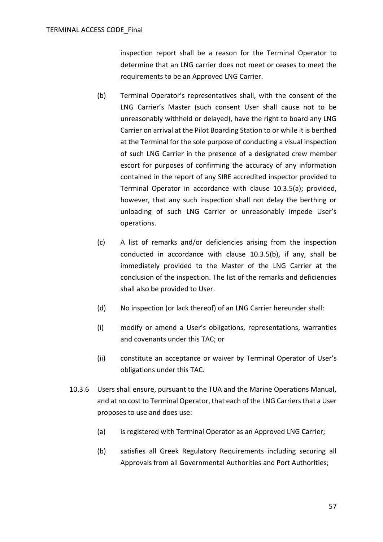inspection report shall be a reason for the Terminal Operator to determine that an LNG carrier does not meet or ceases to meet the requirements to be an Approved LNG Carrier.

- <span id="page-56-0"></span>(b) Terminal Operator's representatives shall, with the consent of the LNG Carrier's Master (such consent User shall cause not to be unreasonably withheld or delayed), have the right to board any LNG Carrier on arrival at the Pilot Boarding Station to or while it is berthed at the Terminal for the sole purpose of conducting a visual inspection of such LNG Carrier in the presence of a designated crew member escort for purposes of confirming the accuracy of any information contained in the report of any SIRE accredited inspector provided to Terminal Operator in accordance with clause [10.3.5\(a\);](#page-55-1) provided, however, that any such inspection shall not delay the berthing or unloading of such LNG Carrier or unreasonably impede User's operations.
- (c) A list of remarks and/or deficiencies arising from the inspection conducted in accordance with clause [10.3.5\(b\),](#page-56-0) if any, shall be immediately provided to the Master of the LNG Carrier at the conclusion of the inspection. The list of the remarks and deficiencies shall also be provided to User.
- (d) No inspection (or lack thereof) of an LNG Carrier hereunder shall:
- (i) modify or amend a User's obligations, representations, warranties and covenants under this TAC; or
- (ii) constitute an acceptance or waiver by Terminal Operator of User's obligations under this TAC.
- 10.3.6 Users shall ensure, pursuant to the TUA and the Marine Operations Manual, and at no cost to Terminal Operator, that each of the LNG Carriers that a User proposes to use and does use:
	- (a) is registered with Terminal Operator as an Approved LNG Carrier;
	- (b) satisfies all Greek Regulatory Requirements including securing all Approvals from all Governmental Authorities and Port Authorities;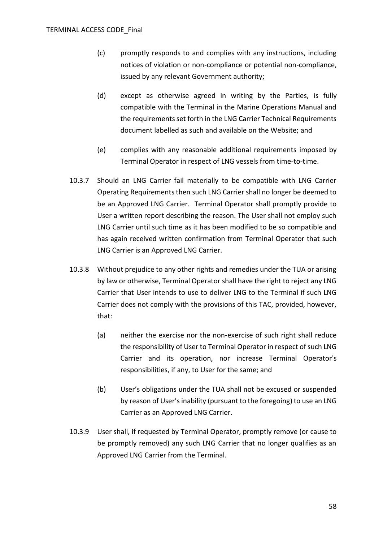- (c) promptly responds to and complies with any instructions, including notices of violation or non-compliance or potential non-compliance, issued by any relevant Government authority;
- (d) except as otherwise agreed in writing by the Parties, is fully compatible with the Terminal in the Marine Operations Manual and the requirements set forth in the LNG Carrier Technical Requirements document labelled as such and available on the Website; and
- (e) complies with any reasonable additional requirements imposed by Terminal Operator in respect of LNG vessels from time-to-time.
- 10.3.7 Should an LNG Carrier fail materially to be compatible with LNG Carrier Operating Requirements then such LNG Carrier shall no longer be deemed to be an Approved LNG Carrier. Terminal Operator shall promptly provide to User a written report describing the reason. The User shall not employ such LNG Carrier until such time as it has been modified to be so compatible and has again received written confirmation from Terminal Operator that such LNG Carrier is an Approved LNG Carrier.
- 10.3.8 Without prejudice to any other rights and remedies under the TUA or arising by law or otherwise, Terminal Operator shall have the right to reject any LNG Carrier that User intends to use to deliver LNG to the Terminal if such LNG Carrier does not comply with the provisions of this TAC, provided, however, that:
	- (a) neither the exercise nor the non-exercise of such right shall reduce the responsibility of User to Terminal Operator in respect of such LNG Carrier and its operation, nor increase Terminal Operator's responsibilities, if any, to User for the same; and
	- (b) User's obligations under the TUA shall not be excused or suspended by reason of User's inability (pursuant to the foregoing) to use an LNG Carrier as an Approved LNG Carrier.
- 10.3.9 User shall, if requested by Terminal Operator, promptly remove (or cause to be promptly removed) any such LNG Carrier that no longer qualifies as an Approved LNG Carrier from the Terminal.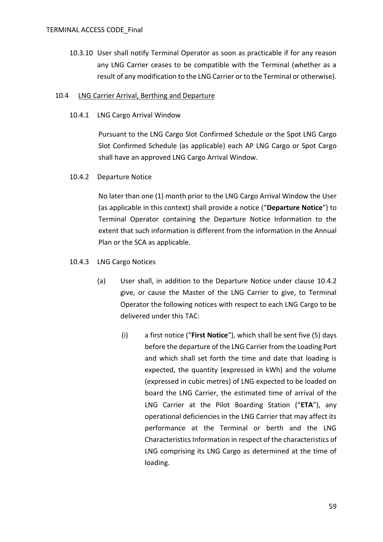10.3.10 User shall notify Terminal Operator as soon as practicable if for any reason any LNG Carrier ceases to be compatible with the Terminal (whether as a result of any modification to the LNG Carrier or to the Terminal or otherwise).

## <span id="page-58-1"></span>10.4 LNG Carrier Arrival, Berthing and Departure

10.4.1 LNG Cargo Arrival Window

Pursuant to the LNG Cargo Slot Confirmed Schedule or the Spot LNG Cargo Slot Confirmed Schedule (as applicable) each AP LNG Cargo or Spot Cargo shall have an approved LNG Cargo Arrival Window.

<span id="page-58-0"></span>10.4.2 Departure Notice

No later than one (1) month prior to the LNG Cargo Arrival Window the User (as applicable in this context) shall provide a notice ("**Departure Notice**") to Terminal Operator containing the Departure Notice Information to the extent that such information is different from the information in the Annual Plan or the SCA as applicable.

- 10.4.3 LNG Cargo Notices
	- (a) User shall, in addition to the Departure Notice under clause [10.4.2](#page-58-0) give, or cause the Master of the LNG Carrier to give, to Terminal Operator the following notices with respect to each LNG Cargo to be delivered under this TAC:
		- (i) a first notice ("**First Notice**"), which shall be sent five (5) days before the departure of the LNG Carrier from the Loading Port and which shall set forth the time and date that loading is expected, the quantity (expressed in kWh) and the volume (expressed in cubic metres) of LNG expected to be loaded on board the LNG Carrier, the estimated time of arrival of the LNG Carrier at the Pilot Boarding Station ("**ETA**"), any operational deficiencies in the LNG Carrier that may affect its performance at the Terminal or berth and the LNG Characteristics Information in respect of the characteristics of LNG comprising its LNG Cargo as determined at the time of loading.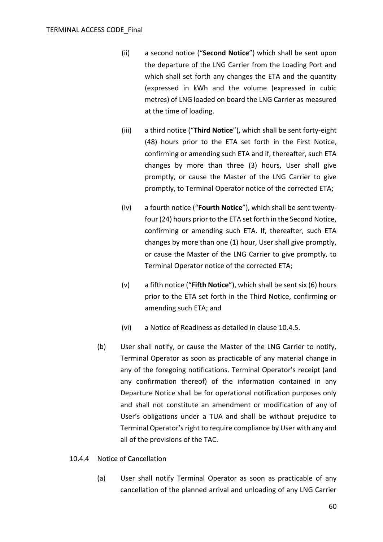- (ii) a second notice ("**Second Notice**") which shall be sent upon the departure of the LNG Carrier from the Loading Port and which shall set forth any changes the ETA and the quantity (expressed in kWh and the volume (expressed in cubic metres) of LNG loaded on board the LNG Carrier as measured at the time of loading.
- (iii) a third notice ("**Third Notice**"), which shall be sent forty-eight (48) hours prior to the ETA set forth in the First Notice, confirming or amending such ETA and if, thereafter, such ETA changes by more than three (3) hours, User shall give promptly, or cause the Master of the LNG Carrier to give promptly, to Terminal Operator notice of the corrected ETA;
- (iv) a fourth notice ("**Fourth Notice**"), which shall be sent twentyfour (24) hours prior to the ETA set forth in the Second Notice, confirming or amending such ETA. If, thereafter, such ETA changes by more than one (1) hour, User shall give promptly, or cause the Master of the LNG Carrier to give promptly, to Terminal Operator notice of the corrected ETA;
- (v) a fifth notice ("**Fifth Notice**"), which shall be sent six (6) hours prior to the ETA set forth in the Third Notice, confirming or amending such ETA; and
- (vi) a Notice of Readiness as detailed in clause [10.4.5.](#page-60-1)
- (b) User shall notify, or cause the Master of the LNG Carrier to notify, Terminal Operator as soon as practicable of any material change in any of the foregoing notifications. Terminal Operator's receipt (and any confirmation thereof) of the information contained in any Departure Notice shall be for operational notification purposes only and shall not constitute an amendment or modification of any of User's obligations under a TUA and shall be without prejudice to Terminal Operator's right to require compliance by User with any and all of the provisions of the TAC.

#### 10.4.4 Notice of Cancellation

(a) User shall notify Terminal Operator as soon as practicable of any cancellation of the planned arrival and unloading of any LNG Carrier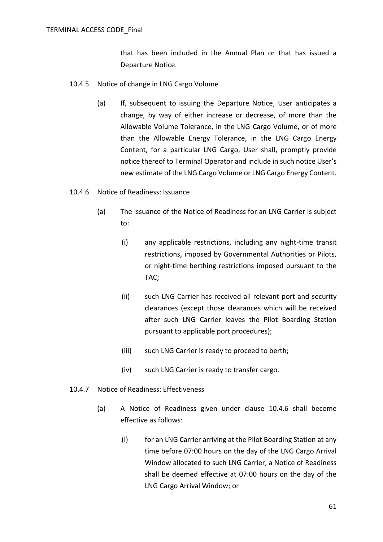that has been included in the Annual Plan or that has issued a Departure Notice.

- <span id="page-60-1"></span>10.4.5 Notice of change in LNG Cargo Volume
	- (a) If, subsequent to issuing the Departure Notice, User anticipates a change, by way of either increase or decrease, of more than the Allowable Volume Tolerance, in the LNG Cargo Volume, or of more than the Allowable Energy Tolerance, in the LNG Cargo Energy Content, for a particular LNG Cargo, User shall, promptly provide notice thereof to Terminal Operator and include in such notice User's new estimate of the LNG Cargo Volume or LNG Cargo Energy Content.
- <span id="page-60-0"></span>10.4.6 Notice of Readiness: Issuance
	- (a) The issuance of the Notice of Readiness for an LNG Carrier is subject to:
		- (i) any applicable restrictions, including any night-time transit restrictions, imposed by Governmental Authorities or Pilots, or night-time berthing restrictions imposed pursuant to the TAC;
		- (ii) such LNG Carrier has received all relevant port and security clearances (except those clearances which will be received after such LNG Carrier leaves the Pilot Boarding Station pursuant to applicable port procedures);
		- (iii) such LNG Carrier is ready to proceed to berth;
		- (iv) such LNG Carrier is ready to transfer cargo.
- 10.4.7 Notice of Readiness: Effectiveness
	- (a) A Notice of Readiness given under clause [10.4.6](#page-60-0) shall become effective as follows:
		- (i) for an LNG Carrier arriving at the Pilot Boarding Station at any time before 07:00 hours on the day of the LNG Cargo Arrival Window allocated to such LNG Carrier, a Notice of Readiness shall be deemed effective at 07:00 hours on the day of the LNG Cargo Arrival Window; or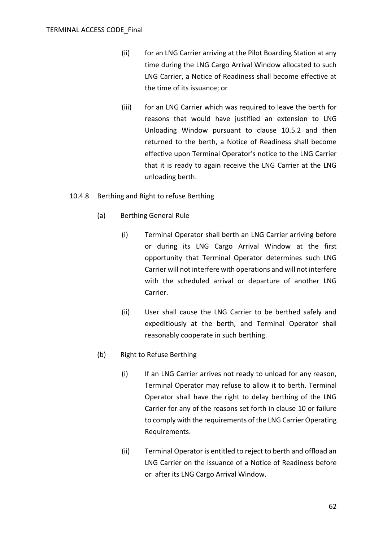- (ii) for an LNG Carrier arriving at the Pilot Boarding Station at any time during the LNG Cargo Arrival Window allocated to such LNG Carrier, a Notice of Readiness shall become effective at the time of its issuance; or
- (iii) for an LNG Carrier which was required to leave the berth for reasons that would have justified an extension to LNG Unloading Window pursuant to clause [10.5.2](#page-65-0) and then returned to the berth, a Notice of Readiness shall become effective upon Terminal Operator's notice to the LNG Carrier that it is ready to again receive the LNG Carrier at the LNG unloading berth.
- 10.4.8 Berthing and Right to refuse Berthing
	- (a) Berthing General Rule
		- (i) Terminal Operator shall berth an LNG Carrier arriving before or during its LNG Cargo Arrival Window at the first opportunity that Terminal Operator determines such LNG Carrier will not interfere with operations and will not interfere with the scheduled arrival or departure of another LNG Carrier.
		- (ii) User shall cause the LNG Carrier to be berthed safely and expeditiously at the berth, and Terminal Operator shall reasonably cooperate in such berthing.
	- (b) Right to Refuse Berthing
		- (i) If an LNG Carrier arrives not ready to unload for any reason, Terminal Operator may refuse to allow it to berth. Terminal Operator shall have the right to delay berthing of the LNG Carrier for any of the reasons set forth in clause [10](#page-52-0) or failure to comply with the requirements of the LNG Carrier Operating Requirements.
		- (ii) Terminal Operator is entitled to reject to berth and offload an LNG Carrier on the issuance of a Notice of Readiness before or after its LNG Cargo Arrival Window.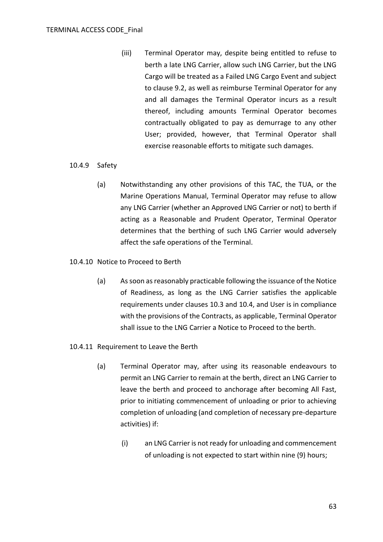(iii) Terminal Operator may, despite being entitled to refuse to berth a late LNG Carrier, allow such LNG Carrier, but the LNG Cargo will be treated as a Failed LNG Cargo Event and subject to clause [9.2,](#page-47-1) as well as reimburse Terminal Operator for any and all damages the Terminal Operator incurs as a result thereof, including amounts Terminal Operator becomes contractually obligated to pay as demurrage to any other User; provided, however, that Terminal Operator shall exercise reasonable efforts to mitigate such damages.

### 10.4.9 Safety

(a) Notwithstanding any other provisions of this TAC, the TUA, or the Marine Operations Manual, Terminal Operator may refuse to allow any LNG Carrier (whether an Approved LNG Carrier or not) to berth if acting as a Reasonable and Prudent Operator, Terminal Operator determines that the berthing of such LNG Carrier would adversely affect the safe operations of the Terminal.

### 10.4.10 Notice to Proceed to Berth

- (a) As soon as reasonably practicable following the issuance of the Notice of Readiness, as long as the LNG Carrier satisfies the applicable requirements under clauses [10.3](#page-54-0) and [10.4,](#page-58-1) and User is in compliance with the provisions of the Contracts, as applicable, Terminal Operator shall issue to the LNG Carrier a Notice to Proceed to the berth.
- <span id="page-62-0"></span>10.4.11 Requirement to Leave the Berth
	- (a) Terminal Operator may, after using its reasonable endeavours to permit an LNG Carrier to remain at the berth, direct an LNG Carrier to leave the berth and proceed to anchorage after becoming All Fast, prior to initiating commencement of unloading or prior to achieving completion of unloading (and completion of necessary pre-departure activities) if:
		- (i) an LNG Carrier is not ready for unloading and commencement of unloading is not expected to start within nine (9) hours;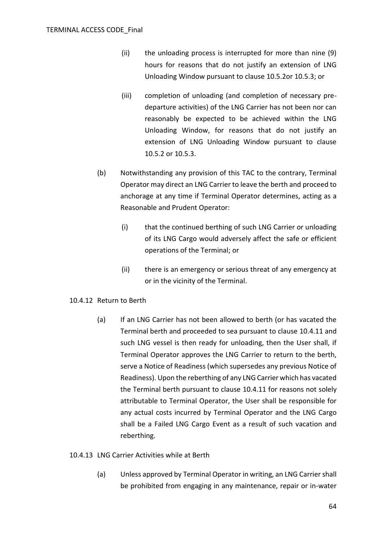- (ii) the unloading process is interrupted for more than nine (9) hours for reasons that do not justify an extension of LNG Unloading Window pursuant to clause [10.5.2o](#page-65-0)[r 10.5.3;](#page-66-0) or
- (iii) completion of unloading (and completion of necessary predeparture activities) of the LNG Carrier has not been nor can reasonably be expected to be achieved within the LNG Unloading Window, for reasons that do not justify an extension of LNG Unloading Window pursuant to clause [10.5.2](#page-65-0) or [10.5.3.](#page-66-0)
- (b) Notwithstanding any provision of this TAC to the contrary, Terminal Operator may direct an LNG Carrier to leave the berth and proceed to anchorage at any time if Terminal Operator determines, acting as a Reasonable and Prudent Operator:
	- (i) that the continued berthing of such LNG Carrier or unloading of its LNG Cargo would adversely affect the safe or efficient operations of the Terminal; or
	- (ii) there is an emergency or serious threat of any emergency at or in the vicinity of the Terminal.

#### 10.4.12 Return to Berth

(a) If an LNG Carrier has not been allowed to berth (or has vacated the Terminal berth and proceeded to sea pursuant to clause [10.4.11](#page-62-0) and such LNG vessel is then ready for unloading, then the User shall, if Terminal Operator approves the LNG Carrier to return to the berth, serve a Notice of Readiness (which supersedes any previous Notice of Readiness). Upon the reberthing of any LNG Carrier which has vacated the Terminal berth pursuant to clause [10.4.11](#page-62-0) for reasons not solely attributable to Terminal Operator, the User shall be responsible for any actual costs incurred by Terminal Operator and the LNG Cargo shall be a Failed LNG Cargo Event as a result of such vacation and reberthing.

#### 10.4.13 LNG Carrier Activities while at Berth

(a) Unless approved by Terminal Operator in writing, an LNG Carrier shall be prohibited from engaging in any maintenance, repair or in-water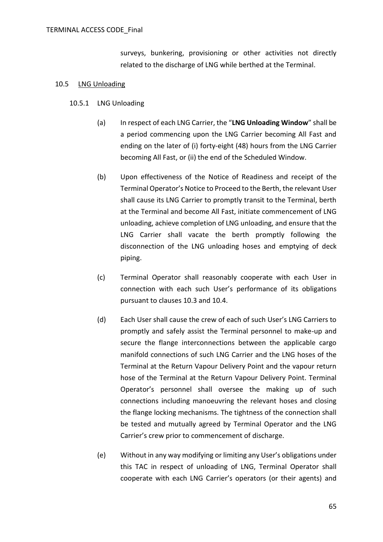surveys, bunkering, provisioning or other activities not directly related to the discharge of LNG while berthed at the Terminal.

#### 10.5 LNG Unloading

- 10.5.1 LNG Unloading
	- (a) In respect of each LNG Carrier, the "**LNG Unloading Window**" shall be a period commencing upon the LNG Carrier becoming All Fast and ending on the later of (i) forty-eight (48) hours from the LNG Carrier becoming All Fast, or (ii) the end of the Scheduled Window.
	- (b) Upon effectiveness of the Notice of Readiness and receipt of the Terminal Operator's Notice to Proceed to the Berth, the relevant User shall cause its LNG Carrier to promptly transit to the Terminal, berth at the Terminal and become All Fast, initiate commencement of LNG unloading, achieve completion of LNG unloading, and ensure that the LNG Carrier shall vacate the berth promptly following the disconnection of the LNG unloading hoses and emptying of deck piping.
	- (c) Terminal Operator shall reasonably cooperate with each User in connection with each such User's performance of its obligations pursuant to clauses [10.3](#page-54-0) and [10.4.](#page-58-1)
	- (d) Each User shall cause the crew of each of such User's LNG Carriers to promptly and safely assist the Terminal personnel to make-up and secure the flange interconnections between the applicable cargo manifold connections of such LNG Carrier and the LNG hoses of the Terminal at the Return Vapour Delivery Point and the vapour return hose of the Terminal at the Return Vapour Delivery Point. Terminal Operator's personnel shall oversee the making up of such connections including manoeuvring the relevant hoses and closing the flange locking mechanisms. The tightness of the connection shall be tested and mutually agreed by Terminal Operator and the LNG Carrier's crew prior to commencement of discharge.
	- (e) Without in any way modifying or limiting any User's obligations under this TAC in respect of unloading of LNG, Terminal Operator shall cooperate with each LNG Carrier's operators (or their agents) and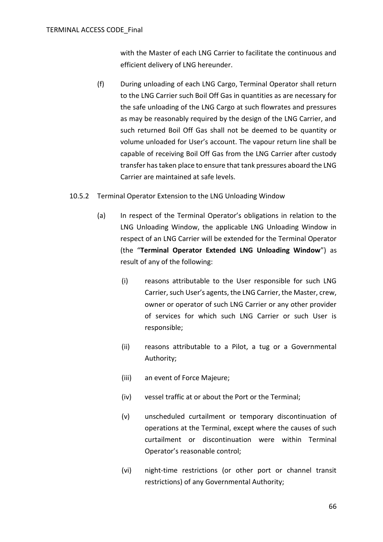with the Master of each LNG Carrier to facilitate the continuous and efficient delivery of LNG hereunder.

- (f) During unloading of each LNG Cargo, Terminal Operator shall return to the LNG Carrier such Boil Off Gas in quantities as are necessary for the safe unloading of the LNG Cargo at such flowrates and pressures as may be reasonably required by the design of the LNG Carrier, and such returned Boil Off Gas shall not be deemed to be quantity or volume unloaded for User's account. The vapour return line shall be capable of receiving Boil Off Gas from the LNG Carrier after custody transfer has taken place to ensure that tank pressures aboard the LNG Carrier are maintained at safe levels.
- <span id="page-65-0"></span>10.5.2 Terminal Operator Extension to the LNG Unloading Window
	- (a) In respect of the Terminal Operator's obligations in relation to the LNG Unloading Window, the applicable LNG Unloading Window in respect of an LNG Carrier will be extended for the Terminal Operator (the "**Terminal Operator Extended LNG Unloading Window**") as result of any of the following:
		- (i) reasons attributable to the User responsible for such LNG Carrier, such User's agents, the LNG Carrier, the Master, crew, owner or operator of such LNG Carrier or any other provider of services for which such LNG Carrier or such User is responsible;
		- (ii) reasons attributable to a Pilot, a tug or a Governmental Authority;
		- (iii) an event of Force Majeure;
		- (iv) vessel traffic at or about the Port or the Terminal;
		- (v) unscheduled curtailment or temporary discontinuation of operations at the Terminal, except where the causes of such curtailment or discontinuation were within Terminal Operator's reasonable control;
		- (vi) night-time restrictions (or other port or channel transit restrictions) of any Governmental Authority;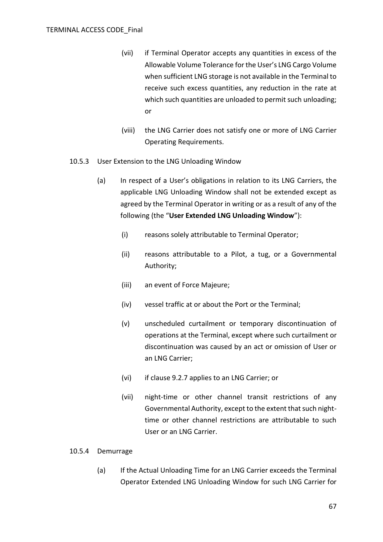- (vii) if Terminal Operator accepts any quantities in excess of the Allowable Volume Tolerance for the User's LNG Cargo Volume when sufficient LNG storage is not available in the Terminal to receive such excess quantities, any reduction in the rate at which such quantities are unloaded to permit such unloading; or
- (viii) the LNG Carrier does not satisfy one or more of LNG Carrier Operating Requirements.
- <span id="page-66-0"></span>10.5.3 User Extension to the LNG Unloading Window
	- (a) In respect of a User's obligations in relation to its LNG Carriers, the applicable LNG Unloading Window shall not be extended except as agreed by the Terminal Operator in writing or as a result of any of the following (the "**User Extended LNG Unloading Window**"):
		- (i) reasons solely attributable to Terminal Operator;
		- (ii) reasons attributable to a Pilot, a tug, or a Governmental Authority;
		- (iii) an event of Force Majeure;
		- (iv) vessel traffic at or about the Port or the Terminal;
		- (v) unscheduled curtailment or temporary discontinuation of operations at the Terminal, except where such curtailment or discontinuation was caused by an act or omission of User or an LNG Carrier;
		- (vi) if clause [9.2.7](#page-49-3) applies to an LNG Carrier; or
		- (vii) night-time or other channel transit restrictions of any Governmental Authority, except to the extent that such nighttime or other channel restrictions are attributable to such User or an LNG Carrier.

#### 10.5.4 Demurrage

(a) If the Actual Unloading Time for an LNG Carrier exceeds the Terminal Operator Extended LNG Unloading Window for such LNG Carrier for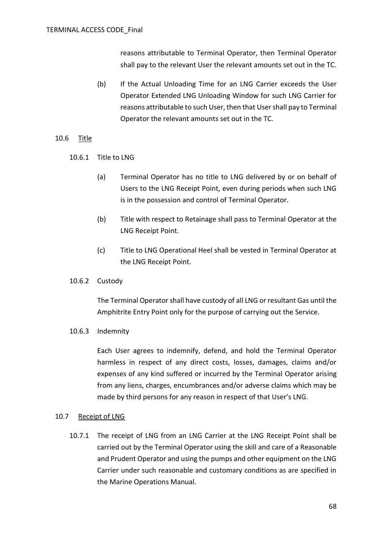reasons attributable to Terminal Operator, then Terminal Operator shall pay to the relevant User the relevant amounts set out in the TC.

(b) If the Actual Unloading Time for an LNG Carrier exceeds the User Operator Extended LNG Unloading Window for such LNG Carrier for reasons attributable to such User, then that User shall pay to Terminal Operator the relevant amounts set out in the TC*.*

## 10.6 Title

- 10.6.1 Title to LNG
	- (a) Terminal Operator has no title to LNG delivered by or on behalf of Users to the LNG Receipt Point, even during periods when such LNG is in the possession and control of Terminal Operator.
	- (b) Title with respect to Retainage shall pass to Terminal Operator at the LNG Receipt Point.
	- (c) Title to LNG Operational Heel shall be vested in Terminal Operator at the LNG Receipt Point.
- 10.6.2 Custody

The Terminal Operator shall have custody of all LNG or resultant Gas until the Amphitrite Entry Point only for the purpose of carrying out the Service.

10.6.3 Indemnity

Each User agrees to indemnify, defend, and hold the Terminal Operator harmless in respect of any direct costs, losses, damages, claims and/or expenses of any kind suffered or incurred by the Terminal Operator arising from any liens, charges, encumbrances and/or adverse claims which may be made by third persons for any reason in respect of that User's LNG.

## 10.7 Receipt of LNG

10.7.1 The receipt of LNG from an LNG Carrier at the LNG Receipt Point shall be carried out by the Terminal Operator using the skill and care of a Reasonable and Prudent Operator and using the pumps and other equipment on the LNG Carrier under such reasonable and customary conditions as are specified in the Marine Operations Manual.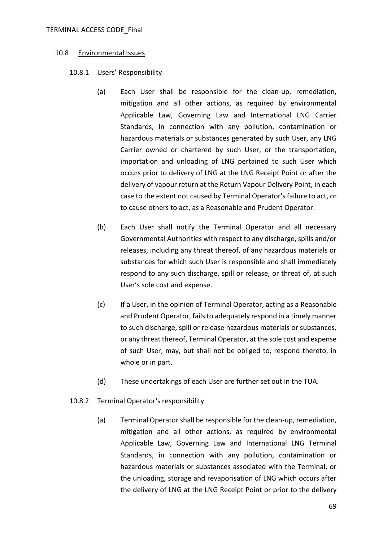#### TERMINAL ACCESS CODE\_Final

#### 10.8 Environmental Issues

### 10.8.1 Users' Responsibility

- (a) Each User shall be responsible for the clean-up, remediation, mitigation and all other actions, as required by environmental Applicable Law, Governing Law and International LNG Carrier Standards, in connection with any pollution, contamination or hazardous materials or substances generated by such User, any LNG Carrier owned or chartered by such User, or the transportation, importation and unloading of LNG pertained to such User which occurs prior to delivery of LNG at the LNG Receipt Point or after the delivery of vapour return at the Return Vapour Delivery Point, in each case to the extent not caused by Terminal Operator's failure to act, or to cause others to act, as a Reasonable and Prudent Operator.
- (b) Each User shall notify the Terminal Operator and all necessary Governmental Authorities with respect to any discharge, spills and/or releases, including any threat thereof, of any hazardous materials or substances for which such User is responsible and shall immediately respond to any such discharge, spill or release, or threat of, at such User's sole cost and expense.
- (c) If a User, in the opinion of Terminal Operator, acting as a Reasonable and Prudent Operator, fails to adequately respond in a timely manner to such discharge, spill or release hazardous materials or substances, or any threat thereof, Terminal Operator, at the sole cost and expense of such User, may, but shall not be obliged to, respond thereto, in whole or in part.
- (d) These undertakings of each User are further set out in the TUA.
- 10.8.2 Terminal Operator's responsibility
	- (a) Terminal Operator shall be responsible for the clean-up, remediation, mitigation and all other actions, as required by environmental Applicable Law, Governing Law and International LNG Terminal Standards, in connection with any pollution, contamination or hazardous materials or substances associated with the Terminal, or the unloading, storage and revaporisation of LNG which occurs after the delivery of LNG at the LNG Receipt Point or prior to the delivery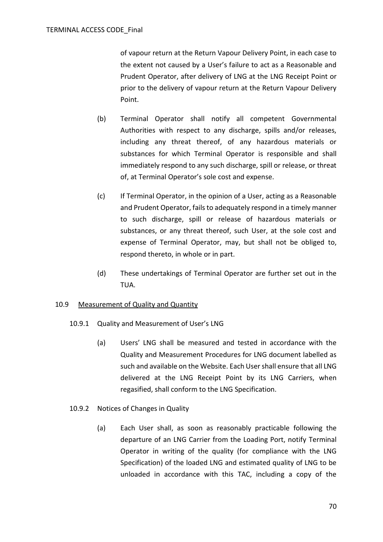of vapour return at the Return Vapour Delivery Point, in each case to the extent not caused by a User's failure to act as a Reasonable and Prudent Operator, after delivery of LNG at the LNG Receipt Point or prior to the delivery of vapour return at the Return Vapour Delivery Point.

- (b) Terminal Operator shall notify all competent Governmental Authorities with respect to any discharge, spills and/or releases, including any threat thereof, of any hazardous materials or substances for which Terminal Operator is responsible and shall immediately respond to any such discharge, spill or release, or threat of, at Terminal Operator's sole cost and expense.
- (c) If Terminal Operator, in the opinion of a User, acting as a Reasonable and Prudent Operator, fails to adequately respond in a timely manner to such discharge, spill or release of hazardous materials or substances, or any threat thereof, such User, at the sole cost and expense of Terminal Operator, may, but shall not be obliged to, respond thereto, in whole or in part.
- (d) These undertakings of Terminal Operator are further set out in the TUA.

## 10.9 Measurement of Quality and Quantity

- 10.9.1 Quality and Measurement of User's LNG
	- (a) Users' LNG shall be measured and tested in accordance with the Quality and Measurement Procedures for LNG document labelled as such and available on the Website. Each User shall ensure that all LNG delivered at the LNG Receipt Point by its LNG Carriers, when regasified, shall conform to the LNG Specification.
- <span id="page-69-0"></span>10.9.2 Notices of Changes in Quality
	- (a) Each User shall, as soon as reasonably practicable following the departure of an LNG Carrier from the Loading Port, notify Terminal Operator in writing of the quality (for compliance with the LNG Specification) of the loaded LNG and estimated quality of LNG to be unloaded in accordance with this TAC, including a copy of the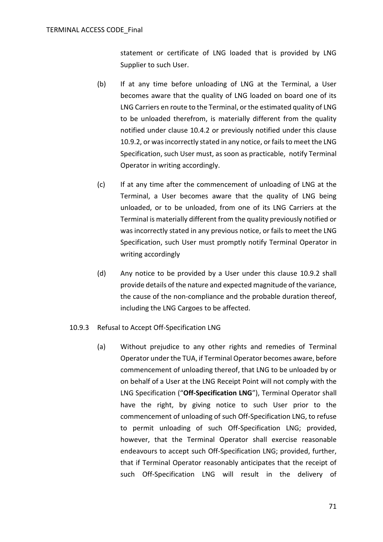statement or certificate of LNG loaded that is provided by LNG Supplier to such User.

- (b) If at any time before unloading of LNG at the Terminal, a User becomes aware that the quality of LNG loaded on board one of its LNG Carriers en route to the Terminal, or the estimated quality of LNG to be unloaded therefrom, is materially different from the quality notified under clause [10.4.2](#page-58-0) or previously notified under this clause [10.9.2,](#page-69-0) or was incorrectly stated in any notice, or fails to meet the LNG Specification, such User must, as soon as practicable, notify Terminal Operator in writing accordingly.
- (c) If at any time after the commencement of unloading of LNG at the Terminal, a User becomes aware that the quality of LNG being unloaded, or to be unloaded, from one of its LNG Carriers at the Terminal is materially different from the quality previously notified or was incorrectly stated in any previous notice, or fails to meet the LNG Specification, such User must promptly notify Terminal Operator in writing accordingly
- (d) Any notice to be provided by a User under this clause [10.9.2](#page-69-0) shall provide details of the nature and expected magnitude of the variance, the cause of the non-compliance and the probable duration thereof, including the LNG Cargoes to be affected.
- 10.9.3 Refusal to Accept Off-Specification LNG
	- (a) Without prejudice to any other rights and remedies of Terminal Operator under the TUA, if Terminal Operator becomes aware, before commencement of unloading thereof, that LNG to be unloaded by or on behalf of a User at the LNG Receipt Point will not comply with the LNG Specification ("**Off-Specification LNG**"), Terminal Operator shall have the right, by giving notice to such User prior to the commencement of unloading of such Off-Specification LNG, to refuse to permit unloading of such Off-Specification LNG; provided, however, that the Terminal Operator shall exercise reasonable endeavours to accept such Off-Specification LNG; provided, further, that if Terminal Operator reasonably anticipates that the receipt of such Off-Specification LNG will result in the delivery of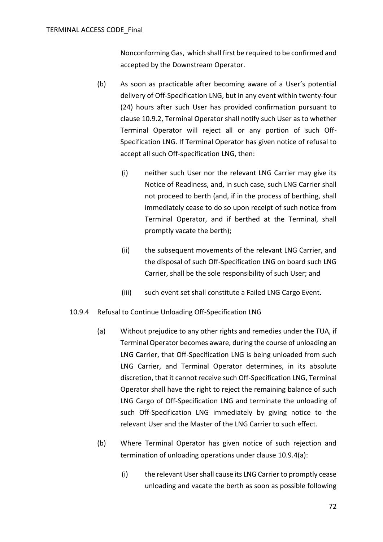Nonconforming Gas, which shall first be required to be confirmed and accepted by the Downstream Operator.

- (b) As soon as practicable after becoming aware of a User's potential delivery of Off-Specification LNG, but in any event within twenty-four (24) hours after such User has provided confirmation pursuant to clause [10.9.2,](#page-69-0) Terminal Operator shall notify such User as to whether Terminal Operator will reject all or any portion of such Off-Specification LNG. If Terminal Operator has given notice of refusal to accept all such Off-specification LNG, then:
	- (i) neither such User nor the relevant LNG Carrier may give its Notice of Readiness, and, in such case, such LNG Carrier shall not proceed to berth (and, if in the process of berthing, shall immediately cease to do so upon receipt of such notice from Terminal Operator, and if berthed at the Terminal, shall promptly vacate the berth);
	- (ii) the subsequent movements of the relevant LNG Carrier, and the disposal of such Off-Specification LNG on board such LNG Carrier, shall be the sole responsibility of such User; and
	- (iii) such event set shall constitute a Failed LNG Cargo Event.

## <span id="page-71-0"></span>10.9.4 Refusal to Continue Unloading Off-Specification LNG

- (a) Without prejudice to any other rights and remedies under the TUA, if Terminal Operator becomes aware, during the course of unloading an LNG Carrier, that Off-Specification LNG is being unloaded from such LNG Carrier, and Terminal Operator determines, in its absolute discretion, that it cannot receive such Off-Specification LNG, Terminal Operator shall have the right to reject the remaining balance of such LNG Cargo of Off-Specification LNG and terminate the unloading of such Off-Specification LNG immediately by giving notice to the relevant User and the Master of the LNG Carrier to such effect.
- (b) Where Terminal Operator has given notice of such rejection and termination of unloading operations under clause [10.9.4\(a\):](#page-71-0)
	- (i) the relevant User shall cause its LNG Carrier to promptly cease unloading and vacate the berth as soon as possible following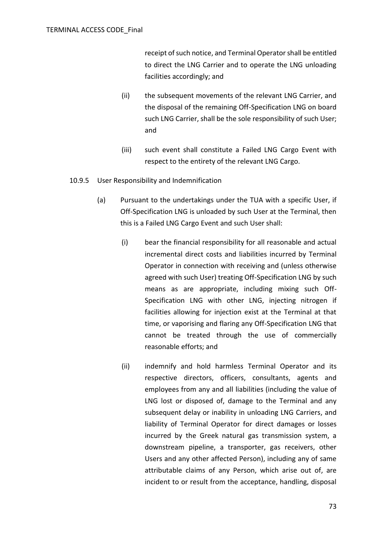receipt of such notice, and Terminal Operatorshall be entitled to direct the LNG Carrier and to operate the LNG unloading facilities accordingly; and

- (ii) the subsequent movements of the relevant LNG Carrier, and the disposal of the remaining Off-Specification LNG on board such LNG Carrier, shall be the sole responsibility of such User; and
- (iii) such event shall constitute a Failed LNG Cargo Event with respect to the entirety of the relevant LNG Cargo.
- <span id="page-72-0"></span>10.9.5 User Responsibility and Indemnification
	- (a) Pursuant to the undertakings under the TUA with a specific User, if Off-Specification LNG is unloaded by such User at the Terminal, then this is a Failed LNG Cargo Event and such User shall:
		- (i) bear the financial responsibility for all reasonable and actual incremental direct costs and liabilities incurred by Terminal Operator in connection with receiving and (unless otherwise agreed with such User) treating Off-Specification LNG by such means as are appropriate, including mixing such Off-Specification LNG with other LNG, injecting nitrogen if facilities allowing for injection exist at the Terminal at that time, or vaporising and flaring any Off-Specification LNG that cannot be treated through the use of commercially reasonable efforts; and
		- (ii) indemnify and hold harmless Terminal Operator and its respective directors, officers, consultants, agents and employees from any and all liabilities (including the value of LNG lost or disposed of, damage to the Terminal and any subsequent delay or inability in unloading LNG Carriers, and liability of Terminal Operator for direct damages or losses incurred by the Greek natural gas transmission system, a downstream pipeline, a transporter, gas receivers, other Users and any other affected Person), including any of same attributable claims of any Person, which arise out of, are incident to or result from the acceptance, handling, disposal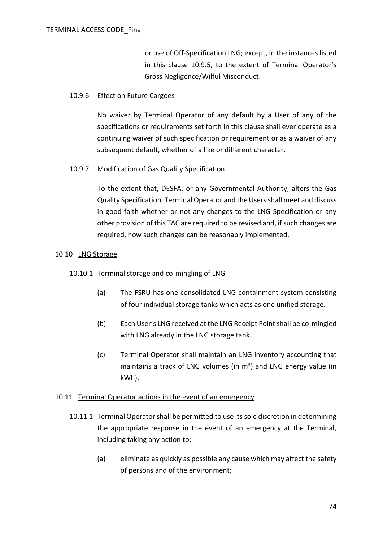or use of Off-Specification LNG; except, in the instances listed in this clause [10.9.5,](#page-72-0) to the extent of Terminal Operator's Gross Negligence/Wilful Misconduct.

### 10.9.6 Effect on Future Cargoes

No waiver by Terminal Operator of any default by a User of any of the specifications or requirements set forth in this clause shall ever operate as a continuing waiver of such specification or requirement or as a waiver of any subsequent default, whether of a like or different character.

## 10.9.7 Modification of Gas Quality Specification

To the extent that, DESFA, or any Governmental Authority, alters the Gas Quality Specification, Terminal Operator and the Users shall meet and discuss in good faith whether or not any changes to the LNG Specification or any other provision of this TAC are required to be revised and, if such changes are required, how such changes can be reasonably implemented.

### 10.10 LNG Storage

10.10.1 Terminal storage and co-mingling of LNG

- (a) The FSRU has one consolidated LNG containment system consisting of four individual storage tanks which acts as one unified storage.
- (b) Each User's LNG received at the LNG Receipt Point shall be co-mingled with LNG already in the LNG storage tank.
- (c) Terminal Operator shall maintain an LNG inventory accounting that maintains a track of LNG volumes (in  $m<sup>3</sup>$ ) and LNG energy value (in kWh).

### 10.11 Terminal Operator actions in the event of an emergency

- 10.11.1 Terminal Operator shall be permitted to use its sole discretion in determining the appropriate response in the event of an emergency at the Terminal, including taking any action to:
	- (a) eliminate as quickly as possible any cause which may affect the safety of persons and of the environment;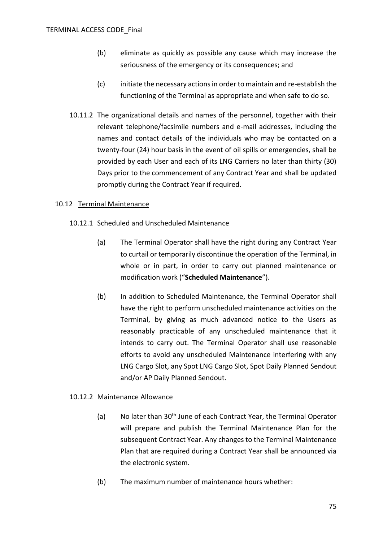- (b) eliminate as quickly as possible any cause which may increase the seriousness of the emergency or its consequences; and
- (c) initiate the necessary actions in order to maintain and re-establish the functioning of the Terminal as appropriate and when safe to do so.
- 10.11.2 The organizational details and names of the personnel, together with their relevant telephone/facsimile numbers and e-mail addresses, including the names and contact details of the individuals who may be contacted on a twenty-four (24) hour basis in the event of oil spills or emergencies, shall be provided by each User and each of its LNG Carriers no later than thirty (30) Days prior to the commencement of any Contract Year and shall be updated promptly during the Contract Year if required.

## 10.12 Terminal Maintenance

- 10.12.1 Scheduled and Unscheduled Maintenance
	- (a) The Terminal Operator shall have the right during any Contract Year to curtail or temporarily discontinue the operation of the Terminal, in whole or in part, in order to carry out planned maintenance or modification work ("**Scheduled Maintenance**").
	- (b) In addition to Scheduled Maintenance, the Terminal Operator shall have the right to perform unscheduled maintenance activities on the Terminal, by giving as much advanced notice to the Users as reasonably practicable of any unscheduled maintenance that it intends to carry out. The Terminal Operator shall use reasonable efforts to avoid any unscheduled Maintenance interfering with any LNG Cargo Slot, any Spot LNG Cargo Slot, Spot Daily Planned Sendout and/or AP Daily Planned Sendout.

### 10.12.2 Maintenance Allowance

- (a) No later than 30<sup>th</sup> June of each Contract Year, the Terminal Operator will prepare and publish the Terminal Maintenance Plan for the subsequent Contract Year. Any changes to the Terminal Maintenance Plan that are required during a Contract Year shall be announced via the electronic system.
- (b) The maximum number of maintenance hours whether: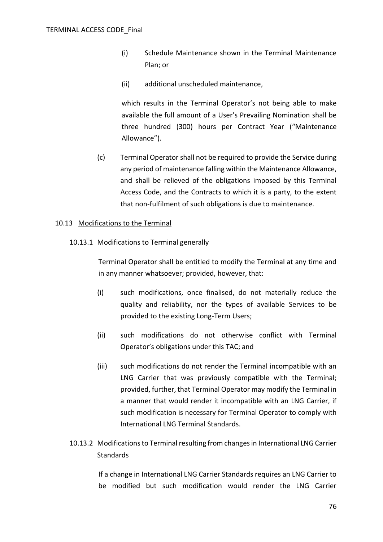- (i) Schedule Maintenance shown in the Terminal Maintenance Plan; or
- (ii) additional unscheduled maintenance,

which results in the Terminal Operator's not being able to make available the full amount of a User's Prevailing Nomination shall be three hundred (300) hours per Contract Year ("Maintenance Allowance").

(c) Terminal Operator shall not be required to provide the Service during any period of maintenance falling within the Maintenance Allowance, and shall be relieved of the obligations imposed by this Terminal Access Code, and the Contracts to which it is a party, to the extent that non-fulfilment of such obligations is due to maintenance.

#### 10.13 Modifications to the Terminal

10.13.1 Modifications to Terminal generally

Terminal Operator shall be entitled to modify the Terminal at any time and in any manner whatsoever; provided, however, that:

- (i) such modifications, once finalised, do not materially reduce the quality and reliability, nor the types of available Services to be provided to the existing Long-Term Users;
- (ii) such modifications do not otherwise conflict with Terminal Operator's obligations under this TAC; and
- (iii) such modifications do not render the Terminal incompatible with an LNG Carrier that was previously compatible with the Terminal; provided, further, that Terminal Operator may modify the Terminal in a manner that would render it incompatible with an LNG Carrier, if such modification is necessary for Terminal Operator to comply with International LNG Terminal Standards.
- 10.13.2 Modifications to Terminal resulting from changes in International LNG Carrier **Standards**

If a change in International LNG Carrier Standards requires an LNG Carrier to be modified but such modification would render the LNG Carrier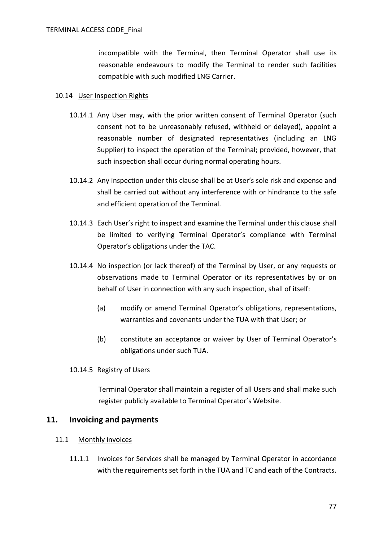incompatible with the Terminal, then Terminal Operator shall use its reasonable endeavours to modify the Terminal to render such facilities compatible with such modified LNG Carrier.

### 10.14 User Inspection Rights

- 10.14.1 Any User may, with the prior written consent of Terminal Operator (such consent not to be unreasonably refused, withheld or delayed), appoint a reasonable number of designated representatives (including an LNG Supplier) to inspect the operation of the Terminal; provided, however, that such inspection shall occur during normal operating hours.
- 10.14.2 Any inspection under this clause shall be at User's sole risk and expense and shall be carried out without any interference with or hindrance to the safe and efficient operation of the Terminal.
- 10.14.3 Each User's right to inspect and examine the Terminal under this clause shall be limited to verifying Terminal Operator's compliance with Terminal Operator's obligations under the TAC.
- 10.14.4 No inspection (or lack thereof) of the Terminal by User, or any requests or observations made to Terminal Operator or its representatives by or on behalf of User in connection with any such inspection, shall of itself:
	- (a) modify or amend Terminal Operator's obligations, representations, warranties and covenants under the TUA with that User; or
	- (b) constitute an acceptance or waiver by User of Terminal Operator's obligations under such TUA.

### 10.14.5 Registry of Users

Terminal Operator shall maintain a register of all Users and shall make such register publicly available to Terminal Operator's Website.

## <span id="page-76-1"></span>**11. Invoicing and payments**

- <span id="page-76-0"></span>11.1 Monthly invoices
	- 11.1.1 Invoices for Services shall be managed by Terminal Operator in accordance with the requirements set forth in the TUA and TC and each of the Contracts.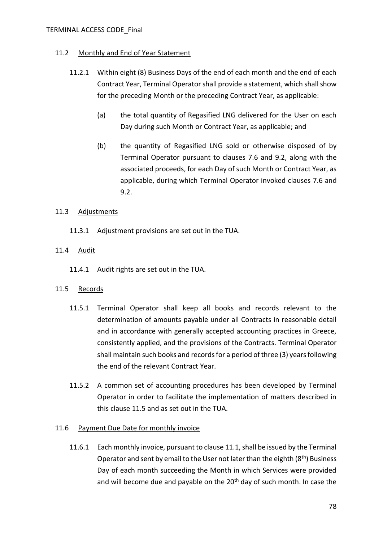### TERMINAL ACCESS CODE\_Final

### 11.2 Monthly and End of Year Statement

- 11.2.1 Within eight (8) Business Days of the end of each month and the end of each Contract Year, Terminal Operator shall provide a statement, which shall show for the preceding Month or the preceding Contract Year, as applicable:
	- (a) the total quantity of Regasified LNG delivered for the User on each Day during such Month or Contract Year, as applicable; and
	- (b) the quantity of Regasified LNG sold or otherwise disposed of by Terminal Operator pursuant to clauses [7.6](#page-44-0) and [9.2,](#page-47-0) along with the associated proceeds, for each Day of such Month or Contract Year, as applicable, during which Terminal Operator invoked clauses [7.6](#page-44-0) and [9.2.](#page-47-0)

### 11.3 Adjustments

11.3.1 Adjustment provisions are set out in the TUA.

### 11.4 Audit

11.4.1 Audit rights are set out in the TUA.

### <span id="page-77-0"></span>11.5 Records

- 11.5.1 Terminal Operator shall keep all books and records relevant to the determination of amounts payable under all Contracts in reasonable detail and in accordance with generally accepted accounting practices in Greece, consistently applied, and the provisions of the Contracts. Terminal Operator shall maintain such books and records for a period of three (3) years following the end of the relevant Contract Year.
- 11.5.2 A common set of accounting procedures has been developed by Terminal Operator in order to facilitate the implementation of matters described in this clause [11.5](#page-77-0) and as set out in the TUA.

## 11.6 Payment Due Date for monthly invoice

11.6.1 Each monthly invoice, pursuant to clause [11.1,](#page-76-0) shall be issued by the Terminal Operator and sent by email to the User not later than the eighth  $(8<sup>th</sup>)$  Business Day of each month succeeding the Month in which Services were provided and will become due and payable on the  $20<sup>th</sup>$  day of such month. In case the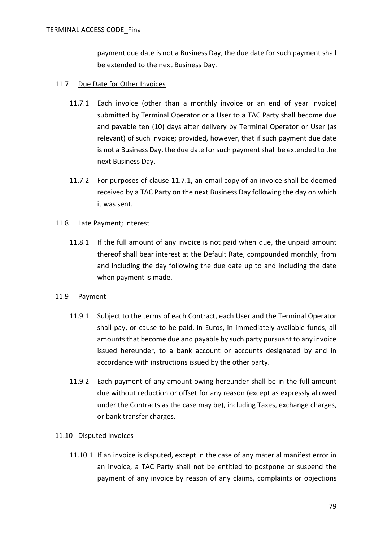payment due date is not a Business Day, the due date for such payment shall be extended to the next Business Day.

### <span id="page-78-0"></span>11.7 Due Date for Other Invoices

- 11.7.1 Each invoice (other than a monthly invoice or an end of year invoice) submitted by Terminal Operator or a User to a TAC Party shall become due and payable ten (10) days after delivery by Terminal Operator or User (as relevant) of such invoice; provided, however, that if such payment due date is not a Business Day, the due date for such payment shall be extended to the next Business Day.
- 11.7.2 For purposes of clause [11.7.1,](#page-78-0) an email copy of an invoice shall be deemed received by a TAC Party on the next Business Day following the day on which it was sent.

### 11.8 Late Payment; Interest

11.8.1 If the full amount of any invoice is not paid when due, the unpaid amount thereof shall bear interest at the Default Rate, compounded monthly, from and including the day following the due date up to and including the date when payment is made.

### 11.9 Payment

- 11.9.1 Subject to the terms of each Contract, each User and the Terminal Operator shall pay, or cause to be paid, in Euros, in immediately available funds, all amounts that become due and payable by such party pursuant to any invoice issued hereunder, to a bank account or accounts designated by and in accordance with instructions issued by the other party.
- 11.9.2 Each payment of any amount owing hereunder shall be in the full amount due without reduction or offset for any reason (except as expressly allowed under the Contracts as the case may be), including Taxes, exchange charges, or bank transfer charges.

## 11.10 Disputed Invoices

11.10.1 If an invoice is disputed, except in the case of any material manifest error in an invoice, a TAC Party shall not be entitled to postpone or suspend the payment of any invoice by reason of any claims, complaints or objections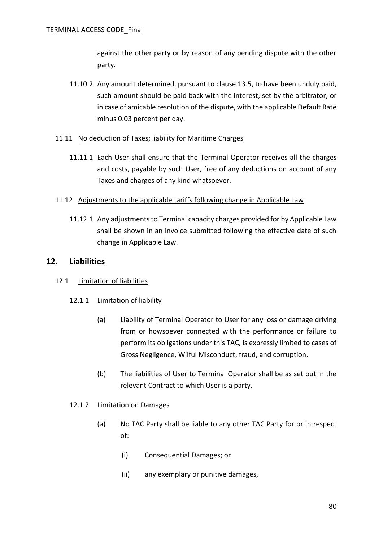against the other party or by reason of any pending dispute with the other party.

11.10.2 Any amount determined, pursuant to clause [13.5,](#page-84-0) to have been unduly paid, such amount should be paid back with the interest, set by the arbitrator, or in case of amicable resolution of the dispute, with the applicable Default Rate minus 0.03 percent per day.

### 11.11 No deduction of Taxes; liability for Maritime Charges

11.11.1 Each User shall ensure that the Terminal Operator receives all the charges and costs, payable by such User, free of any deductions on account of any Taxes and charges of any kind whatsoever.

### 11.12 Adjustments to the applicable tariffs following change in Applicable Law

11.12.1 Any adjustments to Terminal capacity charges provided for by Applicable Law shall be shown in an invoice submitted following the effective date of such change in Applicable Law.

## **12. Liabilities**

## 12.1 Limitation of liabilities

## 12.1.1 Limitation of liability

- (a) Liability of Terminal Operator to User for any loss or damage driving from or howsoever connected with the performance or failure to perform its obligations under this TAC, is expressly limited to cases of Gross Negligence, Wilful Misconduct, fraud, and corruption.
- (b) The liabilities of User to Terminal Operator shall be as set out in the relevant Contract to which User is a party.
- 12.1.2 Limitation on Damages
	- (a) No TAC Party shall be liable to any other TAC Party for or in respect of:
		- (i) Consequential Damages; or
		- (ii) any exemplary or punitive damages,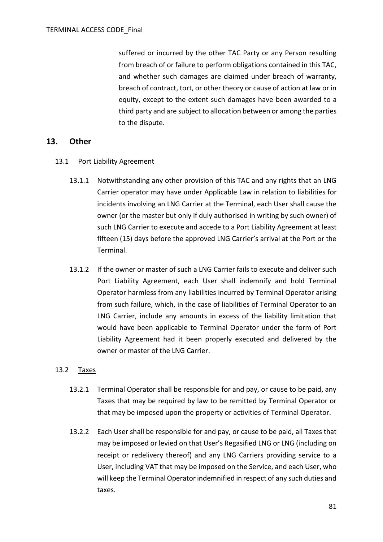suffered or incurred by the other TAC Party or any Person resulting from breach of or failure to perform obligations contained in this TAC, and whether such damages are claimed under breach of warranty, breach of contract, tort, or other theory or cause of action at law or in equity, except to the extent such damages have been awarded to a third party and are subject to allocation between or among the parties to the dispute.

## **13. Other**

### 13.1 Port Liability Agreement

- 13.1.1 Notwithstanding any other provision of this TAC and any rights that an LNG Carrier operator may have under Applicable Law in relation to liabilities for incidents involving an LNG Carrier at the Terminal, each User shall cause the owner (or the master but only if duly authorised in writing by such owner) of such LNG Carrier to execute and accede to a Port Liability Agreement at least fifteen (15) days before the approved LNG Carrier's arrival at the Port or the Terminal.
- 13.1.2 If the owner or master of such a LNG Carrier fails to execute and deliver such Port Liability Agreement, each User shall indemnify and hold Terminal Operator harmless from any liabilities incurred by Terminal Operator arising from such failure, which, in the case of liabilities of Terminal Operator to an LNG Carrier, include any amounts in excess of the liability limitation that would have been applicable to Terminal Operator under the form of Port Liability Agreement had it been properly executed and delivered by the owner or master of the LNG Carrier.

## 13.2 Taxes

- 13.2.1 Terminal Operator shall be responsible for and pay, or cause to be paid, any Taxes that may be required by law to be remitted by Terminal Operator or that may be imposed upon the property or activities of Terminal Operator.
- 13.2.2 Each User shall be responsible for and pay, or cause to be paid, all Taxes that may be imposed or levied on that User's Regasified LNG or LNG (including on receipt or redelivery thereof) and any LNG Carriers providing service to a User, including VAT that may be imposed on the Service, and each User, who will keep the Terminal Operator indemnified in respect of any such duties and taxes.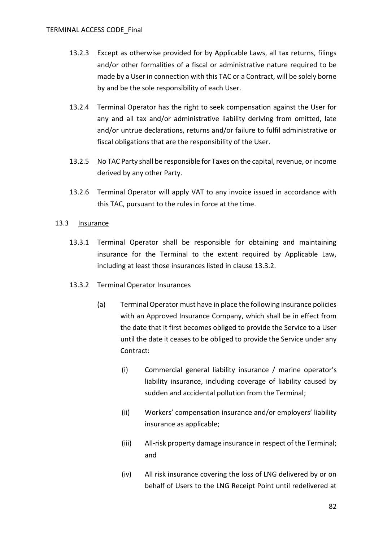- 13.2.3 Except as otherwise provided for by Applicable Laws, all tax returns, filings and/or other formalities of a fiscal or administrative nature required to be made by a User in connection with this TAC or a Contract, will be solely borne by and be the sole responsibility of each User.
- 13.2.4 Terminal Operator has the right to seek compensation against the User for any and all tax and/or administrative liability deriving from omitted, late and/or untrue declarations, returns and/or failure to fulfil administrative or fiscal obligations that are the responsibility of the User.
- 13.2.5 No TAC Party shall be responsible for Taxes on the capital, revenue, or income derived by any other Party.
- 13.2.6 Terminal Operator will apply VAT to any invoice issued in accordance with this TAC, pursuant to the rules in force at the time.

### 13.3 Insurance

- 13.3.1 Terminal Operator shall be responsible for obtaining and maintaining insurance for the Terminal to the extent required by Applicable Law, including at least those insurances listed in clause [13.3.2.](#page-81-0)
- <span id="page-81-0"></span>13.3.2 Terminal Operator Insurances
	- (a) Terminal Operator must have in place the following insurance policies with an Approved Insurance Company, which shall be in effect from the date that it first becomes obliged to provide the Service to a User until the date it ceases to be obliged to provide the Service under any Contract:
		- (i) Commercial general liability insurance / marine operator's liability insurance, including coverage of liability caused by sudden and accidental pollution from the Terminal;
		- (ii) Workers' compensation insurance and/or employers' liability insurance as applicable;
		- (iii) All-risk property damage insurance in respect of the Terminal; and
		- (iv) All risk insurance covering the loss of LNG delivered by or on behalf of Users to the LNG Receipt Point until redelivered at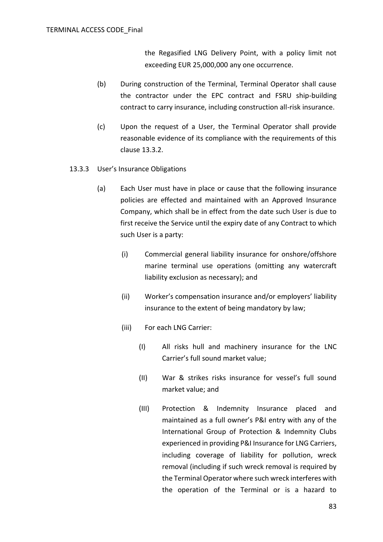the Regasified LNG Delivery Point, with a policy limit not exceeding EUR 25,000,000 any one occurrence.

- (b) During construction of the Terminal, Terminal Operator shall cause the contractor under the EPC contract and FSRU ship-building contract to carry insurance, including construction all-risk insurance.
- (c) Upon the request of a User, the Terminal Operator shall provide reasonable evidence of its compliance with the requirements of this clause [13.3.2.](#page-81-0)
- <span id="page-82-0"></span>13.3.3 User's Insurance Obligations
	- (a) Each User must have in place or cause that the following insurance policies are effected and maintained with an Approved Insurance Company, which shall be in effect from the date such User is due to first receive the Service until the expiry date of any Contract to which such User is a party:
		- (i) Commercial general liability insurance for onshore/offshore marine terminal use operations (omitting any watercraft liability exclusion as necessary); and
		- (ii) Worker's compensation insurance and/or employers' liability insurance to the extent of being mandatory by law;
		- (iii) For each LNG Carrier:
			- (I) All risks hull and machinery insurance for the LNC Carrier's full sound market value;
			- (II) War & strikes risks insurance for vessel's full sound market value; and
			- (III) Protection & Indemnity Insurance placed and maintained as a full owner's P&I entry with any of the International Group of Protection & Indemnity Clubs experienced in providing P&I Insurance for LNG Carriers, including coverage of liability for pollution, wreck removal (including if such wreck removal is required by the Terminal Operator where such wreck interferes with the operation of the Terminal or is a hazard to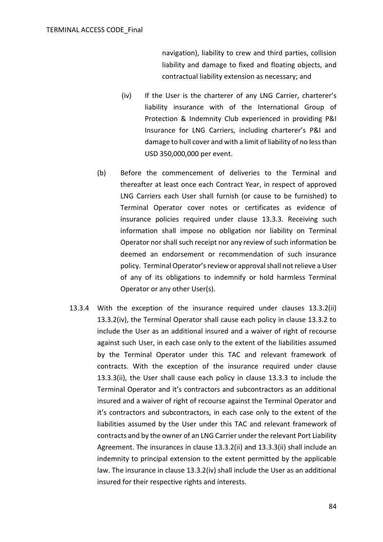navigation), liability to crew and third parties, collision liability and damage to fixed and floating objects, and contractual liability extension as necessary; and

- (iv) If the User is the charterer of any LNG Carrier, charterer's liability insurance with of the International Group of Protection & Indemnity Club experienced in providing P&I Insurance for LNG Carriers, including charterer's P&I and damage to hull cover and with a limit of liability of no less than USD 350,000,000 per event.
- (b) Before the commencement of deliveries to the Terminal and thereafter at least once each Contract Year, in respect of approved LNG Carriers each User shall furnish (or cause to be furnished) to Terminal Operator cover notes or certificates as evidence of insurance policies required under clause [13.3.3.](#page-82-0) Receiving such information shall impose no obligation nor liability on Terminal Operator nor shall such receipt nor any review of such information be deemed an endorsement or recommendation of such insurance policy. Terminal Operator's review or approval shall not relieve a User of any of its obligations to indemnify or hold harmless Terminal Operator or any other User(s).
- 13.3.4 With the exception of the insurance required under clauses 13.3.2(ii) 13.3.2(iv), the Terminal Operator shall cause each policy in clause 13.3.2 to include the User as an additional insured and a waiver of right of recourse against such User, in each case only to the extent of the liabilities assumed by the Terminal Operator under this TAC and relevant framework of contracts. With the exception of the insurance required under clause 13.3.3(ii), the User shall cause each policy in clause 13.3.3 to include the Terminal Operator and it's contractors and subcontractors as an additional insured and a waiver of right of recourse against the Terminal Operator and it's contractors and subcontractors, in each case only to the extent of the liabilities assumed by the User under this TAC and relevant framework of contracts and by the owner of an LNG Carrier under the relevant Port Liability Agreement. The insurances in clause 13.3.2(ii) and 13.3.3(ii) shall include an indemnity to principal extension to the extent permitted by the applicable law. The insurance in clause 13.3.2(iv) shall include the User as an additional insured for their respective rights and interests.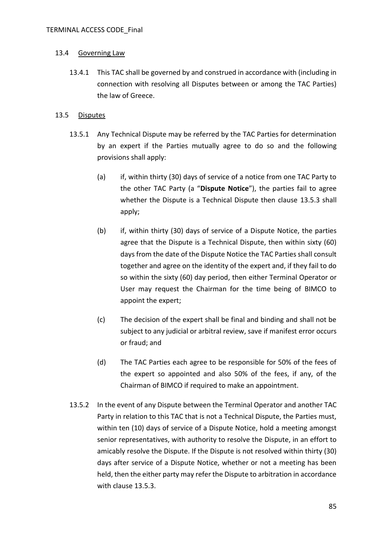### 13.4 Governing Law

13.4.1 This TAC shall be governed by and construed in accordance with (including in connection with resolving all Disputes between or among the TAC Parties) the law of Greece.

## <span id="page-84-0"></span>13.5 Disputes

- 13.5.1 Any Technical Dispute may be referred by the TAC Parties for determination by an expert if the Parties mutually agree to do so and the following provisions shall apply:
	- (a) if, within thirty (30) days of service of a notice from one TAC Party to the other TAC Party (a "**Dispute Notice**"), the parties fail to agree whether the Dispute is a Technical Dispute then clause [13.5.3](#page-85-0) shall apply;
	- (b) if, within thirty (30) days of service of a Dispute Notice, the parties agree that the Dispute is a Technical Dispute, then within sixty (60) days from the date of the Dispute Notice the TAC Parties shall consult together and agree on the identity of the expert and, if they fail to do so within the sixty (60) day period, then either Terminal Operator or User may request the Chairman for the time being of BIMCO to appoint the expert;
	- (c) The decision of the expert shall be final and binding and shall not be subject to any judicial or arbitral review, save if manifest error occurs or fraud; and
	- (d) The TAC Parties each agree to be responsible for 50% of the fees of the expert so appointed and also 50% of the fees, if any, of the Chairman of BIMCO if required to make an appointment.
- <span id="page-84-1"></span>13.5.2 In the event of any Dispute between the Terminal Operator and another TAC Party in relation to this TAC that is not a Technical Dispute, the Parties must, within ten (10) days of service of a Dispute Notice, hold a meeting amongst senior representatives, with authority to resolve the Dispute, in an effort to amicably resolve the Dispute. If the Dispute is not resolved within thirty (30) days after service of a Dispute Notice, whether or not a meeting has been held, then the either party may refer the Dispute to arbitration in accordance with clause [13.5.3.](#page-85-0)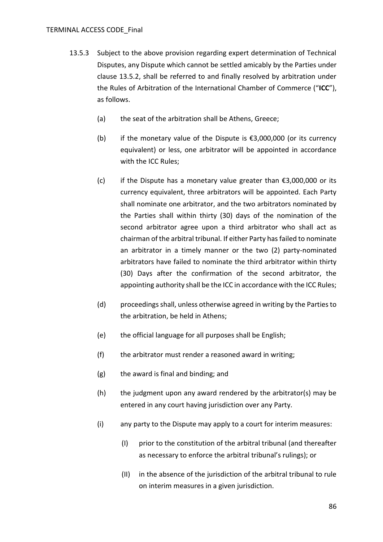- <span id="page-85-0"></span>13.5.3 Subject to the above provision regarding expert determination of Technical Disputes, any Dispute which cannot be settled amicably by the Parties under clause [13.5.2,](#page-84-1) shall be referred to and finally resolved by arbitration under the Rules of Arbitration of the International Chamber of Commerce ("**ICC**"), as follows.
	- (a) the seat of the arbitration shall be Athens, Greece;
	- (b) if the monetary value of the Dispute is  $\epsilon$ 3,000,000 (or its currency equivalent) or less, one arbitrator will be appointed in accordance with the ICC Rules;
	- (c) if the Dispute has a monetary value greater than  $\epsilon$ 3,000,000 or its currency equivalent, three arbitrators will be appointed. Each Party shall nominate one arbitrator, and the two arbitrators nominated by the Parties shall within thirty (30) days of the nomination of the second arbitrator agree upon a third arbitrator who shall act as chairman of the arbitral tribunal. If either Party has failed to nominate an arbitrator in a timely manner or the two (2) party-nominated arbitrators have failed to nominate the third arbitrator within thirty (30) Days after the confirmation of the second arbitrator, the appointing authority shall be the ICC in accordance with the ICC Rules;
	- (d) proceedings shall, unless otherwise agreed in writing by the Parties to the arbitration, be held in Athens;
	- (e) the official language for all purposes shall be English;
	- (f) the arbitrator must render a reasoned award in writing;
	- (g) the award is final and binding; and
	- (h) the judgment upon any award rendered by the arbitrator(s) may be entered in any court having jurisdiction over any Party.
	- (i) any party to the Dispute may apply to a court for interim measures:
		- (I) prior to the constitution of the arbitral tribunal (and thereafter as necessary to enforce the arbitral tribunal's rulings); or
		- (II) in the absence of the jurisdiction of the arbitral tribunal to rule on interim measures in a given jurisdiction.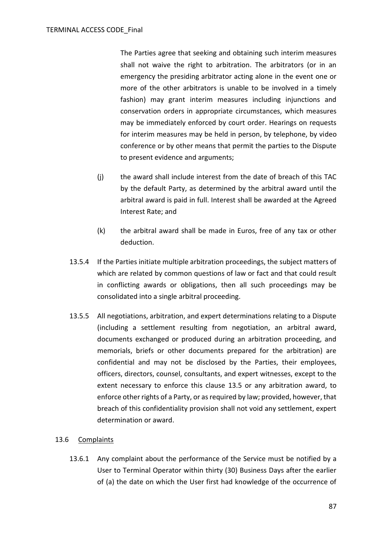The Parties agree that seeking and obtaining such interim measures shall not waive the right to arbitration. The arbitrators (or in an emergency the presiding arbitrator acting alone in the event one or more of the other arbitrators is unable to be involved in a timely fashion) may grant interim measures including injunctions and conservation orders in appropriate circumstances, which measures may be immediately enforced by court order. Hearings on requests for interim measures may be held in person, by telephone, by video conference or by other means that permit the parties to the Dispute to present evidence and arguments;

- (j) the award shall include interest from the date of breach of this TAC by the default Party, as determined by the arbitral award until the arbitral award is paid in full. Interest shall be awarded at the Agreed Interest Rate; and
- (k) the arbitral award shall be made in Euros, free of any tax or other deduction.
- 13.5.4 If the Parties initiate multiple arbitration proceedings, the subject matters of which are related by common questions of law or fact and that could result in conflicting awards or obligations, then all such proceedings may be consolidated into a single arbitral proceeding.
- 13.5.5 All negotiations, arbitration, and expert determinations relating to a Dispute (including a settlement resulting from negotiation, an arbitral award, documents exchanged or produced during an arbitration proceeding, and memorials, briefs or other documents prepared for the arbitration) are confidential and may not be disclosed by the Parties, their employees, officers, directors, counsel, consultants, and expert witnesses, except to the extent necessary to enforce this clause [13.5](#page-84-0) or any arbitration award, to enforce other rights of a Party, or as required by law; provided, however, that breach of this confidentiality provision shall not void any settlement, expert determination or award.

## <span id="page-86-0"></span>13.6 Complaints

13.6.1 Any complaint about the performance of the Service must be notified by a User to Terminal Operator within thirty (30) Business Days after the earlier of (a) the date on which the User first had knowledge of the occurrence of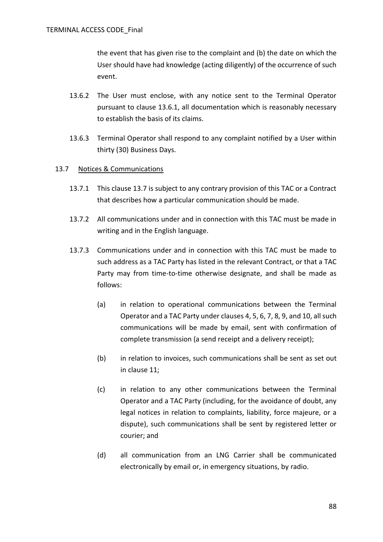the event that has given rise to the complaint and (b) the date on which the User should have had knowledge (acting diligently) of the occurrence of such event.

- 13.6.2 The User must enclose, with any notice sent to the Terminal Operator pursuant to clause [13.6.1,](#page-86-0) all documentation which is reasonably necessary to establish the basis of its claims.
- 13.6.3 Terminal Operator shall respond to any complaint notified by a User within thirty (30) Business Days.

### <span id="page-87-0"></span>13.7 Notices & Communications

- 13.7.1 This clause [13.7](#page-87-0) is subject to any contrary provision of this TAC or a Contract that describes how a particular communication should be made.
- 13.7.2 All communications under and in connection with this TAC must be made in writing and in the English language.
- 13.7.3 Communications under and in connection with this TAC must be made to such address as a TAC Party has listed in the relevant Contract, or that a TAC Party may from time-to-time otherwise designate, and shall be made as follows:
	- (a) in relation to operational communications between the Terminal Operator and a TAC Party under clauses [4,](#page-28-0) [5,](#page-35-0) [6,](#page-36-0) [7,](#page-38-0) [8,](#page-45-0) [9,](#page-47-1) and [10,](#page-52-0) all such communications will be made by email, sent with confirmation of complete transmission (a send receipt and a delivery receipt);
	- (b) in relation to invoices, such communications shall be sent as set out in clause [11;](#page-76-1)
	- (c) in relation to any other communications between the Terminal Operator and a TAC Party (including, for the avoidance of doubt, any legal notices in relation to complaints, liability, force majeure, or a dispute), such communications shall be sent by registered letter or courier; and
	- (d) all communication from an LNG Carrier shall be communicated electronically by email or, in emergency situations, by radio.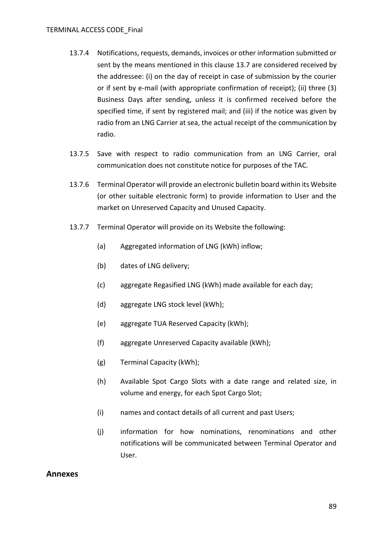- 13.7.4 Notifications, requests, demands, invoices or other information submitted or sent by the means mentioned in this clause [13.7](#page-87-0) are considered received by the addressee: (i) on the day of receipt in case of submission by the courier or if sent by e-mail (with appropriate confirmation of receipt); (ii) three (3) Business Days after sending, unless it is confirmed received before the specified time, if sent by registered mail; and (iii) if the notice was given by radio from an LNG Carrier at sea, the actual receipt of the communication by radio.
- 13.7.5 Save with respect to radio communication from an LNG Carrier, oral communication does not constitute notice for purposes of the TAC.
- 13.7.6 Terminal Operator will provide an electronic bulletin board within its Website (or other suitable electronic form) to provide information to User and the market on Unreserved Capacity and Unused Capacity.
- 13.7.7 Terminal Operator will provide on its Website the following:
	- (a) Aggregated information of LNG (kWh) inflow;
	- (b) dates of LNG delivery;
	- (c) aggregate Regasified LNG (kWh) made available for each day;
	- (d) aggregate LNG stock level (kWh);
	- (e) aggregate TUA Reserved Capacity (kWh);
	- (f) aggregate Unreserved Capacity available (kWh);
	- (g) Terminal Capacity (kWh);
	- (h) Available Spot Cargo Slots with a date range and related size, in volume and energy, for each Spot Cargo Slot;
	- (i) names and contact details of all current and past Users;
	- (j) information for how nominations, renominations and other notifications will be communicated between Terminal Operator and User.

## **Annexes**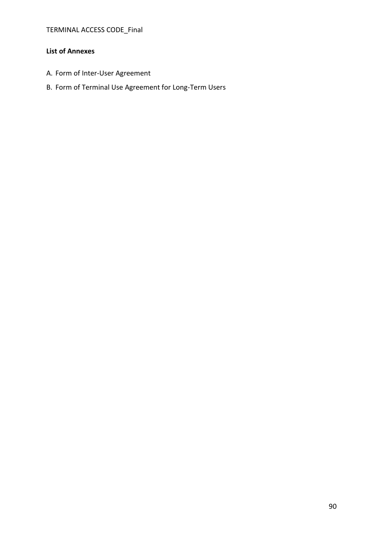TERMINAL ACCESS CODE\_Final

### **List of Annexes**

- A. Form of Inter-User Agreement
- B. Form of Terminal Use Agreement for Long-Term Users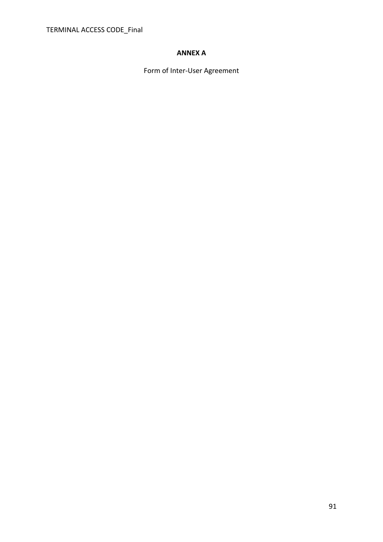# **ANNEX A**

Form of Inter-User Agreement